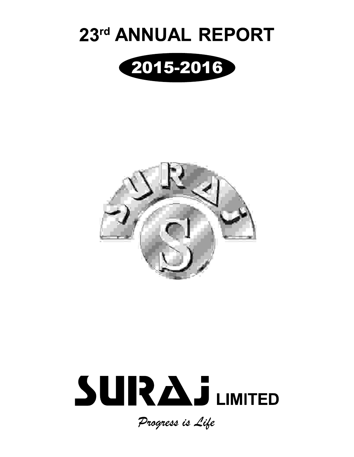







Progress is Life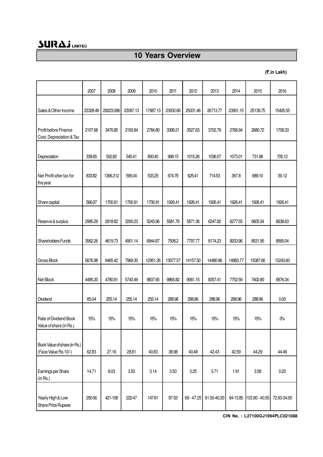# **SURAJ** LIMITED

# **10 Years Overview**

 **(`.in Lakh)**

|                                                      | 2007     | 2008      | 2009     | 2010     | 2011     | 2012     | 2013        | 2014     | 2015           | 2016        |
|------------------------------------------------------|----------|-----------|----------|----------|----------|----------|-------------|----------|----------------|-------------|
| Sales & Other Income                                 | 23328.49 | 29223.086 | 23097.13 | 17687.13 | 23932.66 | 25031.46 | 26713.77    | 23901.15 | 25139.75       | 15405.55    |
| Profit before Finance<br>Cost, Depreciation & Tax    | 2107.68  | 3476.85   | 2193.84  | 2784.80  | 3399.21  | 3527.63  | 3702.79     | 2766.94  | 2680.72        | 1708.33     |
| Depreciation                                         | 338.65   | 502.82    | 545.41   | 893.40   | 998.15   | 1015.26  | 1036.07     | 1073.01  | 731.98         | 705.12      |
| Net Profit after tax for<br>the year                 | 833.82   | 1366.312  | 595.04   | 533.25   | 674.79   | 625.41   | 714.53      | 367.8    | 689.10         | 39.12       |
| Share capital                                        | 566.97   | 1700.91   | 1700.91  | 1700.91  | 1926.41  | 1926.41  | 1926.41     | 1926.41  | 1926.41        | 1926.41     |
| Reserve & surplus                                    | 2995.29  | 2918.82   | 3200.23  | 5243.96  | 5581.79  | 5871.36  | 6247.82     | 6277.55  | 6605.54        | 6638.63     |
| <b>Shareholders Funds</b>                            | 3562.26  | 4619.73   | 4901.14  | 6944.87  | 7508.2   | 7797.77  | 8174.23     | 8203.96  | 8531.95        | 8565.04     |
| Gross Block                                          | 5676.98  | 6465.42   | 7969.30  | 12951.26 | 13977.57 | 14157.50 | 14480.96    | 14883.77 | 15087.66       | 15243.60    |
| Net Block                                            | 4495.20  | 4780.81   | 5743.49  | 9837.65  | 9865.82  | 9061.15  | 8357.41     | 7752.59  | 7402.80        | 6876.34     |
| Dividend                                             | 85.04    | 255.14    | 255.14   | 255.14   | 288.96   | 288.96   | 288.96      | 288.96   | 288.96         | 0.00        |
| Rate of Dividend Book<br>Value of share (in Rs.)     | 15%      | 15%       | 15%      | 15%      | 15%      | 15%      | 15%         | 15%      | 15%            | 0%          |
| Book Value of share (in Rs.)<br>(Face Value Rs.10/-) | 62.83    | 27.16     | 28.81    | 40.83    | 38.98    | 40.48    | 42.43       | 42.59    | 44.29          | 44.46       |
| Earnings per Share<br>(in Rs.)                       | 14.71    | 8.03      | 3.50     | 3.14     | $3.50\,$ | 3.25     | 3.71        | 1.91     | 3.58           | 0.20        |
| Yearly High & Low<br>Share Price Rupees              | 250-56   | 421-108   | 222-47   | 147-61   | 97-53    | 69-47.25 | 61.50-40.30 | 64-13.85 | 103.80 - 40.55 | 72.50-34.00 |

**CIN No. : L27100GJ1994PLC021088**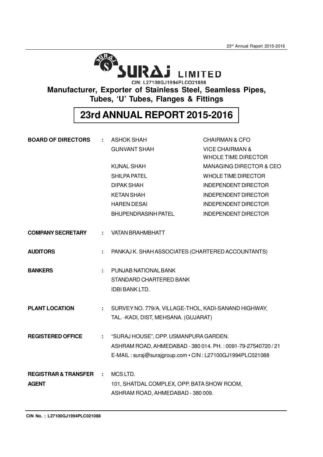| <b>SURAJ</b> LIMITED<br>CIN: L27100GJ1994PLCO21088<br>Manufacturer, Exporter of Stainless Steel, Seamless Pipes,<br>Tubes, 'U' Tubes, Flanges & Fittings |   |                                                                                                          |                                                                                                                                                               |  |  |  |
|----------------------------------------------------------------------------------------------------------------------------------------------------------|---|----------------------------------------------------------------------------------------------------------|---------------------------------------------------------------------------------------------------------------------------------------------------------------|--|--|--|
|                                                                                                                                                          |   | 23rd ANNUAL REPORT 2015-2016                                                                             |                                                                                                                                                               |  |  |  |
| <b>BOARD OF DIRECTORS</b>                                                                                                                                |   | : ASHOK SHAH<br><b>GUNVANT SHAH</b>                                                                      | <b>CHAIRMAN &amp; CFO</b><br><b>VICE CHAIRMAN &amp;</b><br><b>WHOLE TIME DIRECTOR</b>                                                                         |  |  |  |
|                                                                                                                                                          |   | <b>KUNAL SHAH</b><br><b>SHILPA PATEL</b><br><b>DIPAK SHAH</b><br><b>KETAN SHAH</b><br><b>HAREN DESAI</b> | <b>MANAGING DIRECTOR &amp; CEO</b><br><b>WHOLE TIME DIRECTOR</b><br><b>INDEPENDENT DIRECTOR</b><br><b>INDEPENDENT DIRECTOR</b><br><b>INDEPENDENT DIRECTOR</b> |  |  |  |
| <b>COMPANY SECRETARY</b>                                                                                                                                 |   | BHUPENDRASINH PATEL<br>VATAN BRAHMBHATT                                                                  | <b>INDEPENDENT DIRECTOR</b>                                                                                                                                   |  |  |  |
| <b>AUDITORS</b>                                                                                                                                          |   | PANKAJ K. SHAH ASSOCIATES (CHARTERED ACCOUNTANTS)                                                        |                                                                                                                                                               |  |  |  |
| <b>BANKERS</b>                                                                                                                                           |   | PUNJAB NATIONAL BANK<br>STANDARD CHARTERED BANK<br><b>IDBI BANK LTD.</b>                                 |                                                                                                                                                               |  |  |  |
| <b>PLANT LOCATION</b>                                                                                                                                    | ÷ | SURVEY NO. 779/A, VILLAGE-THOL, KADI-SANAND HIGHWAY,<br>TAL. - KADI, DIST, MEHSANA. (GUJARAT)            |                                                                                                                                                               |  |  |  |
| <b>REGISTERED OFFICE</b>                                                                                                                                 |   | "SURAJ HOUSE", OPP. USMANPURA GARDEN.<br>E-MAIL: suraj@surajgroup.com • CIN: L27100GJ1994PLC021088       | ASHRAM ROAD, AHMEDABAD - 380 014. PH.: 0091-79-27540720 / 21                                                                                                  |  |  |  |
| <b>REGISTRAR &amp; TRANSFER</b><br>AGENT                                                                                                                 |   | MCS LTD.<br>101, SHATDAL COMPLEX, OPP. BATA SHOW ROOM,<br>ASHRAM ROAD, AHMEDABAD - 380 009.              |                                                                                                                                                               |  |  |  |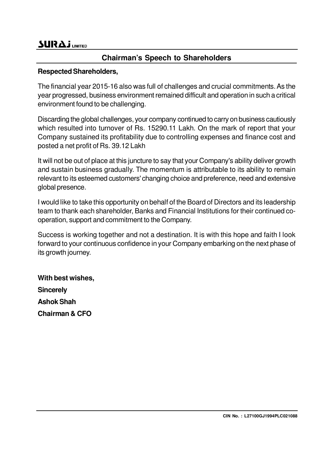# **SURAJ** LIMITED

# **Chairman's Speech to Shareholders**

### **Respected Shareholders,**

The financial year 2015-16 also was full of challenges and crucial commitments. As the year progressed, business environment remained difficult and operation in such a critical environment found to be challenging.

Discarding the global challenges, your company continued to carry on business cautiously which resulted into turnover of Rs. 15290.11 Lakh. On the mark of report that your Company sustained its profitability due to controlling expenses and finance cost and posted a net profit of Rs. 39.12 Lakh

It will not be out of place at this juncture to say that your Company's ability deliver growth and sustain business gradually. The momentum is attributable to its ability to remain relevant to its esteemed customers' changing choice and preference, need and extensive global presence.

I would like to take this opportunity on behalf of the Board of Directors and its leadership team to thank each shareholder, Banks and Financial Institutions for their continued cooperation, support and commitment to the Company.

Success is working together and not a destination. It is with this hope and faith I look forward to your continuous confidence in your Company embarking on the next phase of its growth journey.

**With best wishes, Sincerely Ashok Shah Chairman & CFO**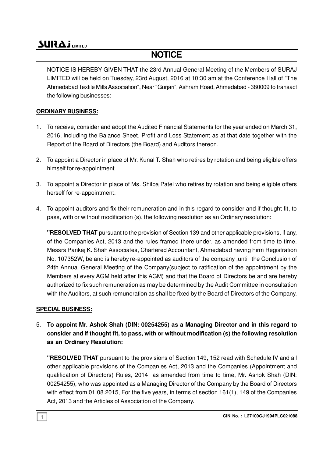# **SURAJUMITED**

# **NOTICE**

NOTICE IS HEREBY GIVEN THAT the 23rd Annual General Meeting of the Members of SURAJ LIMITED will be held on Tuesday, 23rd August, 2016 at 10:30 am at the Conference Hall of "The Ahmedabad Textile Mills Association", Near "Gurjari", Ashram Road, Ahmedabad - 380009 to transact the following businesses:

### **ORDINARY BUSINESS:**

- 1. To receive, consider and adopt the Audited Financial Statements for the year ended on March 31, 2016, including the Balance Sheet, Profit and Loss Statement as at that date together with the Report of the Board of Directors (the Board) and Auditors thereon.
- 2. To appoint a Director in place of Mr. Kunal T. Shah who retires by rotation and being eligible offers himself for re-appointment.
- 3. To appoint a Director in place of Ms. Shilpa Patel who retires by rotation and being eligible offers herself for re-appointment.
- 4. To appoint auditors and fix their remuneration and in this regard to consider and if thought fit, to pass, with or without modification (s), the following resolution as an Ordinary resolution:

**"RESOLVED THAT** pursuant to the provision of Section 139 and other applicable provisions, if any, of the Companies Act, 2013 and the rules framed there under, as amended from time to time, Messrs Pankaj K. Shah Associates, Chartered Accountant, Ahmedabad having Firm Registration No. 107352W, be and is hereby re-appointed as auditors of the company ,until the Conclusion of 24th Annual General Meeting of the Company(subject to ratification of the appointment by the Members at every AGM held after this AGM) and that the Board of Directors be and are hereby authorized to fix such remuneration as may be determined by the Audit Committee in consultation with the Auditors, at such remuneration as shall be fixed by the Board of Directors of the Company.

#### **SPECIAL BUSINESS:**

5. **To appoint Mr. Ashok Shah (DIN: 00254255) as a Managing Director and in this regard to consider and if thought fit, to pass, with or without modification (s) the following resolution as an Ordinary Resolution:**

**"RESOLVED THAT** pursuant to the provisions of Section 149, 152 read with Schedule IV and all other applicable provisions of the Companies Act, 2013 and the Companies (Appointment and qualification of Directors) Rules, 2014 as amended from time to time, Mr. Ashok Shah (DIN: 00254255), who was appointed as a Managing Director of the Company by the Board of Directors with effect from 01.08.2015, For the five years, in terms of section 161(1), 149 of the Companies Act, 2013 and the Articles of Association of the Company.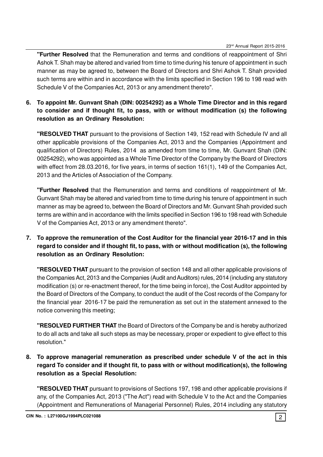23nd Annual Report 2015-2016

**"Further Resolved** that the Remuneration and terms and conditions of reappointment of Shri Ashok T. Shah may be altered and varied from time to time during his tenure of appointment in such manner as may be agreed to, between the Board of Directors and Shri Ashok T. Shah provided such terms are within and in accordance with the limits specified in Section 196 to 198 read with Schedule V of the Companies Act, 2013 or any amendment thereto".

### **6. To appoint Mr. Gunvant Shah (DIN: 00254292) as a Whole Time Director and in this regard to consider and if thought fit, to pass, with or without modification (s) the following resolution as an Ordinary Resolution:**

**"RESOLVED THAT** pursuant to the provisions of Section 149, 152 read with Schedule IV and all other applicable provisions of the Companies Act, 2013 and the Companies (Appointment and qualification of Directors) Rules, 2014 as amended from time to time, Mr. Gunvant Shah (DIN: 00254292), who was appointed as a Whole Time Director of the Company by the Board of Directors with effect from 28.03.2016, for five years, in terms of section 161(1), 149 of the Companies Act, 2013 and the Articles of Association of the Company.

**"Further Resolved** that the Remuneration and terms and conditions of reappointment of Mr. Gunvant Shah may be altered and varied from time to time during his tenure of appointment in such manner as may be agreed to, between the Board of Directors and Mr. Gunvant Shah provided such terms are within and in accordance with the limits specified in Section 196 to 198 read with Schedule V of the Companies Act, 2013 or any amendment thereto".

### **7. To approve the remuneration of the Cost Auditor for the financial year 2016-17 and in this regard to consider and if thought fit, to pass, with or without modification (s), the following resolution as an Ordinary Resolution:**

**"RESOLVED THAT** pursuant to the provision of section 148 and all other applicable provisions of the Companies Act, 2013 and the Companies (Audit and Auditors) rules, 2014 (including any statutory modification (s) or re-enactment thereof, for the time being in force), the Cost Auditor appointed by the Board of Directors of the Company, to conduct the audit of the Cost records of the Company for the financial year 2016-17 be paid the remuneration as set out in the statement annexed to the notice convening this meeting;

**"RESOLVED FURTHER THAT** the Board of Directors of the Company be and is hereby authorized to do all acts and take all such steps as may be necessary, proper or expedient to give effect to this resolution."

### **8. To approve managerial remuneration as prescribed under schedule V of the act in this regard To consider and if thought fit, to pass with or without modification(s), the following resolution as a Special Resolution:**

**"RESOLVED THAT** pursuant to provisions of Sections 197, 198 and other applicable provisions if any, of the Companies Act, 2013 ("The Act") read with Schedule V to the Act and the Companies (Appointment and Remunerations of Managerial Personnel) Rules, 2014 including any statutory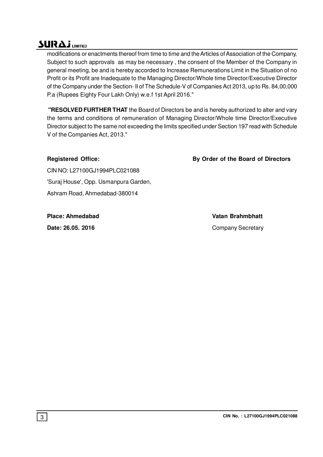# $SURAJ$

modifications or enactments thereof from time to time and the Articles of Association of the Company, Subject to such approvals as may be necessary , the consent of the Member of the Company in general meeting, be and is hereby accorded to Increase Remunerations Limit in the Situation of no Profit or its Profit are Inadequate to the Managing Director/Whole time Director/Executive Director of the Company under the Section- II of The Schedule-V of Companies Act 2013, up to Rs. 84,00,000 P.a (Rupees Eighty Four Lakh Only) w.e.f 1st April 2016."

 **"RESOLVED FURTHER THAT** the Board of Directors be and is hereby authorized to alter and vary the terms and conditions of remuneration of Managing Director/Whole time Director/Executive Director subject to the same not exceeding the limits specified under Section 197 read with Schedule V of the Companies Act, 2013."

**Registered Office: By Order of the Board of Directors**

CIN NO: L27100GJ1994PLC021088 'Suraj House', Opp. Usmanpura Garden, Ashram Road, Ahmedabad-380014

**Date: 26.05. 2016** Company Secretary

**Place: Ahmedabad Vatan Brahmbhatt**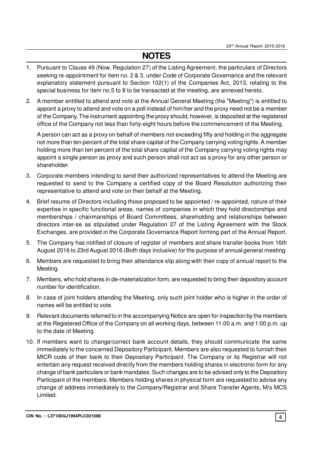# **NOTES**

- 1. Pursuant to Clause 49 (Now, Regulation 27) of the Listing Agreement, the particulars of Directors seeking re-appointment for item no. 2 & 3, under Code of Corporate Governance and the relevant explanatory statement pursuant to Section 102(1) of the Companies Act, 2013, relating to the special business for item no.5 to 8 to be transacted at the meeting, are annexed hereto.
- 2. A member entitled to attend and vote at the Annual General Meeting (the "Meeting") is entitled to appoint a proxy to attend and vote on a poll instead of him/her and the proxy need not be a member of the Company. The instrument appointing the proxy should, however, is deposited at the registered office of the Company not less than forty-eight hours before the commencement of the Meeting.

A person can act as a proxy on behalf of members not exceeding fifty and holding in the aggregate not more than ten percent of the total share capital of the Company carrying voting rights. A member holding more than ten percent of the total share capital of the Company carrying voting rights may appoint a single person as proxy and such person shall not act as a proxy for any other person or shareholder.

- 3. Corporate members intending to send their authorized representatives to attend the Meeting are requested to send to the Company a certified copy of the Board Resolution authorizing their representative to attend and vote on their behalf at the Meeting.
- 4. Brief resume of Directors including those proposed to be appointed / re-appointed, nature of their expertise in specific functional areas, names of companies in which they hold directorships and memberships / chairmanships of Board Committees, shareholding and relationships between directors inter-se as stipulated under Regulation 27 of the Listing Agreement with the Stock Exchanges, are provided in the Corporate Governance Report forming part of the Annual Report.
- 5. The Company has notified of closure of register of members and share transfer books from 16th August 2016 to 23rd August 2016 (Both days inclusive) for the purpose of annual general meeting.
- 6. Members are requested to bring their attendance slip along with their copy of annual report to the Meeting.
- 7. Members, who hold shares in de-materialization form, are requested to bring their depository account number for identification.
- 8. In case of joint holders attending the Meeting, only such joint holder who is higher in the order of names will be entitled to vote.
- 9. Relevant documents referred to in the accompanying Notice are open for inspection by the members at the Registered Office of the Company on all working days, between 11:00 a.m. and 1:00 p.m. up to the date of Meeting.
- 10. If members want to change/correct bank account details, they should communicate the same immediately to the concerned Depository Participant. Members are also requested to furnish their MICR code of their bank to their Depositary Participant. The Company or its Registrar will not entertain any request received directly from the members holding shares in electronic form for any change of bank particulars or bank mandates. Such changes are to be advised only to the Depository Participant of the members. Members holding shares in physical form are requested to advise any change of address immediately to the Company/Registrar and Share Transfer Agents, M/s MCS Limited.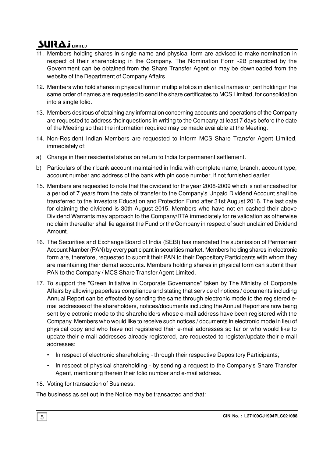# $SURAJ$

- 11. Members holding shares in single name and physical form are advised to make nomination in respect of their shareholding in the Company. The Nomination Form -2B prescribed by the Government can be obtained from the Share Transfer Agent or may be downloaded from the website of the Department of Company Affairs.
- 12. Members who hold shares in physical form in multiple folios in identical names or joint holding in the same order of names are requested to send the share certificates to MCS Limited, for consolidation into a single folio.
- 13. Members desirous of obtaining any information concerning accounts and operations of the Company are requested to address their questions in writing to the Company at least 7 days before the date of the Meeting so that the information required may be made available at the Meeting.
- 14. Non-Resident Indian Members are requested to inform MCS Share Transfer Agent Limited, immediately of:
- a) Change in their residential status on return to India for permanent settlement.
- b) Particulars of their bank account maintained in India with complete name, branch, account type, account number and address of the bank with pin code number, if not furnished earlier.
- 15. Members are requested to note that the dividend for the year 2008-2009 which is not encashed for a period of 7 years from the date of transfer to the Company's Unpaid Dividend Account shall be transferred to the Investors Education and Protection Fund after 31st August 2016. The last date for claiming the dividend is 30th August 2015. Members who have not en cashed their above Dividend Warrants may approach to the Company/RTA immediately for re validation as otherwise no claim thereafter shall lie against the Fund or the Company in respect of such unclaimed Dividend Amount.
- 16. The Securities and Exchange Board of India (SEBI) has mandated the submission of Permanent Account Number (PAN) by every participant in securities market. Members holding shares in electronic form are, therefore, requested to submit their PAN to their Depository Participants with whom they are maintaining their demat accounts. Members holding shares in physical form can submit their PAN to the Company / MCS Share Transfer Agent Limited.
- 17. To support the "Green Initiative in Corporate Governance" taken by The Ministry of Corporate Affairs by allowing paperless compliance and stating that service of notices / documents including Annual Report can be effected by sending the same through electronic mode to the registered email addresses of the shareholders, notices/documents including the Annual Report are now being sent by electronic mode to the shareholders whose e-mail address have been registered with the Company. Members who would like to receive such notices / documents in electronic mode in lieu of physical copy and who have not registered their e-mail addresses so far or who would like to update their e-mail addresses already registered, are requested to register/update their e-mail addresses:
	- In respect of electronic shareholding through their respective Depository Participants;
	- In respect of physical shareholding by sending a request to the Company's Share Transfer Agent, mentioning therein their folio number and e-mail address.

18. Voting for transaction of Business:

The business as set out in the Notice may be transacted and that: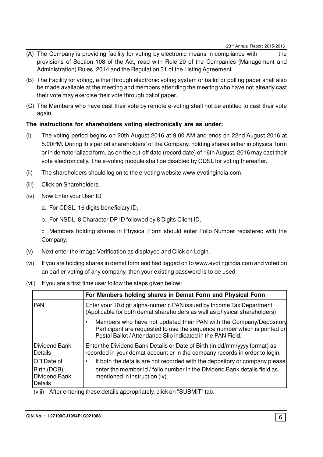- (A) The Company is providing facility for voting by electronic means in compliance with the provisions of Section 108 of the Act, read with Rule 20 of the Companies (Management and Administration) Rules, 2014 and the Regulation 31 of the Listing Agreement.
- (B) The Facility for voting, either through electronic voting system or ballot or polling paper shall also be made available at the meeting and members attending the meeting who have not already cast their vote may exercise their vote through ballot paper.
- (C) The Members who have cast their vote by remote e-voting shall not be entitled to cast their vote again.

#### **The instructions for shareholders voting electronically are as under:**

- (i) The voting period begins on 20th August 2016 at 9.00 AM and ends on 22nd August 2016 at 5.00PM. During this period shareholders' of the Company, holding shares either in physical form or in dematerialized form, as on the cut-off date (record date) of 16th August, 2016 may cast their vote electronically. The e-voting module shall be disabled by CDSL for voting thereafter.
- (ii) The shareholders should log on to the e-voting website www.evotingindia.com.
- (iii) Click on Shareholders.
- (iv) Now Enter your User ID
	- a. For CDSL: 16 digits beneficiary ID,
	- b. For NSDL: 8 Character DP ID followed by 8 Digits Client ID,

c. Members holding shares in Physical Form should enter Folio Number registered with the Company.

- (v) Next enter the Image Verification as displayed and Click on Login.
- (vi) If you are holding shares in demat form and had logged on to www.evotingindia.com and voted on an earlier voting of any company, then your existing password is to be used.
- (vii) If you are a first time user follow the steps given below:

|                                                                                                                                                                  | For Members holding shares in Demat Form and Physical Form                                                                                                                                                    |  |  |
|------------------------------------------------------------------------------------------------------------------------------------------------------------------|---------------------------------------------------------------------------------------------------------------------------------------------------------------------------------------------------------------|--|--|
| <b>PAN</b><br>Enter your 10 digit alpha-numeric PAN issued by Income Tax Department<br>(Applicable for both demat shareholders as well as physical shareholders) |                                                                                                                                                                                                               |  |  |
|                                                                                                                                                                  | Members who have not updated their PAN with the Company/Depository<br>Participant are requested to use the sequence number which is printed on<br>Postal Ballot / Attendance Slip indicated in the PAN Field. |  |  |
| Dividend Bank<br><b>Details</b>                                                                                                                                  | Enter the Dividend Bank Details or Date of Birth (in dd/mm/yyyy format) as<br>recorded in your demat account or in the company records in order to login.                                                     |  |  |
| IOR Date of                                                                                                                                                      | If both the details are not recorded with the depository or company please<br>٠                                                                                                                               |  |  |
| Birth (DOB)<br><b>Dividend Bank</b><br><b>Details</b>                                                                                                            | enter the member id / folio number in the Dividend Bank details field as<br>mentioned in instruction (iv).                                                                                                    |  |  |

(viii) After entering these details appropriately, click on "SUBMIT" tab.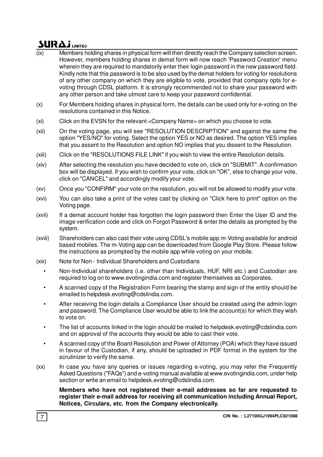# **SURA JUNITED**

- Members holding shares in physical form will then directly reach the Company selection screen. However, members holding shares in demat form will now reach 'Password Creation' menu wherein they are required to mandatorily enter their login password in the new password field. Kindly note that this password is to be also used by the demat holders for voting for resolutions of any other company on which they are eligible to vote, provided that company opts for evoting through CDSL platform. It is strongly recommended not to share your password with any other person and take utmost care to keep your password confidential.
- (x) For Members holding shares in physical form, the details can be used only for e-voting on the resolutions contained in this Notice.
- (xi) Click on the EVSN for the relevant <Company Name> on which you choose to vote.
- (xii) On the voting page, you will see "RESOLUTION DESCRIPTION" and against the same the option "YES/NO" for voting. Select the option YES or NO as desired. The option YES implies that you assent to the Resolution and option NO implies that you dissent to the Resolution.
- (xiii) Click on the "RESOLUTIONS FILE LINK" if you wish to view the entire Resolution details.
- (xiv) After selecting the resolution you have decided to vote on, click on "SUBMIT". A confirmation box will be displayed. If you wish to confirm your vote, click on "OK", else to change your vote, click on "CANCEL" and accordingly modify your vote.
- (xv) Once you "CONFIRM" your vote on the resolution, you will not be allowed to modify your vote.
- (xvi) You can also take a print of the votes cast by clicking on "Click here to print" option on the Voting page.
- (xvii) If a demat account holder has forgotten the login password then Enter the User ID and the image verification code and click on Forgot Password & enter the details as prompted by the system.
- (xviii) Shareholders can also cast their vote using CDSL's mobile app m-Voting available for android based mobiles. The m-Voting app can be downloaded from Google Play Store. Please follow the instructions as prompted by the mobile app while voting on your mobile.
- (xix) Note for Non Individual Shareholders and Custodians
	- Non-Individual shareholders (i.e. other than Individuals, HUF, NRI etc.) and Custodian are required to log on to www.evotingindia.com and register themselves as Corporates.
	- A scanned copy of the Registration Form bearing the stamp and sign of the entity should be emailed to helpdesk.evoting@cdslindia.com.
	- After receiving the login details a Compliance User should be created using the admin login and password. The Compliance User would be able to link the account(s) for which they wish to vote on.
	- The list of accounts linked in the login should be mailed to helpdesk.evoting@cdslindia.com and on approval of the accounts they would be able to cast their vote.
	- A scanned copy of the Board Resolution and Power of Attorney (POA) which they have issued in favour of the Custodian, if any, should be uploaded in PDF format in the system for the scrutinizer to verify the same.
- (xx) In case you have any queries or issues regarding e-voting, you may refer the Frequently Asked Questions ("FAQs") and e-voting manual available at www.evotingindia.com, under help section or write an email to helpdesk.evoting@cdslindia.com.

**Members who have not registered their e-mail addresses so far are requested to register their e-mail address for receiving all communication including Annual Report, Notices, Circulars, etc. from the Company electronically.**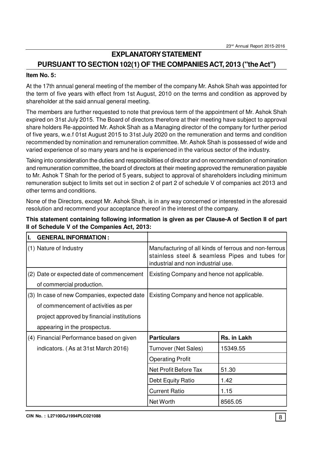## **EXPLANATORY STATEMENT PURSUANT TO SECTION 102(1) OF THE COMPANIES ACT, 2013 ("the Act")**

#### **Item No. 5:**

At the 17th annual general meeting of the member of the company Mr. Ashok Shah was appointed for the term of five years with effect from 1st August, 2010 on the terms and condition as approved by shareholder at the said annual general meeting.

The members are further requested to note that previous term of the appointment of Mr. Ashok Shah expired on 31st July 2015. The Board of directors therefore at their meeting have subject to approval share holders Re-appointed Mr. Ashok Shah as a Managing director of the company for further period of five years, w.e.f 01st August 2015 to 31st July 2020 on the remuneration and terms and condition recommended by nomination and remuneration committee. Mr. Ashok Shah is possessed of wide and varied experience of so many years and he is experienced in the various sector of the industry.

Taking into consideration the duties and responsibilities of director and on recommendation of nomination and remuneration committee, the board of directors at their meeting approved the remuneration payable to Mr. Ashok T Shah for the period of 5 years, subject to approval of shareholders including minimum remuneration subject to limits set out in section 2 of part 2 of schedule V of companies act 2013 and other terms and conditions.

None of the Directors, except Mr. Ashok Shah, is in any way concerned or interested in the aforesaid resolution and recommend your acceptance thereof in the interest of the company.

| This statement containing following information is given as per Clause-A of Section II of part |  |
|------------------------------------------------------------------------------------------------|--|
| Il of Schedule V of the Companies Act, 2013:                                                   |  |

| <b>GENERAL INFORMATION:</b>                                                                                                                                       |                                                                                                                                               |             |  |
|-------------------------------------------------------------------------------------------------------------------------------------------------------------------|-----------------------------------------------------------------------------------------------------------------------------------------------|-------------|--|
| (1) Nature of Industry                                                                                                                                            | Manufacturing of all kinds of ferrous and non-ferrous<br>stainless steel & seamless Pipes and tubes for<br>industrial and non industrial use. |             |  |
| (2) Date or expected date of commencement<br>of commercial production.                                                                                            | Existing Company and hence not applicable.                                                                                                    |             |  |
| (3) In case of new Companies, expected date<br>of commencement of activities as per<br>project approved by financial institutions<br>appearing in the prospectus. | Existing Company and hence not applicable.                                                                                                    |             |  |
| (4) Financial Performance based on given                                                                                                                          | <b>Particulars</b>                                                                                                                            | Rs. in Lakh |  |
| indicators. (As at 31st March 2016)                                                                                                                               | Turnover (Net Sales)                                                                                                                          | 15349.55    |  |
|                                                                                                                                                                   | <b>Operating Profit</b>                                                                                                                       |             |  |
|                                                                                                                                                                   | Net Profit Before Tax                                                                                                                         | 51.30       |  |
|                                                                                                                                                                   | Debt Equity Ratio                                                                                                                             | 1.42        |  |
|                                                                                                                                                                   | <b>Current Ratio</b>                                                                                                                          | 1.15        |  |
|                                                                                                                                                                   | Net Worth                                                                                                                                     | 8565.05     |  |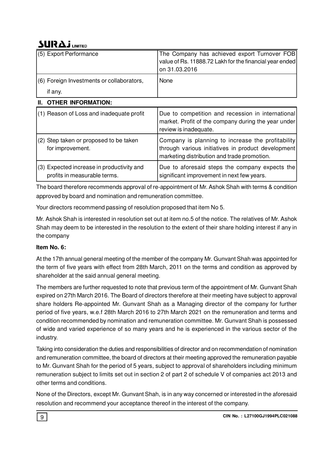# **SURAJ LIMITED**

| (5) Export Performance                                                    | The Company has achieved export Turnover FOB<br>value of Rs. 11888.72 Lakh for the financial year ended<br>on 31.03.2016                               |
|---------------------------------------------------------------------------|--------------------------------------------------------------------------------------------------------------------------------------------------------|
| (6) Foreign Investments or collaborators,                                 | None                                                                                                                                                   |
| if any.                                                                   |                                                                                                                                                        |
| <b>OTHER INFORMATION:</b><br>Ш.                                           |                                                                                                                                                        |
| (1) Reason of Loss and inadequate profit                                  | Due to competition and recession in international<br>market. Profit of the company during the year under<br>review is inadequate.                      |
| (2) Step taken or proposed to be taken<br>for improvement.                | Company is planning to increase the profitability<br>through various initiatives in product development<br>marketing distribution and trade promotion. |
| (3) Expected increase in productivity and<br>profits in measurable terms. | Due to aforesaid steps the company expects the<br>significant improvement in next few years.                                                           |

The board therefore recommends approval of re-appointment of Mr. Ashok Shah with terms & condition approved by board and nomination and remuneration committee.

Your directors recommend passing of resolution proposed that item No 5.

Mr. Ashok Shah is interested in resolution set out at item no.5 of the notice. The relatives of Mr. Ashok Shah may deem to be interested in the resolution to the extent of their share holding interest if any in the company

### **Item No. 6:**

At the 17th annual general meeting of the member of the company Mr. Gunvant Shah was appointed for the term of five years with effect from 28th March, 2011 on the terms and condition as approved by shareholder at the said annual general meeting.

The members are further requested to note that previous term of the appointment of Mr. Gunvant Shah expired on 27th March 2016. The Board of directors therefore at their meeting have subject to approval share holders Re-appointed Mr. Gunvant Shah as a Managing director of the company for further period of five years, w.e.f 28th March 2016 to 27th March 2021 on the remuneration and terms and condition recommended by nomination and remuneration committee. Mr. Gunvant Shah is possessed of wide and varied experience of so many years and he is experienced in the various sector of the industry.

Taking into consideration the duties and responsibilities of director and on recommendation of nomination and remuneration committee, the board of directors at their meeting approved the remuneration payable to Mr. Gunvant Shah for the period of 5 years, subject to approval of shareholders including minimum remuneration subject to limits set out in section 2 of part 2 of schedule V of companies act 2013 and other terms and conditions.

None of the Directors, except Mr. Gunvant Shah, is in any way concerned or interested in the aforesaid resolution and recommend your acceptance thereof in the interest of the company.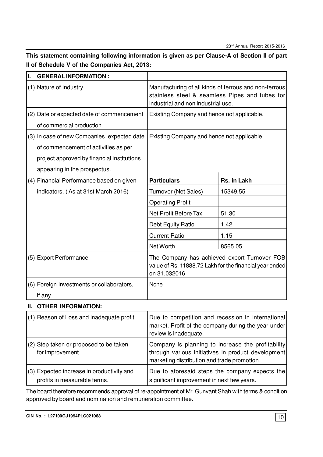**This statement containing following information is given as per Clause-A of Section II of part II of Schedule V of the Companies Act, 2013:**

| I.      | <b>GENERAL INFORMATION:</b>                                            |                                                                                                                                                        |             |  |
|---------|------------------------------------------------------------------------|--------------------------------------------------------------------------------------------------------------------------------------------------------|-------------|--|
|         | (1) Nature of Industry                                                 | Manufacturing of all kinds of ferrous and non-ferrous<br>stainless steel & seamless Pipes and tubes for<br>industrial and non industrial use.          |             |  |
|         | (2) Date or expected date of commencement<br>of commercial production. | Existing Company and hence not applicable.                                                                                                             |             |  |
|         | (3) In case of new Companies, expected date                            | Existing Company and hence not applicable.                                                                                                             |             |  |
|         |                                                                        |                                                                                                                                                        |             |  |
|         | of commencement of activities as per                                   |                                                                                                                                                        |             |  |
|         | project approved by financial institutions                             |                                                                                                                                                        |             |  |
|         | appearing in the prospectus.                                           |                                                                                                                                                        |             |  |
|         | (4) Financial Performance based on given                               | <b>Particulars</b>                                                                                                                                     | Rs. in Lakh |  |
|         | indicators. (As at 31st March 2016)                                    | Turnover (Net Sales)                                                                                                                                   | 15349.55    |  |
|         |                                                                        | <b>Operating Profit</b>                                                                                                                                |             |  |
|         |                                                                        | Net Profit Before Tax                                                                                                                                  | 51.30       |  |
|         |                                                                        | Debt Equity Ratio                                                                                                                                      | 1.42        |  |
|         |                                                                        | <b>Current Ratio</b>                                                                                                                                   | 1.15        |  |
|         |                                                                        | Net Worth                                                                                                                                              | 8565.05     |  |
|         | (5) Export Performance                                                 | The Company has achieved export Turnover FOB<br>value of Rs. 11888.72 Lakh for the financial year ended<br>on 31.032016                                |             |  |
|         | (6) Foreign Investments or collaborators,                              | None                                                                                                                                                   |             |  |
| if any. |                                                                        |                                                                                                                                                        |             |  |
|         | <b>OTHER INFORMATION:</b>                                              |                                                                                                                                                        |             |  |
|         | (1) Reason of Loss and inadequate profit                               | Due to competition and recession in international<br>market. Profit of the company during the year under<br>review is inadequate.                      |             |  |
|         | (2) Step taken or proposed to be taken<br>for improvement.             | Company is planning to increase the profitability<br>through various initiatives in product development<br>marketing distribution and trade promotion. |             |  |

(3) Expected increase in productivity and  $\Box$  Due to aforesaid steps the company expects the profits in measurable terms. significant improvement in next few years.

The board therefore recommends approval of re-appointment of Mr. Gunvant Shah with terms & condition approved by board and nomination and remuneration committee.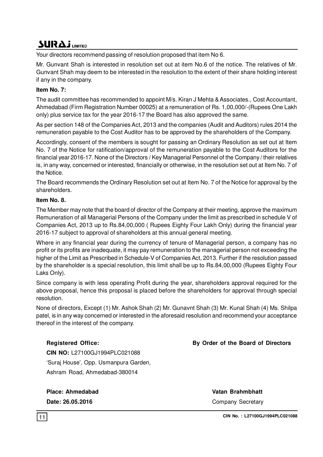# **SURA jummed**

Your directors recommend passing of resolution proposed that item No 6.

Mr. Gunvant Shah is interested in resolution set out at item No.6 of the notice. The relatives of Mr. Gunvant Shah may deem to be interested in the resolution to the extent of their share holding interest if any in the company.

### **Item No. 7:**

The audit committee has recommended to appoint M/s. Kiran J Mehta & Associates., Cost Accountant, Ahmedabad (Firm Registration Number 00025) at a remuneration of Rs. 1,00,000/-(Rupees One Lakh only) plus service tax for the year 2016-17 the Board has also approved the same.

As per section 148 of the Companies Act, 2013 and the companies (Audit and Auditors) rules 2014 the remuneration payable to the Cost Auditor has to be approved by the shareholders of the Company.

Accordingly, consent of the members is sought for passing an Ordinary Resolution as set out at Item No. 7 of the Notice for ratification/approval of the remuneration payable to the Cost Auditors for the financial year 2016-17. None of the Directors / Key Managerial Personnel of the Company / their relatives is, in any way, concerned or interested, financially or otherwise, in the resolution set out at Item No. 7 of the Notice.

The Board recommends the Ordinary Resolution set out at Item No. 7 of the Notice for approval by the shareholders.

#### **Item No. 8.**

The Member may note that the board of director of the Company at their meeting, approve the maximum Remuneration of all Managerial Persons of the Company under the limit as prescribed in schedule V of Companies Act, 2013 up to Rs.84,00,000 ( Rupees Eighty Four Lakh Only) during the financial year 2016-17 subject to approval of shareholders at this annual general meeting.

Where in any financial year during the currency of tenure of Managerial person, a company has no profit or its profits are inadequate, it may pay remuneration to the managerial person not exceeding the higher of the Limit as Prescribed in Schedule-V of Companies Act, 2013. Further if the resolution passed by the shareholder is a special resolution, this limit shall be up to Rs.84,00,000 (Rupees Eighty Four Laks Only).

Since company is with less operating Profit during the year, shareholders approval required for the above proposal, hence this proposal is placed before the shareholders for approval through special resolution.

None of directors, Except (1) Mr. Ashok Shah (2) Mr. Gunavnt Shah (3) Mr. Kunal Shah (4) Ms. Shilpa patel, is in any way concerned or interested in the aforesaid resolution and recommend your acceptance thereof in the interest of the company.

### **Registered Office: By Order of the Board of Directors**

**CIN NO:** L27100GJ1994PLC021088 'Suraj House', Opp. Usmanpura Garden, Ashram Road, Ahmedabad-380014

**Place: Ahmedabad Vatan Brahmbhatt Date: 26.05.2016** Company Secretary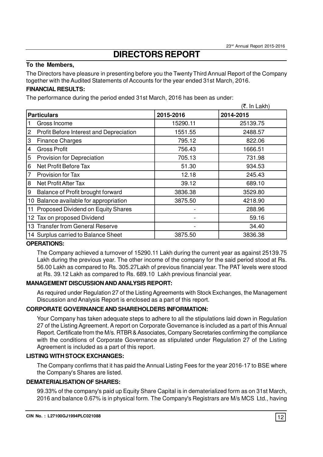# **DIRECTORS REPORT**

#### **To the Members,**

The Directors have pleasure in presenting before you the Twenty Third Annual Report of the Company together with the Audited Statements of Accounts for the year ended 31st March, 2016.

#### **FINANCIAL RESULTS:**

The performance during the period ended 31st March, 2016 has been as under:

|                    |                                         |           | (₹. In Lakh) |
|--------------------|-----------------------------------------|-----------|--------------|
| <b>Particulars</b> |                                         | 2015-2016 | 2014-2015    |
|                    | Gross Income                            | 15290.11  | 25139.75     |
| $\overline{c}$     | Profit Before Interest and Depreciation | 1551.55   | 2488.57      |
| 3                  | <b>Finance Charges</b>                  | 795.12    | 822.06       |
| $\overline{4}$     | <b>Gross Profit</b>                     | 756.43    | 1666.51      |
| 5                  | Provision for Depreciation              | 705.13    | 731.98       |
| 6                  | Net Profit Before Tax                   | 51.30     | 934.53       |
| $\overline{7}$     | Provision for Tax                       | 12.18     | 245.43       |
| $\boldsymbol{8}$   | Net Profit After Tax                    | 39.12     | 689.10       |
| 9                  | Balance of Profit brought forward       | 3836.38   | 3529.80      |
|                    | 10 Balance available for appropriation  | 3875.50   | 4218.90      |
|                    | Proposed Dividend on Equity Shares      |           | 288.96       |
|                    | 12 Tax on proposed Dividend             |           | 59.16        |
|                    | 13 Transfer from General Reserve        |           | 34.40        |
|                    | 14 Surplus carried to Balance Sheet     | 3875.50   | 3836.38      |

#### **OPERATIONS:**

The Company achieved a turnover of 15290.11 Lakh during the current year as against 25139.75 Lakh during the previous year. The other income of the company for the said period stood at Rs. 56.00 Lakh as compared to Rs. 305.27Lakh of previous financial year. The PAT levels were stood at Rs. 39.12 Lakh as compared to Rs. 689.10 Lakh previous financial year.

#### **MANAGEMENT DISCUSSION AND ANALYSIS REPORT:**

As required under Regulation 27 of the Listing Agreements with Stock Exchanges, the Management Discussion and Analysis Report is enclosed as a part of this report.

#### **CORPORATE GOVERNANCE AND SHAREHOLDERS INFORMATION:**

Your Company has taken adequate steps to adhere to all the stipulations laid down in Regulation 27 of the Listing Agreement. A report on Corporate Governance is included as a part of this Annual Report. Certificate from the M/s. RTBR & Associates, Company Secretaries confirming the compliance with the conditions of Corporate Governance as stipulated under Regulation 27 of the Listing Agreement is included as a part of this report.

#### **LISTING WITH STOCK EXCHANGES:**

The Company confirms that it has paid the Annual Listing Fees for the year 2016-17 to BSE where the Company's Shares are listed.

#### **DEMATERIALISATION OF SHARES:**

99.33% of the company's paid up Equity Share Capital is in dematerialized form as on 31st March, 2016 and balance 0.67% is in physical form. The Company's Registrars are M/s MCS Ltd., having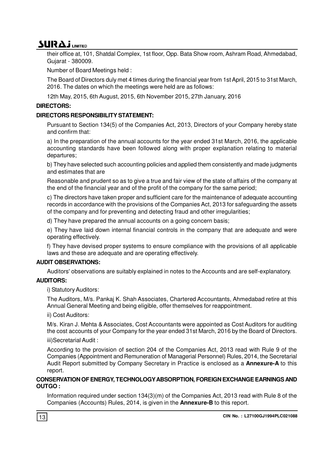# **SURAJ** IMITED

their office at, 101, Shatdal Complex, 1st floor, Opp. Bata Show room, Ashram Road, Ahmedabad, Gujarat - 380009.

Number of Board Meetings held :

The Board of Directors duly met 4 times during the financial year from 1st April, 2015 to 31st March, 2016. The dates on which the meetings were held are as follows:

12th May, 2015, 6th August, 2015, 6th November 2015, 27th January, 2016

#### **DIRECTORS:**

#### **DIRECTORS RESPONSIBILITY STATEMENT:**

Pursuant to Section 134(5) of the Companies Act, 2013, Directors of your Company hereby state and confirm that:

a) In the preparation of the annual accounts for the year ended 31st March, 2016, the applicable accounting standards have been followed along with proper explanation relating to material departures;

b) They have selected such accounting policies and applied them consistently and made judgments and estimates that are

Reasonable and prudent so as to give a true and fair view of the state of affairs of the company at the end of the financial year and of the profit of the company for the same period;

c) The directors have taken proper and sufficient care for the maintenance of adequate accounting records in accordance with the provisions of the Companies Act, 2013 for safeguarding the assets of the company and for preventing and detecting fraud and other irregularities;

d) They have prepared the annual accounts on a going concern basis;

e) They have laid down internal financial controls in the company that are adequate and were operating effectively.

f) They have devised proper systems to ensure compliance with the provisions of all applicable laws and these are adequate and are operating effectively.

#### **AUDIT OBSERVATIONS:**

Auditors' observations are suitably explained in notes to the Accounts and are self-explanatory.

#### **AUDITORS:**

i) Statutory Auditors:

The Auditors, M/s. Pankaj K. Shah Associates, Chartered Accountants, Ahmedabad retire at this Annual General Meeting and being eligible, offer themselves for reappointment.

#### ii) Cost Auditors:

M/s. Kiran J. Mehta & Associates, Cost Accountants were appointed as Cost Auditors for auditing the cost accounts of your Company for the year ended 31st March, 2016 by the Board of Directors. iii)Secretarial Audit :

According to the provision of section 204 of the Companies Act, 2013 read with Rule 9 of the Companies (Appointment and Remuneration of Managerial Personnel) Rules, 2014, the Secretarial Audit Report submitted by Company Secretary in Practice is enclosed as a **Annexure-A** to this report.

#### **CONSERVATION OF ENERGY, TECHNOLOGY ABSORPTION, FOREIGN EXCHANGE EARNINGS AND OUTGO :**

Information required under section 134(3)(m) of the Companies Act, 2013 read with Rule 8 of the Companies (Accounts) Rules, 2014, is given in the **Annexure-B** to this report.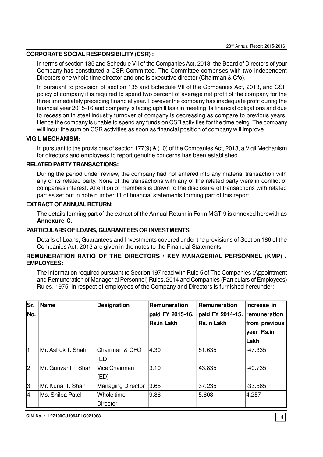#### **CORPORATE SOCIAL RESPONSIBILITY (CSR) :**

In terms of section 135 and Schedule VII of the Companies Act, 2013, the Board of Directors of your Company has constituted a CSR Committee. The Committee comprises with two Independent Directors one whole time director and one is executive director (Chairman & Cfo).

In pursuant to provision of section 135 and Schedule VII of the Companies Act, 2013, and CSR policy of company it is required to spend two percent of average net profit of the company for the three immediately preceding financial year. However the company has inadequate profit during the financial year 2015-16 and company is facing uphill task in meeting its financial obligations and due to recession in steel industry turnover of company is decreasing as compare to previous years. Hence the company is unable to spend any funds on CSR activities for the time being. The company will incur the sum on CSR activities as soon as financial position of company will improve.

#### **VIGIL MECHANISM:**

In pursuant to the provisions of section 177(9) & (10) of the Companies Act, 2013, a Vigil Mechanism for directors and employees to report genuine concerns has been established.

#### **RELATED PARTY TRANSACTIONS:**

During the period under review, the company had not entered into any material transaction with any of its related party. None of the transactions with any of the related party were in conflict of companies interest. Attention of members is drawn to the disclosure of transactions with related parties set out in note number 11 of financial statements forming part of this report.

#### **EXTRACT OF ANNUAL RETURN:**

The details forming part of the extract of the Annual Return in Form MGT-9 is annexed herewith as **Annexure-C**.

#### **PARTICULARS OF LOANS, GUARANTEES OR INVESTMENTS**

Details of Loans, Guarantees and Investments covered under the provisions of Section 186 of the Companies Act, 2013 are given in the notes to the Financial Statements.

#### **REMUNERATION RATIO OF THE DIRECTORS / KEY MANAGERIAL PERSONNEL (KMP) / EMPLOYEES:**

The information required pursuant to Section 197 read with Rule 5 of The Companies (Appointment and Remuneration of Managerial Personnel) Rules, 2014 and Companies (Particulars of Employees) Rules, 1975, in respect of employees of the Company and Directors is furnished hereunder:

| lSr.<br>No. | <b>Name</b>         | <b>Designation</b>            | <b>Remuneration</b><br>paid FY 2015-16.<br><b>Rs.in Lakh</b> | <b>Remuneration</b><br>paid FY 2014-15. remuneration<br><b>Rs.in Lakh</b> | Increase in<br>from previous<br>year Rs.in<br>Lakh |
|-------------|---------------------|-------------------------------|--------------------------------------------------------------|---------------------------------------------------------------------------|----------------------------------------------------|
| 1           | Mr. Ashok T. Shah   | Chairman & CFO<br>(ED)        | 4.30                                                         | 51.635                                                                    | $-47.335$                                          |
| l2          | Mr. Gunvant T. Shah | Vice Chairman<br>(ED)         | 3.10                                                         | 43.835                                                                    | $-40.735$                                          |
| 3           | Mr. Kunal T. Shah   | <b>Managing Director</b>      | 3.65                                                         | 37.235                                                                    | $-33.585$                                          |
| 14          | Ms. Shilpa Patel    | Whole time<br><b>Director</b> | 9.86                                                         | 5.603                                                                     | 4.257                                              |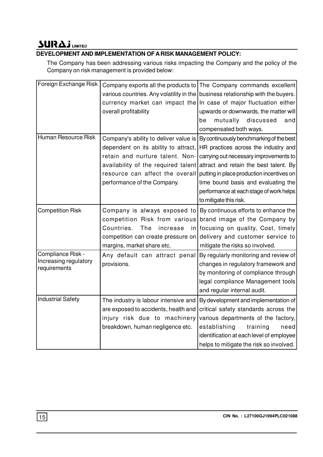# **SURAJ LIMITED**

### **DEVELOPMENT AND IMPLEMENTATION OF A RISK MANAGEMENT POLICY:**

The Company has been addressing various risks impacting the Company and the policy of the Company on risk management is provided below:

| Foreign Exchange Risk                                     | overall profitability                                                                                                                                                            | Company exports all the products to The Company commands excellent<br>various countries. Any volatility in the business relationship with the buyers.<br>currency market can impact the In case of major fluctuation either<br>upwards or downwards, the matter will<br>mutually<br>discussed<br>be<br>and<br>compensated both ways.                                |
|-----------------------------------------------------------|----------------------------------------------------------------------------------------------------------------------------------------------------------------------------------|---------------------------------------------------------------------------------------------------------------------------------------------------------------------------------------------------------------------------------------------------------------------------------------------------------------------------------------------------------------------|
| Human Resource Risk                                       | dependent on its ability to attract,<br>retain and nurture talent. Non-<br>availability of the required talent<br>resource can affect the overall<br>performance of the Company. | Company's ability to deliver value is By continuously benchmarking of the best<br>HR practices across the industry and<br>carrying out necessary improvements to<br>attract and retain the best talent. By<br>putting in place production incentives on<br>time bound basis and evaluating the<br>performance at each stage of work helps<br>to mitigate this risk. |
| <b>Competition Risk</b>                                   | Company is always exposed to<br>competition Risk from various<br>Countries.<br>The<br>increase<br>in<br>competition can create pressure on<br>margins, market share etc.         | By continuous efforts to enhance the<br>brand image of the Company by<br>focusing on quality, Cost, timely<br>delivery and customer service to<br>mitigate the risks so involved.                                                                                                                                                                                   |
| Compliance Risk-<br>Increasing regulatory<br>requirements | Any default can attract penal<br>provisions.                                                                                                                                     | By regularly monitoring and review of<br>changes in regulatory framework and<br>by monitoring of compliance through<br>legal compliance Management tools<br>and regular internal audit.                                                                                                                                                                             |
| <b>Industrial Safety</b>                                  | The industry is labour intensive and<br>are exposed to accidents, health and<br>injury risk due to machinery<br>breakdown, human negligence etc.                                 | By development and implementation of<br>critical safety standards across the<br>various departments of the factory,<br>establishing<br>training<br>need<br>identification at each level of employee<br>helps to mitigate the risk so involved.                                                                                                                      |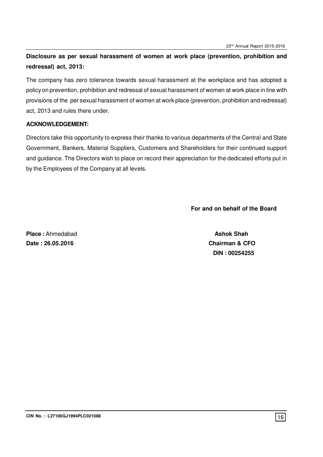### **Disclosure as per sexual harassment of women at work place (prevention, prohibition and redressal) act, 2013:**

The company has zero tolerance towards sexual harassment at the workplace and has adopted a policy on prevention, prohibition and redressal of sexual harassment of women at work place in line with provisions of the per sexual harassment of women at work place (prevention, prohibition and redressal) act, 2013 and rules there under.

#### **ACKNOWLEDGEMENT:**

Directors take this opportunity to express their thanks to various departments of the Central and State Government, Bankers, Material Suppliers, Customers and Shareholders for their continued support and guidance. The Directors wish to place on record their appreciation for the dedicated efforts put in by the Employees of the Company at all levels.

 **For and on behalf of the Board**

**Place :** Ahmedabad **Ashok Shah Ashok Shah Date : 26.05.2016 Chairman & CFO**

**DIN : 00254255**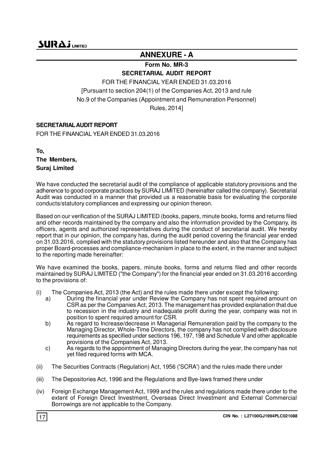### **ANNEXURE - A**

#### **Form No. MR-3**

### **SECRETARIAL AUDIT REPORT**

FOR THE FINANCIAL YEAR ENDED 31.03.2016 [Pursuant to section 204(1) of the Companies Act, 2013 and rule No.9 of the Companies (Appointment and Remuneration Personnel)

Rules, 2014]

#### **SECRETARIAL AUDIT REPORT**

FOR THE FINANCIAL YEAR ENDED 31.03.2016

### **To, The Members, Suraj Limited**

We have conducted the secretarial audit of the compliance of applicable statutory provisions and the adherence to good corporate practices by SURAJ LIMITED (hereinafter called the company). Secretarial Audit was conducted in a manner that provided us a reasonable basis for evaluating the corporate conducts/statutory compliances and expressing our opinion thereon.

Based on our verification of the SURAJ LIMITED (books, papers, minute books, forms and returns filed and other records maintained by the company and also the information provided by the Company, its officers, agents and authorized representatives during the conduct of secretarial audit. We hereby report that in our opinion, the company has, during the audit period covering the financial year ended on 31.03.2016, complied with the statutory provisions listed hereunder and also that the Company has proper Board-processes and compliance-mechanism in place to the extent, in the manner and subject to the reporting made hereinafter:

We have examined the books, papers, minute books, forms and returns filed and other records maintained by SURAJ LIMITED ("the Company") for the financial year ended on 31.03.2016 according to the provisions of:

- (i) The Companies Act, 2013 (the Act) and the rules made there under except the following:
	- a) During the financial year under Review the Company has not spent required amount on CSR as per the Companies Act, 2013. The management has provided explanation that due to recession in the industry and inadequate profit during the year, company was not in position to spent required amount for CSR.
	- b) As regard to Increase/decrease in Managerial Remuneration paid by the company to the Managing Director, Whole-Time Directors, the company has not complied with disclosure requirements as specified under sections 196, 197, 198 and Schedule V and other applicable provisions of the Companies Act, 2013.
	- c) As regards to the appointment of Managing Directors during the year, the company has not yet filed required forms with MCA.
- (ii) The Securities Contracts (Regulation) Act, 1956 ('SCRA') and the rules made there under
- (iii) The Depositories Act, 1996 and the Regulations and Bye-laws framed there under
- (iv) Foreign Exchange Management Act, 1999 and the rules and regulations made there under to the extent of Foreign Direct Investment, Overseas Direct Investment and External Commercial Borrowings are not applicable to the Company.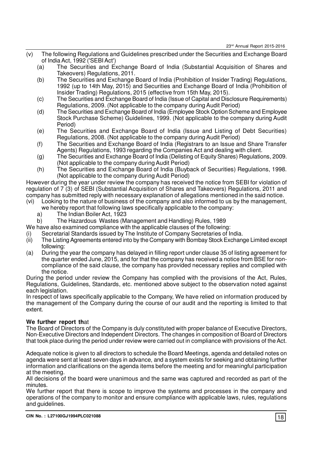- (v) The following Regulations and Guidelines prescribed under the Securities and Exchange Board of India Act, 1992 ('SEBI Act')
	- (a) The Securities and Exchange Board of India (Substantial Acquisition of Shares and Takeovers) Regulations, 2011.
	- (b) The Securities and Exchange Board of India (Prohibition of Insider Trading) Regulations, 1992 (up to 14th May, 2015) and Securities and Exchange Board of India (Prohibition of Insider Trading) Regulations, 2015 (effective from 15th May, 2015).
	- (c) The Securities and Exchange Board of India (Issue of Capital and Disclosure Requirements) Regulations, 2009. (Not applicable to the company during Audit Period)
	- (d) The Securities and Exchange Board of India (Employee Stock Option Scheme and Employee Stock Purchase Scheme) Guidelines, 1999. (Not applicable to the company during Audit Period)
	- (e) The Securities and Exchange Board of India (Issue and Listing of Debt Securities) Regulations, 2008. (Not applicable to the company during Audit Period)
	- (f) The Securities and Exchange Board of India (Registrars to an Issue and Share Transfer Agents) Regulations, 1993 regarding the Companies Act and dealing with client.
	- (g) The Securities and Exchange Board of India (Delisting of Equity Shares) Regulations, 2009. (Not applicable to the company during Audit Period)
	- (h) The Securities and Exchange Board of India (Buyback of Securities) Regulations, 1998. (Not applicable to the company during Audit Period)

However during the year under review the company has received the notice from SEBI for violation of regulation of 7 (3) of SEBI (Substantial Acquisition of Shares and Takeovers) Regulations, 2011 and company has submitted reply with necessary explanation of allegations mentioned in the said notice.

- (vi) Looking to the nature of business of the company and also informed to us by the management, we hereby report that following laws specifically applicable to the company:
	- a) The Indian Boiler Act, 1923
	- b) The Hazardous Wastes (Management and Handling) Rules, 1989
- We have also examined compliance with the applicable clauses of the following:
- Secretarial Standards issued by The Institute of Company Secretaries of India.
- (ii) The Listing Agreements entered into by the Company with Bombay Stock Exchange Limited except following:
- (a) During the year the company has delayed in filling report under clause 35 of listing agreement for the quarter ended June, 2015, and for that the company has received a notice from BSE for noncompliance of the said clause, the company has provided necessary replies and complied with the notice.

During the period under review the Company has complied with the provisions of the Act, Rules, Regulations, Guidelines, Standards, etc. mentioned above subject to the observation noted against each legislation.

In respect of laws specifically applicable to the Company, We have relied on information produced by the management of the Company during the course of our audit and the reporting is limited to that extent.

#### **We further report th**at

The Board of Directors of the Company is duly constituted with proper balance of Executive Directors, Non-Executive Directors and Independent Directors. The changes in composition of Board of Directors that took place during the period under review were carried out in compliance with provisions of the Act.

Adequate notice is given to all directors to schedule the Board Meetings, agenda and detailed notes on agenda were sent at least seven days in advance, and a system exists for seeking and obtaining further information and clarifications on the agenda items before the meeting and for meaningful participation at the meeting.

All decisions of the board were unanimous and the same was captured and recorded as part of the minutes.

We further report that there is scope to improve the systems and processes in the company and operations of the company to monitor and ensure compliance with applicable laws, rules, regulations and guidelines.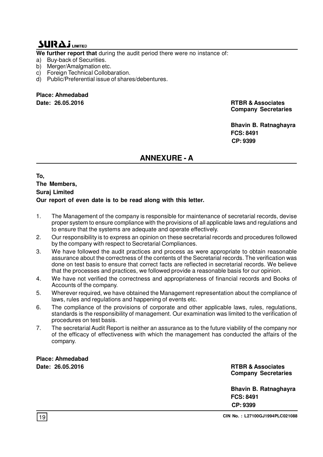# **SURA JUNITED**

**We further report that** during the audit period there were no instance of:

- a) Buy-back of Securities.
- b) Merger/Amalgmation etc.
- c) Foreign Technical Collobaration.
- d) Public/Preferential issue of shares/debentures.

#### **Place: Ahmedabad**

**Date: 26.05.2016 RTBR & Associates Company Secretaries**

> **Bhavin B. Ratnaghayra FCS: 8491 CP: 9399**

### **ANNEXURE - A**

### **To, The Members, Suraj Limited**

### **Our report of even date is to be read along with this letter.**

- 1. The Management of the company is responsible for maintenance of secretarial records, devise proper system to ensure compliance with the provisions of all applicable laws and regulations and to ensure that the systems are adequate and operate effectively.
- 2. Our responsibility is to express an opinion on these secretarial records and procedures followed by the company with respect to Secretarial Compliances.
- 3. We have followed the audit practices and process as were appropriate to obtain reasonable assurance about the correctness of the contents of the Secretarial records. The verification was done on test basis to ensure that correct facts are reflected in secretarial records. We believe that the processes and practices, we followed provide a reasonable basis for our opinion.
- 4. We have not verified the correctness and appropriateness of financial records and Books of Accounts of the company.
- 5. Wherever required, we have obtained the Management representation about the compliance of laws, rules and regulations and happening of events etc.
- 6. The compliance of the provisions of corporate and other applicable laws, rules, regulations, standards is the responsibility of management. Our examination was limited to the verification of procedures on test basis.
- 7. The secretarial Audit Report is neither an assurance as to the future viability of the company nor of the efficacy of effectiveness with which the management has conducted the affairs of the company.

**Place: Ahmedabad**

**Date: 26.05.2016 RTBR & Associates Company Secretaries**

> **Bhavin B. Ratnaghayra FCS: 8491 CP: 9399**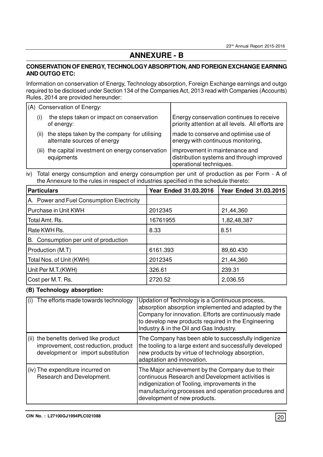### **ANNEXURE - B**

#### **CONSERVATION OF ENERGY, TECHNOLOGY ABSORPTION, AND FOREIGN EXCHANGE EARNING AND OUTGO ETC:**

Information on conservation of Energy, Technology absorption, Foreign Exchange earnings and outgo required to be disclosed under Section 134 of the Companies Act, 2013 read with Companies (Accounts) Rules, 2014 are provided hereunder:

|       | (A) Conservation of Energy:                                                 |                                                                                                        |
|-------|-----------------------------------------------------------------------------|--------------------------------------------------------------------------------------------------------|
|       | the steps taken or impact on conservation<br>of energy:                     | Energy conservation continues to receive<br>priority attention at all levels. All efforts are          |
| (ii)  | the steps taken by the company for utilising<br>alternate sources of energy | made to conserve and optimise use of<br>energy with continuous monitoring,                             |
| (iii) | the capital investment on energy conservation<br>equipments                 | improvement in maintenance and<br>distribution systems and through improved<br>operational techniques. |

iv) Total energy consumption and energy consumption per unit of production as per Form - A of the Annexure to the rules in respect of industries specified in the schedule thereto:

| <b>Particulars</b>                        | <b>Year Ended 31.03.2016</b> | Year Ended 31.03.2015 |
|-------------------------------------------|------------------------------|-----------------------|
| A. Power and Fuel Consumption Electricity |                              |                       |
| Purchase in Unit KWH                      | 2012345                      | 21,44,360             |
| Total Amt. Rs.                            | 16761955                     | 1,82,48,387           |
| Rate KWH Rs.                              | 8.33                         | 8.51                  |
| B. Consumption per unit of production     |                              |                       |
| Production (M.T)                          | 6161.393                     | 89,60.430             |
| Total Nos. of Unit (KWH)                  | 2012345                      | 21,44,360             |
| Unit Per M.T. (KWH)                       | 326.61                       | 239.31                |
| Cost per M.T. Rs.                         | 2720.52                      | 2,036.55              |

#### **(B) Technology absorption:**

| The efforts made towards technology                                                                                     | Updation of Technology is a Continuous process,<br>absorption absorption implemented and adapted by the<br>Company for innovation. Efforts are continuously made<br>to develop new products required in the Engineering<br>Industry & in the Oil and Gas Industry. |
|-------------------------------------------------------------------------------------------------------------------------|--------------------------------------------------------------------------------------------------------------------------------------------------------------------------------------------------------------------------------------------------------------------|
| the benefits derived like product<br>(II)<br>improvement, cost reduction, product<br>development or import substitution | The Company has been able to successfully indigenize<br>the tooling to a large extent and successfully developed<br>new products by virtue of technology absorption,<br>adaptation and innovation.                                                                 |
| (iv) The expenditure incurred on<br>Research and Development.                                                           | The Major achievement by the Company due to their<br>continuous Research and Development activities is<br>indigenization of Tooling, improvements in the<br>manufacturing processes and operation procedures and<br>development of new products.                   |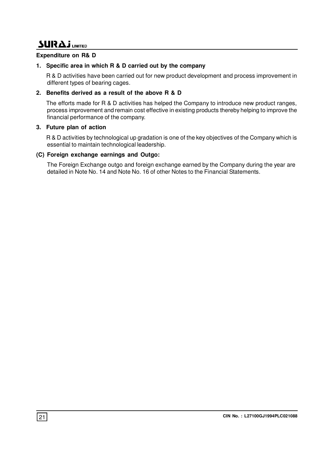# $SURAJ$

#### **Expenditure on R& D**

#### **1. Specific area in which R & D carried out by the company**

R & D activities have been carried out for new product development and process improvement in different types of bearing cages.

#### **2. Benefits derived as a result of the above R & D**

The efforts made for R & D activities has helped the Company to introduce new product ranges, process improvement and remain cost effective in existing products thereby helping to improve the financial performance of the company.

#### **3. Future plan of action**

R & D activities by technological up gradation is one of the key objectives of the Company which is essential to maintain technological leadership.

#### **(C) Foreign exchange earnings and Outgo:**

The Foreign Exchange outgo and foreign exchange earned by the Company during the year are detailed in Note No. 14 and Note No. 16 of other Notes to the Financial Statements.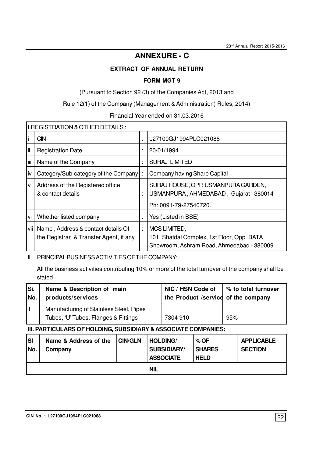## **ANNEXURE - C**

#### **EXTRACT OF ANNUAL RETURN**

#### **FORM MGT 9**

(Pursuant to Section 92 (3) of the Companies Act, 2013 and

Rule 12(1) of the Company (Management & Administration) Rules, 2014)

Financial Year ended on 31.03.2016

|           | <b>I.REGISTRATION &amp; OTHER DETAILS:</b>                                    |   |                                                                                                         |
|-----------|-------------------------------------------------------------------------------|---|---------------------------------------------------------------------------------------------------------|
|           | <b>CIN</b>                                                                    |   | L27100GJ1994PLC021088                                                                                   |
| İΪ        | <b>Registration Date</b>                                                      |   | 20/01/1994                                                                                              |
| liii.     | Name of the Company                                                           |   | <b>SURAJ LIMITED</b>                                                                                    |
| <b>iv</b> | Category/Sub-category of the Company                                          | ÷ | Company having Share Capital                                                                            |
| v         | Address of the Registered office<br>& contact details                         |   | SURAJ HOUSE, OPP. USMANPURA GARDEN,<br>USMANPURA, AHMEDABAD, Gujarat - 380014<br>Ph: 0091-79-27540720.  |
| vi        | Whether listed company                                                        |   | Yes (Listed in BSE)                                                                                     |
| vii       | Name, Address & contact details Of<br>the Registrar & Transfer Agent, if any. | ÷ | MCS LIMITED,<br>101, Shatdal Complex, 1st Floor, Opp. BATA<br>Showroom, Ashram Road, Ahmedabad - 380009 |

II. PRINCIPAL BUSINESS ACTIVITIES OF THE COMPANY:

All the business activities contributing 10% or more of the total turnover of the company shall be stated

| Si. | Name & Description of main                                                      | NIC / HSN Code of                   | │ % to total turnover |
|-----|---------------------------------------------------------------------------------|-------------------------------------|-----------------------|
| No. | products/services                                                               | the Product /service of the company |                       |
|     | Manufacturing of Stainless Steel, Pipes<br>Tubes, 'U' Tubes, Flanges & Fittings | 7304 910                            | 95%                   |

#### **III. PARTICULARS OF HOLDING, SUBSIDIARY & ASSOCIATE COMPANIES:**

| <b>SI</b><br>No. | Name & Address of the<br>Company | <b>ICIN/GLN</b> | I HOLDING/<br><b>SUBSIDIARY/</b><br><b>ASSOCIATE</b> | $%$ OF<br><b>SHARES</b><br><b>HELD</b> | <b>APPLICABLE</b><br><b>SECTION</b> |  |  |  |  |  |
|------------------|----------------------------------|-----------------|------------------------------------------------------|----------------------------------------|-------------------------------------|--|--|--|--|--|
|                  | <b>NIL</b>                       |                 |                                                      |                                        |                                     |  |  |  |  |  |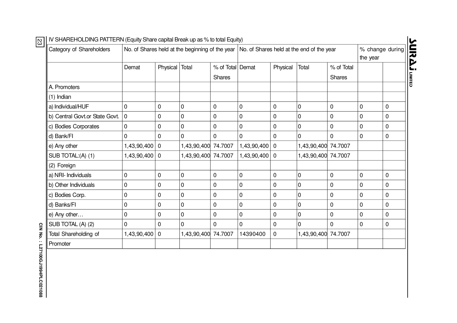| Category of Shareholders       |                 | No. of Shares held at the beginning of the year   No. of Shares held at the end of the year |                     |                     |                | % change during<br>the year |                     |             |             |           |
|--------------------------------|-----------------|---------------------------------------------------------------------------------------------|---------------------|---------------------|----------------|-----------------------------|---------------------|-------------|-------------|-----------|
|                                | Demat           | Physical Total                                                                              |                     | % of Total Demat    |                | Physical                    | Total               | % of Total  |             |           |
|                                |                 |                                                                                             |                     | Shares              |                |                             |                     | Shares      |             |           |
| A. Promoters                   |                 |                                                                                             |                     |                     |                |                             |                     |             |             |           |
| $(1)$ Indian                   |                 |                                                                                             |                     |                     |                |                             |                     |             |             |           |
| a) Individual/HUF              | $\mathbf 0$     | 0                                                                                           | $\pmb{0}$           | $\mathbf 0$         | $\pmb{0}$      | 0                           | $\mathbf 0$         | $\pmb{0}$   | $\pmb{0}$   | 0         |
| b) Central Govt.or State Govt. | $\mathbf 0$     | 0                                                                                           | $\mathbf 0$         | $\mathbf 0$         | $\mathbf 0$    | $\mathbf 0$                 | $\mathbf 0$         | $\mathbf 0$ | $\mathbf 0$ | 0         |
| c) Bodies Corporates           | $\mathbf 0$     | 0                                                                                           | $\mathbf 0$         | $\mathsf 0$         | $\mathbf 0$    | 0                           | $\mathbf 0$         | $\mathbf 0$ | 0           | 0         |
| d) Bank/FI                     | 0               | 0                                                                                           | $\overline{0}$      | $\mathbf 0$         | $\mathbf 0$    | 0                           | $\mathbf 0$         | $\mathbf 0$ | 0           | 0         |
| e) Any other                   | 1,43,90,400     | $\overline{0}$                                                                              | 1,43,90,400 74.7007 |                     | 1,43,90,400    | $\mathbf 0$                 | 1,43,90,400 74.7007 |             |             |           |
| SUB TOTAL:(A) (1)              | $1,43,90,400$ 0 |                                                                                             | 1,43,90,400 74.7007 |                     | 1,43,90,400    | $\mathbf 0$                 | 1,43,90,400 74.7007 |             |             |           |
| (2) Foreign                    |                 |                                                                                             |                     |                     |                |                             |                     |             |             |           |
| a) NRI- Individuals            | $\pmb{0}$       | 0                                                                                           | $\pmb{0}$           | $\mathsf{O}\xspace$ | 0              | $\pmb{0}$                   | $\pmb{0}$           | $\pmb{0}$   | $\mathbf 0$ | 0         |
| b) Other Individuals           | $\pmb{0}$       | 0                                                                                           | $\pmb{0}$           | $\pmb{0}$           | 0              | $\pmb{0}$                   | $\pmb{0}$           | $\mathbf 0$ | 0           | $\pmb{0}$ |
| c) Bodies Corp.                | $\pmb{0}$       | 0                                                                                           | $\mathbf 0$         | $\pmb{0}$           | $\pmb{0}$      | 0                           | $\pmb{0}$           | $\mathbf 0$ | 0           | 0         |
| d) Banks/FI                    | 0               | 0                                                                                           | 0                   | $\pmb{0}$           | $\pmb{0}$      | 0                           | $\pmb{0}$           | $\mathbf 0$ | 0           | 0         |
| e) Any other                   | $\mathbf 0$     | 0                                                                                           | $\mathbf 0$         | $\mathbf 0$         | $\mathbf 0$    | $\mathbf 0$                 | $\mathbf 0$         | $\mathbf 0$ | $\mathbf 0$ | 0         |
| SUB TOTAL (A) (2)              | $\mathbf 0$     | 0                                                                                           | $\mathbf 0$         | $\mathsf 0$         | $\overline{0}$ | 0                           | $\overline{0}$      | $\mathbf 0$ | $\mathbf 0$ | $\pmb{0}$ |
| Total Shareholding of          | 1,43,90,400     | $\overline{0}$                                                                              | 1,43,90,400 74.7007 |                     | 14390400       | $\pmb{0}$                   | 1,43,90,400 74.7007 |             |             |           |
| Promoter                       |                 |                                                                                             |                     |                     |                |                             |                     |             |             |           |

23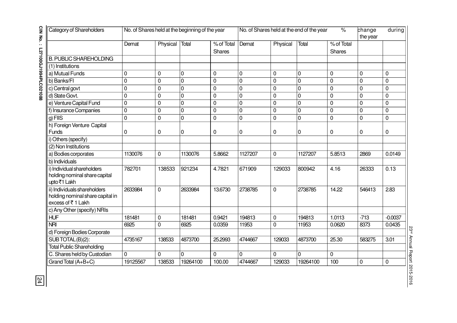| <b>Category of Shareholders</b>                                                       |                     |                | No. of Shares held at the beginning of the year |                             |                | No. of Shares held at the end of the year |                | $\frac{1}{2}$        | change<br>the year | during         |
|---------------------------------------------------------------------------------------|---------------------|----------------|-------------------------------------------------|-----------------------------|----------------|-------------------------------------------|----------------|----------------------|--------------------|----------------|
|                                                                                       | Demat               | Physical       | Total                                           | % of Total<br><b>Shares</b> | Demat          | Physical                                  | Total          | % of Total<br>Shares |                    |                |
| <b>B. PUBLIC SHAREHOLDING</b>                                                         |                     |                |                                                 |                             |                |                                           |                |                      |                    |                |
| (1) Institutions                                                                      |                     |                |                                                 |                             |                |                                           |                |                      |                    |                |
| a) Mutual Funds                                                                       | 0                   | 0              | $\mathbf 0$                                     | 0                           | 0              | 0                                         | 0              | $\pmb{0}$            | 0                  | 0              |
| b) Banks/FI                                                                           | $\mathbf 0$         | $\mathbf 0$    | $\overline{0}$                                  | $\mathbf 0$                 | $\overline{0}$ | 0                                         | $\overline{0}$ | $\mathbf 0$          | $\mathbf 0$        | $\overline{0}$ |
| c) Central govt                                                                       | $\mathbf 0$         | 0              | $\mathbf 0$                                     | $\Omega$                    | 0              | 0                                         | $\Omega$       | $\mathbf 0$          | $\mathbf 0$        | 0              |
| d) State Govt.                                                                        | $\mathbf 0$         | 0              | $\mathbf 0$                                     | $\mathbf 0$                 | 0              | 0                                         | $\mathbf 0$    | $\mathbf 0$          | 0                  | 0              |
| e) Venture Capital Fund                                                               | $\mathbf 0$         | 0              | $\mathbf 0$                                     | 0                           | $\overline{0}$ | 0                                         | $\mathbf 0$    | $\mathbf 0$          | 0                  | 0              |
| f) Insurance Companies                                                                | $\mathbf 0$         | $\pmb{0}$      | $\mathbf 0$                                     | 0                           | 0              | 0                                         | $\mathbf 0$    | $\pmb{0}$            | 0                  | $\pmb{0}$      |
| $g$ ) FIIS                                                                            | $\mathbf 0$         | $\mathbf 0$    | $\overline{0}$                                  | $\mathbf 0$                 | $\overline{0}$ | 0                                         | $\overline{0}$ | $\mathbf 0$          | $\overline{0}$     | 0              |
| h) Foreign Venture Capital<br>Funds                                                   | 0                   | 0              | 0                                               | 0                           | 0              | 0                                         | 0              | 0                    | 0                  | 0              |
|                                                                                       |                     |                |                                                 |                             |                |                                           |                |                      |                    |                |
| (2) Non Institutions                                                                  |                     |                |                                                 |                             |                |                                           |                |                      |                    |                |
| a) Bodies corporates                                                                  | 1130076             | $\Omega$       | 1130076                                         | 5.8662                      | 1127207        | 0                                         | 1127207        | 5.8513               | 2869               | 0.0149         |
| b) Individuals                                                                        |                     |                |                                                 |                             |                |                                           |                |                      |                    |                |
| i) Individual shareholders<br>holding nominal share capital<br>upto₹1 Lakh            | 782701              | 138533         | 921234                                          | 4.7821                      | 671909         | 129033                                    | 800942         | 4.16                 | 26333              | 0.13           |
| ii) Individuals shareholders<br>holding nominal share capital in<br>excess of ₹1 Lakh | 2633984             | $\overline{0}$ | 2633984                                         | 13.6730                     | 2738785        | 0                                         | 2738785        | 14.22                | 546413             | 2.83           |
| c) Any Other (specify) NRIs                                                           |                     |                |                                                 |                             |                |                                           |                |                      |                    |                |
| <b>HUF</b>                                                                            | 181481              | 0              | 181481                                          | 0.9421                      | 194813         | 0                                         | 194813         | 1.0113               | $-713$             | $-0.0037$      |
| <b>NRI</b>                                                                            | 6925                | 0              | 6925                                            | 0.0359                      | 11953          | 0                                         | 11953          | 0.0620               | 8373               | 0.0435         |
| d) Foreign Bodies Corporate                                                           |                     |                |                                                 |                             |                |                                           |                |                      |                    |                |
| SUBTOTAL(B)(2):                                                                       | 4735167             | 138533         | 4873700                                         | 25.2993                     | 4744667        | 129033                                    | 4873700        | 25.30                | 583275             | 3.01           |
| <b>Total Public Shareholding</b>                                                      |                     |                |                                                 |                             |                |                                           |                |                      |                    |                |
| C. Shares held by Custodian                                                           | $\Omega$            | 0              | $\Omega$                                        | 0                           | $\Omega$       | 0                                         | $\Omega$       | $\mathbf 0$          |                    |                |
| Grand Total (A+B+C)                                                                   | 19125567            | 138533         | 19264100                                        | 100.00                      | 4744667        | 129033                                    | 19264100       | 100                  | $\mathbf 0$        | $\pmb{0}$      |
|                                                                                       | i) Others (specify) |                |                                                 |                             |                |                                           |                |                      |                    |                |

**CIN No. : L27100GJ1994PLC021088**

23m Annual Report 2015-2016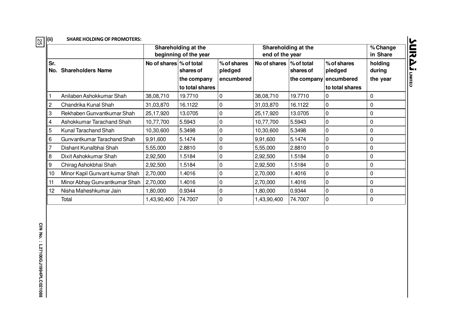|                                |                       | <b>Shareholding at the</b><br>beginning of the year |                                             |              | end of the year         |                        |                                           |  |
|--------------------------------|-----------------------|-----------------------------------------------------|---------------------------------------------|--------------|-------------------------|------------------------|-------------------------------------------|--|
|                                |                       | shares of<br>the company                            | % of shares<br>pledged<br>encumbered        | No of shares | % of total<br>shares of | % of shares<br>pledged | holding<br>during<br>the year             |  |
| Anilaben Ashokkumar Shah       | 38,08,710             | 19.7710                                             | 0                                           | 38,08,710    | 19.7710                 | $\mathbf 0$            | $\mathbf 0$                               |  |
| Chandrika Kunal Shah           | 31,03,870             | 16.1122                                             | 0                                           | 31,03,870    | 16.1122                 | $\pmb{0}$              | 0                                         |  |
| Rekhaben Gunvantkumar Shah     | 25,17,920             | 13.0705                                             | $\pmb{0}$                                   | 25,17,920    | 13.0705                 | $\pmb{0}$              | $\pmb{0}$                                 |  |
| Ashokkumar Tarachand Shah      | 10,77,700             | 5.5943                                              | $\mathbf 0$                                 | 10,77,700    | 5.5943                  | $\mathbf 0$            | $\mathbf 0$                               |  |
| Kunal Tarachand Shah           | 10,30,600             | 5.3498                                              | $\pmb{0}$                                   | 10,30,600    | 5.3498                  | $\mathbf 0$            | 0                                         |  |
| Gunvantkumar Tarachand Shah    | 9,91,600              | 5.1474                                              | $\overline{0}$                              | 9,91,600     | 5.1474                  | 0                      | $\pmb{0}$                                 |  |
| Dishant Kunalbhai Shah         | 5,55,000              | 2.8810                                              | $\mathbf 0$                                 | 5,55,000     | 2.8810                  | $\mathbf 0$            | $\mathbf 0$                               |  |
| Dixit Ashokkumar Shah          | 2,92,500              | 1.5184                                              | $\mathbf 0$                                 | 2,92,500     | 1.5184                  | $\mathbf 0$            | $\pmb{0}$                                 |  |
| Chirag Ashokbhai Shah          | 2,92,500              | 1.5184                                              | $\mathbf 0$                                 | 2,92,500     | 1.5184                  | $\mathbf 0$            | $\mathbf 0$                               |  |
| Minor Kapil Gunvant kumar Shah | 2,70,000              | 1.4016                                              | 0                                           | 2,70,000     | 1.4016                  | 0                      | $\mathbf 0$                               |  |
| Minor Abhay Gunvantkumar Shah  | 2,70,000              | 1.4016                                              | $\pmb{0}$                                   | 2,70,000     | 1.4016                  | $\pmb{0}$              | $\pmb{0}$                                 |  |
| Nisha Maheshkumar Jain         | 1,80,000              | 0.9344                                              | 0                                           | 1,80,000     | 0.9344                  | $\pmb{0}$              | $\mathbf 0$                               |  |
| Total                          | 1,43,90,400           | 74.7007                                             | 0                                           | 1,43,90,400  | 74.7007                 | $\mathbf 0$            | 0                                         |  |
|                                |                       |                                                     |                                             |              |                         |                        |                                           |  |
|                                | No. Shareholders Name |                                                     | No of shares \% of total<br>to total shares |              |                         | Shareholding at the    | the company encumbered<br>to total shares |  |

SURA i<sub>LMITED</sub>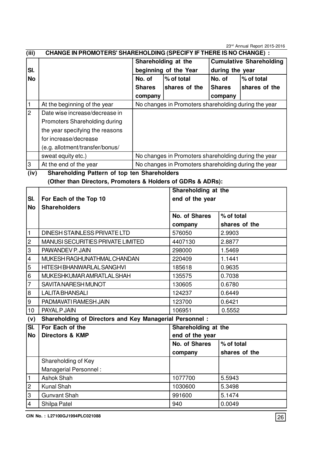23nd Annual Report 2015-2016

| (iii)          |                                                             | <b>CHANGE IN PROMOTERS' SHAREHOLDING (SPECIFY IF THERE IS NO CHANGE) :</b> |                                                      |               |                                |  |  |  |
|----------------|-------------------------------------------------------------|----------------------------------------------------------------------------|------------------------------------------------------|---------------|--------------------------------|--|--|--|
|                |                                                             |                                                                            | Shareholding at the                                  |               | <b>Cumulative Shareholding</b> |  |  |  |
| SI.            |                                                             | beginning of the Year<br>during the year                                   |                                                      |               |                                |  |  |  |
| No             |                                                             | No. of                                                                     | % of total                                           | No. of        | % of total                     |  |  |  |
|                |                                                             | <b>Shares</b>                                                              | shares of the                                        | <b>Shares</b> | shares of the                  |  |  |  |
|                |                                                             | company                                                                    |                                                      | company       |                                |  |  |  |
| 1              | At the beginning of the year                                | No changes in Promoters shareholding during the year                       |                                                      |               |                                |  |  |  |
| $\overline{2}$ | Date wise increase/decrease in                              |                                                                            |                                                      |               |                                |  |  |  |
|                | Promoters Shareholding during                               |                                                                            |                                                      |               |                                |  |  |  |
|                | the year specifying the reasons                             |                                                                            |                                                      |               |                                |  |  |  |
|                | for increase/decrease                                       |                                                                            |                                                      |               |                                |  |  |  |
|                | (e.g. allotment/transfer/bonus/                             |                                                                            |                                                      |               |                                |  |  |  |
|                | sweat equity etc.)                                          |                                                                            | No changes in Promoters shareholding during the year |               |                                |  |  |  |
| $\mathbf{3}$   | At the end of the year                                      |                                                                            | No changes in Promoters shareholding during the year |               |                                |  |  |  |
| (iv)           | Shareholding Pattern of top ten Shareholders                |                                                                            |                                                      |               |                                |  |  |  |
|                | (Other than Directors, Promoters & Holders of GDRs & ADRs): |                                                                            |                                                      |               |                                |  |  |  |
|                |                                                             |                                                                            | Shareholding at the                                  |               |                                |  |  |  |
| SI.            | For Each of the Top 10                                      |                                                                            | end of the year                                      |               |                                |  |  |  |
| <b>No</b>      | <b>Shareholders</b>                                         |                                                                            |                                                      |               |                                |  |  |  |
|                |                                                             |                                                                            | No. of Shares                                        | % of total    |                                |  |  |  |
|                |                                                             |                                                                            | company                                              |               | shares of the                  |  |  |  |
|                | DINESH STAINLESS PRIVATE LTD                                |                                                                            | 576050                                               | 2.9903        |                                |  |  |  |

| (v) Shareholding of Directors and Key Managerial Personnel : |        |        |
|--------------------------------------------------------------|--------|--------|
| 10   PAYAL P JAIN                                            | 106951 | 0.5552 |

2 | MANUSI SECURITIES PRIVATE LIMITED | 4407130 | 2.8877 3 | PAWANDEV P. JAIN | 298000 | 1.5469 4 | MUKESH RAGHUNATHMAL CHANDAN | 220409 | 1.1441 5 | HITESH BHANWARLAL SANGHVI | 185618 | 0.9635 6 MUKESHKUMAR AMRATLAL SHAH 135575 0.7038 7 SAVITA NARESH MUNOT 130605 0.6780 8 | LALITA BHANSALI | 124237 | 0.6449 9 | PADMAVATI RAMESH JAIN | 123700 | 0.6421

| SI. | For Each of the<br>Shareholding at the |                      |               |  |  |  |
|-----|----------------------------------------|----------------------|---------------|--|--|--|
| No  | <b>Directors &amp; KMP</b>             | end of the year      |               |  |  |  |
|     |                                        | <b>No. of Shares</b> | % of total    |  |  |  |
|     |                                        | company              | shares of the |  |  |  |
|     | Shareholding of Key                    |                      |               |  |  |  |
|     | <b>Managerial Personnel:</b>           |                      |               |  |  |  |
|     | <b>Ashok Shah</b>                      | 1077700              | 5.5943        |  |  |  |
| 2   | <b>Kunal Shah</b>                      | 1030600              | 5.3498        |  |  |  |
| 3   | <b>Gunvant Shah</b>                    | 991600               | 5.1474        |  |  |  |
|     | Shilpa Patel                           | 940                  | 0.0049        |  |  |  |

**CIN No. : L27100GJ1994PLC021088**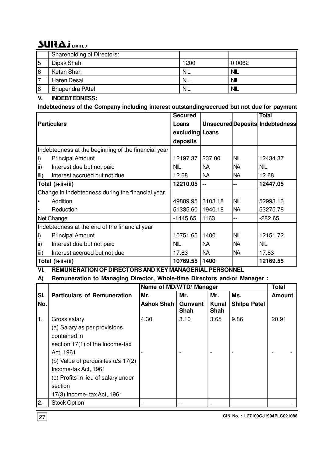# **SURAJ LIMITED**

|    | <b>Shareholding of Directors:</b> |            |            |
|----|-----------------------------------|------------|------------|
| 5  | Dipak Shah                        | 1200       | 0.0062     |
| 16 | Ketan Shah                        | <b>NIL</b> | ' NIL      |
|    | Haren Desai                       | <b>NIL</b> | <b>NIL</b> |
| 8  | <b>Bhupendra PAtel</b>            | <b>NIL</b> | <b>NIL</b> |

### **V. INDEBTEDNESS:**

### **Indebtedness of the Company including interest outstanding/accrued but not due for payment**

|            |                                                     | <b>Secured</b>  |           |            | <b>Total</b>                    |
|------------|-----------------------------------------------------|-----------------|-----------|------------|---------------------------------|
|            | <b>Particulars</b>                                  | Loans           |           |            | Unsecured Deposits Indebtedness |
|            |                                                     | excluding Loans |           |            |                                 |
|            |                                                     | deposits        |           |            |                                 |
|            | Indebtedness at the beginning of the financial year |                 |           |            |                                 |
| $\vert$ i) | <b>Principal Amount</b>                             | 12197.37        | 237.00    | <b>NIL</b> | 12434.37                        |
| ii)        | Interest due but not paid                           | <b>NIL</b>      | NA        | <b>NA</b>  | <b>NIL</b>                      |
| iii)       | Interest accrued but not due                        | 12.68           | <b>NA</b> | <b>NA</b>  | 12.68                           |
|            | Total (i+ii+iii)                                    | 12210.05        | --        | --         | 12447.05                        |
|            | Change in Indebtedness during the financial year    |                 |           |            |                                 |
|            | Addition                                            | 49889.95        | 3103.18   | <b>NIL</b> | 52993.13                        |
|            | Reduction                                           | 51335.60        | 1940.18   | <b>NA</b>  | 53275.78                        |
|            | Net Change                                          | $-1445.65$      | 1163      |            | $-282.65$                       |
|            | Indebtedness at the end of the financial year       |                 |           |            |                                 |
| li)        | <b>Principal Amount</b>                             | 10751.65        | 1400      | <b>NIL</b> | 12151.72                        |
| ii)        | Interest due but not paid                           | <b>NIL</b>      | <b>NA</b> | <b>NA</b>  | <b>NIL</b>                      |
| iii)       | Interest accrued but not due                        | 17.83           | <b>NA</b> | <b>NA</b>  | 17.83                           |
|            | Total (i+ii+iii)                                    | 10769.55        | 1400      |            | 12169.55                        |

### **VI. REMUNERATION OF DIRECTORS AND KEY MANAGERIAL PERSONNEL**

### **A) Remuneration to Managing Director, Whole-time Directors and/or Manager :**

|     |                                     | Name of MD/WTD/ Manager | Total                  |               |                     |               |
|-----|-------------------------------------|-------------------------|------------------------|---------------|---------------------|---------------|
| SI. | <b>Particulars of Remuneration</b>  | Mr.                     | Mr.                    | Mr.           | Ms.                 | <b>Amount</b> |
| No. |                                     | <b>Ashok Shah</b>       | Gunvant<br><b>Shah</b> | Kunal<br>Shah | <b>Shilpa Patel</b> |               |
| 1.  | Gross salary                        | 4.30                    | 3.10                   | 3.65          | 9.86                | 20.91         |
|     | (a) Salary as per provisions        |                         |                        |               |                     |               |
|     | contained in                        |                         |                        |               |                     |               |
|     | section 17(1) of the Income-tax     |                         |                        |               |                     |               |
|     | Act, 1961                           |                         |                        |               |                     |               |
|     | (b) Value of perquisites u/s 17(2)  |                         |                        |               |                     |               |
|     | Income-tax Act, 1961                |                         |                        |               |                     |               |
|     | (c) Profits in lieu of salary under |                         |                        |               |                     |               |
|     | section                             |                         |                        |               |                     |               |
|     | 17(3) Income-tax Act, 1961          |                         |                        |               |                     |               |
| 2.  | <b>Stock Option</b>                 |                         |                        |               |                     |               |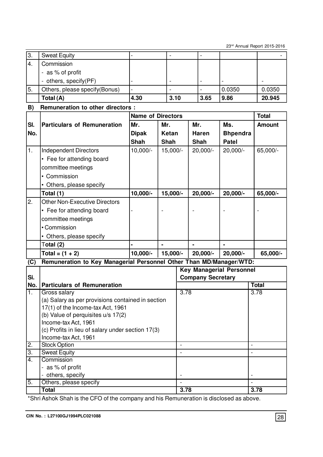| 3.                      | <b>Sweat Equity</b>                                                 |                                          |             |      |                                 |                          |                 |          |  |  |
|-------------------------|---------------------------------------------------------------------|------------------------------------------|-------------|------|---------------------------------|--------------------------|-----------------|----------|--|--|
| 4.                      | Commission                                                          |                                          |             |      |                                 |                          |                 |          |  |  |
|                         | - as % of profit                                                    |                                          |             |      |                                 |                          |                 |          |  |  |
|                         | - others, specify(PF)                                               |                                          |             |      |                                 |                          |                 |          |  |  |
| 5.                      | Others, please specify(Bonus)                                       |                                          |             |      |                                 | $\overline{\phantom{a}}$ | 0.0350          | 0.0350   |  |  |
|                         | Total (A)                                                           | 4.30                                     |             | 3.10 |                                 | 3.65                     | 9.86            | 20.945   |  |  |
| B)                      | Remuneration to other directors :                                   |                                          |             |      |                                 |                          |                 |          |  |  |
|                         |                                                                     | <b>Total</b><br><b>Name of Directors</b> |             |      |                                 |                          |                 |          |  |  |
| SI.                     | <b>Particulars of Remuneration</b>                                  | Mr.                                      | Mr.         |      | Mr.                             | <b>Amount</b>            |                 |          |  |  |
| No.                     |                                                                     | <b>Dipak</b><br><b>Ketan</b>             |             |      | <b>Haren</b>                    |                          | <b>Bhpendra</b> |          |  |  |
|                         |                                                                     | <b>Shah</b>                              | <b>Shah</b> |      |                                 | Shah                     | <b>Patel</b>    |          |  |  |
| 1.                      | <b>Independent Directors</b>                                        | $10,000/-$                               | 15,000/-    |      |                                 | 20,000/-                 | $20,000/-$      | 65,000/- |  |  |
|                         | • Fee for attending board                                           |                                          |             |      |                                 |                          |                 |          |  |  |
|                         | committee meetings                                                  |                                          |             |      |                                 |                          |                 |          |  |  |
|                         | • Commission                                                        |                                          |             |      |                                 |                          |                 |          |  |  |
|                         | • Others, please specify                                            |                                          |             |      |                                 |                          |                 |          |  |  |
|                         | Total (1)                                                           | 10,000/-                                 |             |      |                                 | 20,000/-                 | $20,000/-$      | 65,000/- |  |  |
| 2.                      | <b>Other Non-Executive Directors</b>                                |                                          | 15,000/-    |      |                                 |                          |                 |          |  |  |
|                         |                                                                     |                                          |             |      |                                 |                          |                 |          |  |  |
|                         | • Fee for attending board                                           |                                          |             |      |                                 |                          |                 |          |  |  |
|                         | committee meetings                                                  |                                          |             |      |                                 |                          |                 |          |  |  |
|                         | • Commission                                                        |                                          |             |      |                                 |                          |                 |          |  |  |
|                         | • Others, please specify                                            |                                          |             |      |                                 |                          |                 |          |  |  |
|                         | Total (2)                                                           |                                          |             |      |                                 |                          |                 |          |  |  |
|                         | Total = $(1 + 2)$                                                   | $10,000/-$                               | 15,000/-    |      |                                 | 20,000/-<br>$20,000/-$   |                 | 65,000/- |  |  |
| (C)                     | Remuneration to Key Managerial Personnel Other Than MD/Manager/WTD: |                                          |             |      |                                 |                          |                 |          |  |  |
|                         |                                                                     |                                          |             |      | <b>Key Managerial Personnel</b> |                          |                 |          |  |  |
| Si.                     |                                                                     |                                          |             |      | <b>Company Secretary</b>        |                          |                 |          |  |  |
| No.<br>$\overline{1}$ . | <b>Particulars of Remuneration</b><br>Gross salary                  |                                          |             |      | <b>Total</b><br>3.78<br>3.78    |                          |                 |          |  |  |
|                         | (a) Salary as per provisions contained in section                   |                                          |             |      |                                 |                          |                 |          |  |  |
|                         | 17(1) of the Income-tax Act, 1961                                   |                                          |             |      |                                 |                          |                 |          |  |  |
|                         | (b) Value of perquisites u/s 17(2)                                  |                                          |             |      |                                 |                          |                 |          |  |  |
|                         | Income-tax Act, 1961                                                |                                          |             |      |                                 |                          |                 |          |  |  |
|                         | (c) Profits in lieu of salary under section 17(3)                   |                                          |             |      |                                 |                          |                 |          |  |  |
|                         | Income-tax Act, 1961                                                |                                          |             |      |                                 |                          |                 |          |  |  |
| 2.                      | <b>Stock Option</b>                                                 |                                          |             |      |                                 |                          |                 |          |  |  |
| 3.                      | <b>Sweat Equity</b>                                                 |                                          |             |      |                                 |                          |                 |          |  |  |
| 4.                      | Commission                                                          |                                          |             |      |                                 |                          |                 |          |  |  |
|                         | - as % of profit<br>- others, specify                               |                                          |             |      |                                 |                          |                 |          |  |  |
| 5.                      | Others, please specify                                              |                                          |             |      |                                 |                          |                 |          |  |  |
|                         | <b>Total</b>                                                        |                                          |             |      | 3.78<br>3.78                    |                          |                 |          |  |  |

\*Shri Ashok Shah is the CFO of the company and his Remuneration is disclosed as above.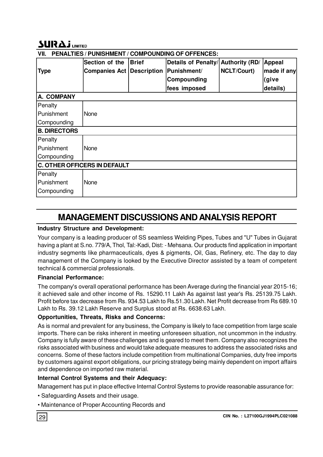# $SURAJ$

|                                     | PENALTIES / PUNISHMENT / COMPOUNDING OF OFFENCES:<br>VII. |                    |                                    |                    |               |  |  |  |  |
|-------------------------------------|-----------------------------------------------------------|--------------------|------------------------------------|--------------------|---------------|--|--|--|--|
|                                     | Section of the                                            | <b>Brief</b>       | Details of Penalty/ Authority (RD/ |                    | <b>Appeal</b> |  |  |  |  |
| <b>Type</b>                         | <b>Companies Act</b>                                      | <b>Description</b> | Punishment/                        | <b>NCLT/Court)</b> | made if any   |  |  |  |  |
|                                     |                                                           |                    | Compounding                        |                    | (give         |  |  |  |  |
|                                     |                                                           |                    | fees imposed                       |                    | details)      |  |  |  |  |
| A. COMPANY                          |                                                           |                    |                                    |                    |               |  |  |  |  |
| Penalty                             |                                                           |                    |                                    |                    |               |  |  |  |  |
| Punishment                          | None                                                      |                    |                                    |                    |               |  |  |  |  |
| Compounding                         |                                                           |                    |                                    |                    |               |  |  |  |  |
| <b>B. DIRECTORS</b>                 |                                                           |                    |                                    |                    |               |  |  |  |  |
| Penalty                             |                                                           |                    |                                    |                    |               |  |  |  |  |
| Punishment                          | None                                                      |                    |                                    |                    |               |  |  |  |  |
| Compounding                         |                                                           |                    |                                    |                    |               |  |  |  |  |
| <b>C. OTHER OFFICERS IN DEFAULT</b> |                                                           |                    |                                    |                    |               |  |  |  |  |
| Penalty                             |                                                           |                    |                                    |                    |               |  |  |  |  |
| Punishment                          | None                                                      |                    |                                    |                    |               |  |  |  |  |
| Compounding                         |                                                           |                    |                                    |                    |               |  |  |  |  |

# **MANAGEMENT DISCUSSIONS AND ANALYSIS REPORT**

### **Industry Structure and Development:**

Your company is a leading producer of SS seamless Welding Pipes, Tubes and "U" Tubes in Gujarat having a plant at S.no. 779/A, Thol, Tal:-Kadi, Dist: - Mehsana. Our products find application in important industry segments like pharmaceuticals, dyes & pigments, Oil, Gas, Refinery, etc. The day to day management of the Company is looked by the Executive Director assisted by a team of competent technical & commercial professionals.

### **Financial Performance:**

The company's overall operational performance has been Average during the financial year 2015-16; it achieved sale and other income of Rs. 15290.11 Lakh As against last year's Rs. 25139.75 Lakh. Profit before tax decrease from Rs. 934.53 Lakh to Rs.51.30 Lakh. Net Profit decrease from Rs 689.10 Lakh to Rs. 39.12 Lakh Reserve and Surplus stood at Rs. 6638.63 Lakh.

### **Opportunities, Threats, Risks and Concerns:**

As is normal and prevalent for any business, the Company is likely to face competition from large scale imports. There can be risks inherent in meeting unforeseen situation, not uncommon in the industry. Company is fully aware of these challenges and is geared to meet them. Company also recognizes the risks associated with business and would take adequate measures to address the associated risks and concerns. Some of these factors include competition from multinational Companies, duty free imports by customers against export obligations, our pricing strategy being mainly dependent on import affairs and dependence on imported raw material.

### **Internal Control Systems and their Adequacy:**

Management has put in place effective Internal Control Systems to provide reasonable assurance for:

- Safeguarding Assets and their usage.
- Maintenance of Proper Accounting Records and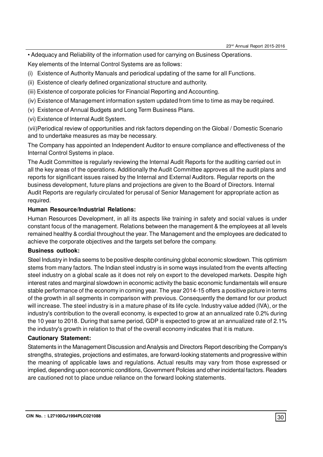• Adequacy and Reliability of the information used for carrying on Business Operations.

Key elements of the Internal Control Systems are as follows:

- (i) Existence of Authority Manuals and periodical updating of the same for all Functions.
- (ii) Existence of clearly defined organizational structure and authority.
- (iii) Existence of corporate policies for Financial Reporting and Accounting.
- (iv) Existence of Management information system updated from time to time as may be required.
- (v) Existence of Annual Budgets and Long Term Business Plans.
- (vi) Existence of Internal Audit System.

(vii)Periodical review of opportunities and risk factors depending on the Global / Domestic Scenario and to undertake measures as may be necessary.

The Company has appointed an Independent Auditor to ensure compliance and effectiveness of the Internal Control Systems in place.

The Audit Committee is regularly reviewing the Internal Audit Reports for the auditing carried out in all the key areas of the operations. Additionally the Audit Committee approves all the audit plans and reports for significant issues raised by the Internal and External Auditors. Regular reports on the business development, future plans and projections are given to the Board of Directors. Internal Audit Reports are regularly circulated for perusal of Senior Management for appropriate action as required.

#### **Human Resource/Industrial Relations:**

Human Resources Development, in all its aspects like training in safety and social values is under constant focus of the management. Relations between the management & the employees at all levels remained healthy & cordial throughout the year. The Management and the employees are dedicated to achieve the corporate objectives and the targets set before the company.

#### **Business outlook:**

Steel Industry in India seems to be positive despite continuing global economic slowdown. This optimism stems from many factors. The Indian steel industry is in some ways insulated from the events affecting steel industry on a global scale as it does not rely on export to the developed markets. Despite high interest rates and marginal slowdown in economic activity the basic economic fundamentals will ensure stable performance of the economy in coming year. The year 2014-15 offers a positive picture in terms of the growth in all segments in comparison with previous. Consequently the demand for our product will increase. The steel industry is in a mature phase of its life cycle. Industry value added (IVA), or the industry's contribution to the overall economy, is expected to grow at an annualized rate 0.2% during the 10 year to 2018. During that same period, GDP is expected to grow at an annualized rate of 2.1% the industry's growth in relation to that of the overall economy indicates that it is mature.

#### **Cautionary Statement:**

Statements in the Management Discussion and Analysis and Directors Report describing the Company's strengths, strategies, projections and estimates, are forward-looking statements and progressive within the meaning of applicable laws and regulations. Actual results may vary from those expressed or implied, depending upon economic conditions, Government Policies and other incidental factors. Readers are cautioned not to place undue reliance on the forward looking statements.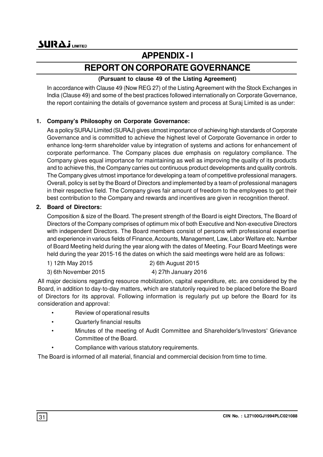# **APPENDIX - I**

# **REPORT ON CORPORATE GOVERNANCE**

#### **(Pursuant to clause 49 of the Listing Agreement)**

In accordance with Clause 49 (Now REG 27) of the Listing Agreement with the Stock Exchanges in India (Clause 49) and some of the best practices followed internationally on Corporate Governance, the report containing the details of governance system and process at Suraj Limited is as under:

### **1. Company's Philosophy on Corporate Governance:**

As a policy SURAJ Limited (SURAJ) gives utmost importance of achieving high standards of Corporate Governance and is committed to achieve the highest level of Corporate Governance in order to enhance long-term shareholder value by integration of systems and actions for enhancement of corporate performance. The Company places due emphasis on regulatory compliance. The Company gives equal importance for maintaining as well as improving the quality of its products and to achieve this, the Company carries out continuous product developments and quality controls. The Company gives utmost importance for developing a team of competitive professional managers. Overall, policy is set by the Board of Directors and implemented by a team of professional managers in their respective field. The Company gives fair amount of freedom to the employees to get their best contribution to the Company and rewards and incentives are given in recognition thereof.

#### **2. Board of Directors:**

Composition & size of the Board. The present strength of the Board is eight Directors, The Board of Directors of the Company comprises of optimum mix of both Executive and Non-executive Directors with independent Directors. The Board members consist of persons with professional expertise and experience in various fields of Finance, Accounts, Management, Law, Labor Welfare etc. Number of Board Meeting held during the year along with the dates of Meeting. Four Board Meetings were held during the year 2015-16 the dates on which the said meetings were held are as follows:

- 1) 12th May 2015 2) 6th August 2015
- 3) 6th November 2015 4) 27th January 2016

All major decisions regarding resource mobilization, capital expenditure, etc. are considered by the Board, in addition to day-to-day matters, which are statutorily required to be placed before the Board of Directors for its approval. Following information is regularly put up before the Board for its consideration and approval:

- Review of operational results
- Quarterly financial results
- Minutes of the meeting of Audit Committee and Shareholder's/Investors' Grievance Committee of the Board.
- Compliance with various statutory requirements.

The Board is informed of all material, financial and commercial decision from time to time.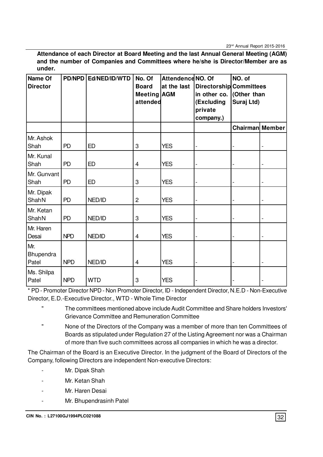23nd Annual Report 2015-2016

**Attendance of each Director at Board Meeting and the last Annual General Meeting (AGM) and the number of Companies and Committees where he/she is Director/Member are as under.**

| Name Of<br><b>Director</b> |            | PD/NPD   Ed/NED/ID/WTD | No. Of<br><b>Board</b><br>Meeting AGM<br>attended | Attendence NO. Of<br>at the last | <b>Directorship Committees</b><br>in other co.<br>(Excluding<br>private<br>company.) | NO. of<br>(Other than<br>Suraj Ltd) |                |
|----------------------------|------------|------------------------|---------------------------------------------------|----------------------------------|--------------------------------------------------------------------------------------|-------------------------------------|----------------|
|                            |            |                        |                                                   |                                  |                                                                                      | <b>Chairman Member</b>              |                |
| Mr. Ashok<br>Shah          | <b>PD</b>  | ED                     | 3                                                 | <b>YES</b>                       |                                                                                      |                                     |                |
| Mr. Kunal<br>Shah          | <b>PD</b>  | ED                     | $\overline{\mathcal{A}}$                          | <b>YES</b>                       |                                                                                      |                                     | $\blacksquare$ |
| Mr. Gunvant<br>Shah        | <b>PD</b>  | <b>ED</b>              | 3                                                 | <b>YES</b>                       |                                                                                      |                                     | $\blacksquare$ |
| Mr. Dipak<br>ShahN         | PD         | NED/ID                 | $\overline{c}$                                    | <b>YES</b>                       |                                                                                      |                                     |                |
| Mr. Ketan<br>ShahN         | <b>PD</b>  | NED/ID                 | 3                                                 | <b>YES</b>                       |                                                                                      |                                     | $\blacksquare$ |
| Mr. Haren<br>Desai         | <b>NPD</b> | NED/ID                 | $\overline{4}$                                    | <b>YES</b>                       |                                                                                      |                                     | $\blacksquare$ |
| Mr.<br>Bhupendra<br>Patel  | <b>NPD</b> | NED/ID                 | $\overline{\mathcal{A}}$                          | <b>YES</b>                       |                                                                                      |                                     |                |
| Ms. Shilpa<br>Patel        | <b>NPD</b> | <b>WTD</b>             | 3                                                 | <b>YES</b>                       |                                                                                      |                                     |                |

\* PD - Promoter Director NPD - Non Promoter Director, ID - Independent Director, N.E.D - Non-Executive Director, E.D.-Executive Director., WTD - Whole Time Director

" The committees mentioned above include Audit Committee and Share holders Investors' Grievance Committee and Remuneration Committee

" None of the Directors of the Company was a member of more than ten Committees of Boards as stipulated under Regulation 27 of the Listing Agreement nor was a Chairman of more than five such committees across all companies in which he was a director.

The Chairman of the Board is an Executive Director. In the judgment of the Board of Directors of the Company, following Directors are independent Non-executive Directors:

- Mr. Dipak Shah
- Mr. Ketan Shah
- Mr. Haren Desai
- Mr. Bhupendrasinh Patel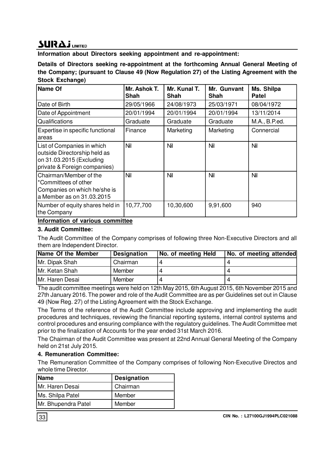**Information about Directors seeking appointment and re-appointment:**

**Details of Directors seeking re-appointment at the forthcoming Annual General Meeting of the Company; (pursuant to Clause 49 (Now Regulation 27) of the Listing Agreement with the Stock Exchange)**

| Name Of                                                                                                                | Mr. Ashok T.<br><b>Shah</b> | Mr. Kunal T.<br>Shah | Mr. Gunvant<br><b>Shah</b> | Ms. Shilpa<br><b>Patel</b> |
|------------------------------------------------------------------------------------------------------------------------|-----------------------------|----------------------|----------------------------|----------------------------|
| Date of Birth                                                                                                          | 29/05/1966                  | 24/08/1973           | 25/03/1971                 | 08/04/1972                 |
| Date of Appointment                                                                                                    | 20/01/1994                  | 20/01/1994           | 20/01/1994                 | 13/11/2014                 |
| <b>Qualifications</b>                                                                                                  | Graduate                    | Graduate             | Graduate                   | M.A., B.P.ed.              |
| Expertise in specific functional<br>lareas                                                                             | Finance                     | Marketing            | Marketing                  | Connercial                 |
| List of Companies in which<br>outside Directorship held as<br>on 31.03.2015 (Excluding<br>private & Foreign companies) | Nil                         | Nil                  | Nil                        | Nil                        |
| Chairman/Member of the<br>Committees of other<br>Companies on which he/she is<br>a Member as on 31.03.2015             | Nil                         | Nil                  | Nil                        | Nil                        |
| Number of equity shares held in<br>the Company                                                                         | 10,77,700                   | 10,30,600            | 9,91,600                   | 940                        |

## **Information of various committee**

## **3. Audit Committee:**

The Audit Committee of the Company comprises of following three Non-Executive Directors and all them are Independent Director.

| Name Of the Member | <b>Designation</b> | No. of meeting Held | No. of meeting attended |
|--------------------|--------------------|---------------------|-------------------------|
| Mr. Dipak Shah     | Chairman           |                     |                         |
| Mr. Ketan Shah     | Member             |                     |                         |
| Mr. Haren Desai    | Member             |                     |                         |

The audit committee meetings were held on 12th May 2015, 6th August 2015, 6th November 2015 and 27th January 2016. The power and role of the Audit Committee are as per Guidelines set out in Clause 49 (Now Reg. 27) of the Listing Agreement with the Stock Exchange.

The Terms of the reference of the Audit Committee include approving and implementing the audit procedures and techniques, reviewing the financial reporting systems, internal control systems and control procedures and ensuring compliance with the regulatory guidelines. The Audit Committee met prior to the finalization of Accounts for the year ended 31st March 2016.

The Chairman of the Audit Committee was present at 22nd Annual General Meeting of the Company held on 21st July 2015.

## **4. Remuneration Committee:**

The Remuneration Committee of the Company comprises of following Non-Executive Directos and whole time Director.

| Name                | <b>Designation</b> |
|---------------------|--------------------|
| Mr. Haren Desai     | Chairman           |
| Ms. Shilpa Patel    | Member             |
| Mr. Bhupendra Patel | Member             |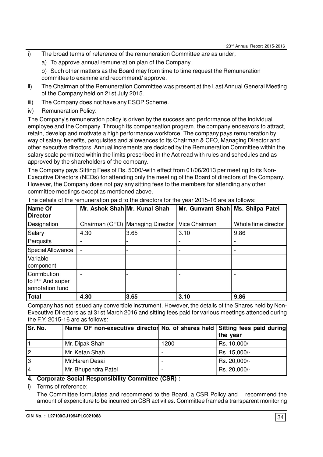- i) The broad terms of reference of the remuneration Committee are as under;
	- a) To approve annual remuneration plan of the Company.
	- b) Such other matters as the Board may from time to time request the Remuneration committee to examine and recommend/ approve.
- ii) The Chairman of the Remuneration Committee was present at the Last Annual General Meeting of the Company held on 21st July 2015.
- iii) The Company does not have any ESOP Scheme.
- iv) Remuneration Policy:

The Company's remuneration policy is driven by the success and performance of the individual employee and the Company. Through its compensation program, the company endeavors to attract, retain, develop and motivate a high performance workforce. The company pays remuneration by way of salary, benefits, perquisites and allowances to its Chairman & CFO, Managing Director and other executive directors. Annual increments are decided by the Remuneration Committee within the salary scale permitted within the limits prescribed in the Act read with rules and schedules and as approved by the shareholders of the company.

The Company pays Sitting Fees of Rs. 5000/-with effect from 01/06/2013 per meeting to its Non-Executive Directors (NEDs) for attending only the meeting of the Board of directors of the Company. However, the Company does not pay any sitting fees to the members for attending any other committee meetings except as mentioned above.

| Name Of<br>Director                                |      | Mr. Ashok Shah Mr. Kunal Shah    | Mr. Gunvant Shah   Ms. Shilpa Patel |                     |
|----------------------------------------------------|------|----------------------------------|-------------------------------------|---------------------|
| Designation                                        |      | Chairman (CFO) Managing Director | Vice Chairman                       | Whole time director |
| Salary                                             | 4.30 | 3.65                             | 3.10                                | 9.86                |
| Perqusits                                          |      |                                  |                                     |                     |
| Special Allowance                                  |      |                                  |                                     |                     |
| Variable<br>component                              |      |                                  |                                     |                     |
| Contribution<br>to PF And super<br>annotation fund |      |                                  |                                     |                     |
| <b>Total</b>                                       | 4.30 | 3.65                             | 3.10                                | 9.86                |

The details of the remuneration paid to the directors for the year 2015-16 are as follows:

Company has not issued any convertible instrument. However, the details of the Shares held by Non-Executive Directors as at 31st March 2016 and sitting fees paid for various meetings attended during the F.Y. 2015-16 are as follows:

| Sr. No. | Name OF non-executive director No. of shares held Sitting fees paid during |      |              |
|---------|----------------------------------------------------------------------------|------|--------------|
|         |                                                                            |      | the year     |
|         | Mr. Dipak Shah                                                             | 1200 | Rs. 10,000/  |
| 12      | Mr. Ketan Shah                                                             |      | Rs. 15,000/- |
| lЗ      | Mr.Haren Desai                                                             |      | Rs. 20,000/- |
| 14      | Mr. Bhupendra Patel                                                        |      | Rs. 20,000/- |

## **4. Corporate Social Responsibility Committee (CSR) :**

i) Terms of reference:

The Committee formulates and recommend to the Board, a CSR Policy and recommend the amount of expenditure to be incurred on CSR activities. Committee framed a transparent monitoring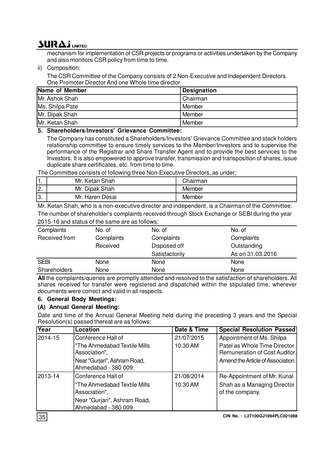mechanism for implementation of CSR projects or programs or activities undertaken by the Company and also monitors CSR policy from time to time.

ii) Composition:

The CSR Committee of the Company consists of 2 Non-Executive and Independent Directors. One Promoter Director And one Whole time director

| Name of Member  | <b>Designation</b> |
|-----------------|--------------------|
| Mr. Ashok Shah  | <b>Chairman</b>    |
| Ms. Shilpa Pate | Member             |
| Mr. Dipak Shah  | Member             |
| Mr. Ketan Shah  | Member             |

## **5. Shareholders/Investors' Grievance Committee:**

The Company has constituted a Shareholders/Investors' Grievance Committee and stack holders relationship committee to ensure timely services to the Member/Investors and to supervise the performance of the Registrar and Share Transfer Agent and to provide the best services to the Investors. It is also empowered to approve transfer, transmission and transposition of shares, issue duplicate share certificates, etc. from time to time.

The Committee consists of following three Non-Executive Directors, as under;

|            | Mr. Ketan Shah  | Chairman |
|------------|-----------------|----------|
| <u> 2.</u> | Mr. Dipak Shah  | Member   |
| 3.         | Mr. Haren Desai | Member   |

Mr. Ketan Shah, who is a non-executive director and independent, is a Chairman of the Committee. The number of shareholder's complaints received through Stock Exchange or SEBI during the year 2015-16 and status of the same are as follows:

| Complaints    | No. of     | No. of         | No. of           |
|---------------|------------|----------------|------------------|
| Received from | Complaints | Complaints     | Complaints       |
|               | Received   | Disposed off   | Outstanding      |
|               |            | Satisfactorily | As on 31.03.2016 |
| <b>SEBI</b>   | None       | <b>None</b>    | None             |
| Shareholders  | None       | <b>None</b>    | None             |

**All** the complaints/queries are promptly attended and resolved to the satisfaction of shareholders. All shares received for transfer were registered and dispatched within the stipulated time, wherever documents were correct and valid in all respects.

## **6. General Body Meetings:**

## **(A) Annual General Meeting:**

Date and time of the Annual General Meeting held during the preceding 3 years and the Special Resolution(s) passed thereat are as follows:

| Year    | <b>Location</b>                                      | Date & Time | <b>Special Resolution Passed</b>                                     |
|---------|------------------------------------------------------|-------------|----------------------------------------------------------------------|
| 2014-15 | Conference Hall of                                   | 21/07/2015  | Appointment of Ms. Shilpa                                            |
|         | "The Ahmedabad Textile Mills<br>Association",        | 10.30 AM    | Patel as Whole Time Director<br><b>Remuneration of Cost Auditor.</b> |
|         | Near "Gurjari", Ashram Road,<br>Ahmedabad - 380 009. |             | Amend the Article of Association.                                    |
| 2013-14 | Conference Hall of                                   | 21/08/2014  | Re-Appointment of Mr. Kunal                                          |
|         | "The Ahmedabad Textile Mills<br>Association",        | 10.30 AM    | Shah as a Managing Director<br>of the company.                       |
|         | Near "Gurjari", Ashram Road,<br>Ahmedabad - 380 009. |             |                                                                      |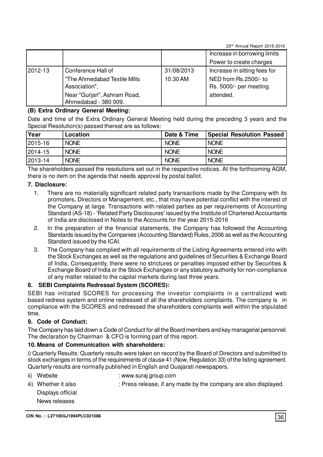23nd Annual Report 2015-2016

|         |                                                      |            | Increase in borrowing limits                    |
|---------|------------------------------------------------------|------------|-------------------------------------------------|
|         |                                                      |            | Power to create charges                         |
| 2012-13 | Conference Hall of                                   | 31/08/2013 | Increase in sitting fees for                    |
|         | "The Ahmedabad Textile Mills<br>Association",        | 10.30 AM   | NED from Rs.2500/- to<br>Rs. 5000/- per meeting |
|         | Near "Gurjari", Ashram Road,<br>Ahmedabad - 380 009. |            | attended.                                       |

## **(B) Extra Ordinary General Meeting:**

Date and time of the Extra Ordinary General Meeting held during the preceding 3 years and the Special Resolution(s) passed thereat are as follows:

| ∣Year   | Location    | Date & Time | <b>Special Resolution Passed</b> |
|---------|-------------|-------------|----------------------------------|
| 2015-16 | <b>NONE</b> | <b>NONE</b> | <b>NONE</b>                      |
| 2014-15 | <b>NONE</b> | <b>NONE</b> | <b>I NONE</b>                    |
| 2013-14 | <b>NONE</b> | <b>NONE</b> | <b>NONE</b>                      |

The shareholders passed the resolutions set out in the respective notices. At the forthcoming AGM, there is no item on the agenda that needs approval by postal ballot.

## **7. Disclosure:**

- 1. There are no materially significant related party transactions made by the Company with its promoters, Directors or Management, etc., that may have potential conflict with the interest of the Company at large. Transactions with related parties as per requirements of Accounting Standard (AS-18) - 'Related Party Disclosures' issued by the Institute of Chartered Accountants of India are disclosed in Notes to the Accounts for the year 2015-2016
- 2. In the preparation of the financial statements, the Company has followed the Accounting Standards issued by the Companies (Accounting Standard) Rules, 2006 as well as the Accounting Standard issued by the ICAI.
- 3. The Company has complied with all requirements of the Listing Agreements entered into with the Stock Exchanges as well as the regulations and guidelines of Securities & Exchange Board of India, Consequently, there were no strictures or penalties imposed either by Securities & Exchange Board of India or the Stock Exchanges or any statutory authority for non-compliance of any matter related to the capital markets during last three years.

## **8. SEBI Complaints Redressal System (SCORES):**

SEBI has initiated SCORES for processing the investor complaints in a centralized web based redress system and online redressed of all the shareholders complaints. The company is in compliance with the SCORES and redressed the shareholders complaints well within the stipulated time.

## **9. Code of Conduct:**

The Company has laid down a Code of Conduct for all the Board members and key managerial personnel. The declaration by Chairman & CFO is forming part of this report.

## **10. Means of Communication with shareholders:**

i) Quarterly Results: Quarterly results were taken on record by the Board of Directors and submitted to stock exchanges in terms of the requirements of clause 41 (Now, Regulation 33) of the listing agreement. Quarterly results are normally published in English and Guajarati newspapers.

- ii) Website : www.suraj group.com
- iii) Whether it also : Press release, if any made by the company are also displayed. Displays official News releases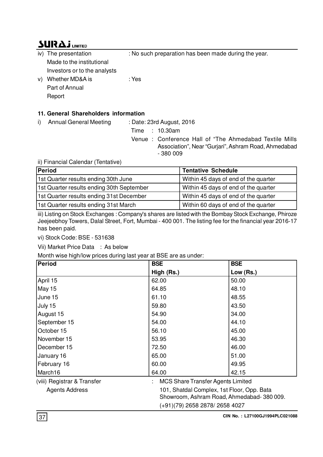# $SURAJ$

iv) The presentation : No such preparation has been made during the year. Made to the institutional Investors or to the analysts v) Whether MD&A is : Yes Part of Annual Report

## **11. General Shareholders information**

i) Annual General Meeting : Date: 23rd August, 2016

Time : 10.30am

 Venue : Conference Hall of "The Ahmedabad Textile Mills Association", Near "Gurjari", Ashram Road, Ahmedabad - 380 009

## ii) Financial Calendar (Tentative)

| Period                                    | <b>Tentative Schedule</b>            |
|-------------------------------------------|--------------------------------------|
| 1st Quarter results ending 30th June      | Within 45 days of end of the quarter |
| 1st Quarter results ending 30th September | Within 45 days of end of the quarter |
| 1st Quarter results ending 31st December  | Within 45 days of end of the quarter |
| 1st Quarter results ending 31st March     | Within 60 days of end of the quarter |

iii) Listing on Stock Exchanges : Company's shares are listed with the Bombay Stock Exchange, Phiroze Jeejeebhoy Towers, Dalal Street, Fort, Mumbai - 400 001. The listing fee for the financial year 2016-17 has been paid.

## vi) Stock Code: BSE - 531638

Vii) Market Price Data : As below

Month wise high/low prices during last year at BSE are as under:

| Period                      | <b>BSE</b> | <b>BSE</b>                                                                             |  |  |
|-----------------------------|------------|----------------------------------------------------------------------------------------|--|--|
|                             | High (Rs.) | Low (Rs.)                                                                              |  |  |
| April 15                    | 62.00      | 50.00                                                                                  |  |  |
| May 15                      | 64.85      | 48.10                                                                                  |  |  |
| June 15                     | 61.10      | 48.55                                                                                  |  |  |
| July 15                     | 59.80      | 43.50                                                                                  |  |  |
| August 15                   | 54.90      | 34.00                                                                                  |  |  |
| September 15                | 54.00      | 44.10                                                                                  |  |  |
| October 15                  | 56.10      | 45.00                                                                                  |  |  |
| November 15                 | 53.95      | 46.30                                                                                  |  |  |
| December 15                 | 72.50      | 46.00                                                                                  |  |  |
| January 16                  | 65.00      | 51.00                                                                                  |  |  |
| February 16                 | 60.00      | 49.95                                                                                  |  |  |
| March16                     | 64.00      | 42.15                                                                                  |  |  |
| (viii) Registrar & Transfer |            | MCS Share Transfer Agents Limited                                                      |  |  |
| <b>Agents Address</b>       |            | 101, Shatdal Complex, 1st Floor, Opp. Bata<br>Showroom, Ashram Road, Ahmedabad-380009. |  |  |
|                             |            | (+91)(79) 2658 2878/ 2658 4027                                                         |  |  |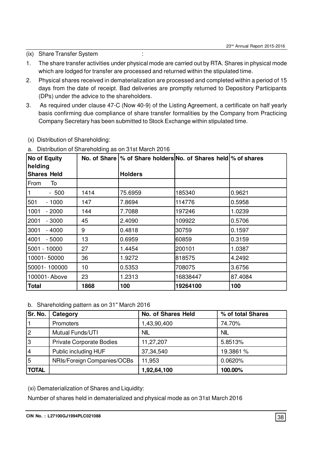(ix) Share Transfer System :

- 1. The share transfer activities under physical mode are carried out by RTA. Shares in physical mode which are lodged for transfer are processed and returned within the stipulated time.
- 2. Physical shares received in dematerialization are processed and completed within a period of 15 days from the date of receipt. Bad deliveries are promptly returned to Depository Participants (DPs) under the advice to the shareholders.
- 3. As required under clause 47-C (Now 40-9) of the Listing Agreement, a certificate on half yearly basis confirming due compliance of share transfer formalities by the Company from Practicing Company Secretary has been submitted to Stock Exchange within stipulated time.

| <b>No of Equity</b><br>helding |      | No. of Share  % of Share holders No. of Shares held  % of shares |          |         |
|--------------------------------|------|------------------------------------------------------------------|----------|---------|
| <b>Shares Held</b>             |      | <b>Holders</b>                                                   |          |         |
| From<br>To                     |      |                                                                  |          |         |
| $-500$                         | 1414 | 75.6959                                                          | 185340   | 0.9621  |
| 501<br>$-1000$                 | 147  | 7.8694                                                           | 114776   | 0.5958  |
| 1001<br>$-2000$                | 144  | 7.7088                                                           | 197246   | 1.0239  |
| 2001<br>$-3000$                | 45   | 2.4090                                                           | 109922   | 0.5706  |
| 3001<br>$-4000$                | 9    | 0.4818                                                           | 30759    | 0.1597  |
| 4001<br>$-5000$                | 13   | 0.6959                                                           | 60859    | 0.3159  |
| 5001 - 10000                   | 27   | 1.4454                                                           | 200101   | 1.0387  |
| 10001-50000                    | 36   | 1.9272                                                           | 818575   | 4.2492  |
| 50001-100000                   | 10   | 0.5353                                                           | 708075   | 3.6756  |
| 100001-Above                   | 23   | 1.2313                                                           | 16838447 | 87.4084 |
| <b>Total</b>                   | 1868 | 100                                                              | 19264100 | 100     |

(x) Distribution of Shareholding: a. Distribution of Shareholding as on 31st March 2016

b. Shareholding pattern as on 31" March 2016

| Sr. No.      | Category                        | No. of Shares Held | % of total Shares |
|--------------|---------------------------------|--------------------|-------------------|
|              | Promoters                       | 1,43,90,400        | 74.70%            |
| 2            | Mutual Funds/UTI                | <b>NIL</b>         | <b>NIL</b>        |
| Iз           | <b>Private Corporate Bodies</b> | 11,27,207          | 5.8513%           |
| 4            | Public including HUF            | 37,34,540          | 19.3861 %         |
| 5            | NRIs/Foreign Companies/OCBs     | 11,953             | 0.0620%           |
| <b>TOTAL</b> |                                 | 1,92,64,100        | 100.00%           |

(xi) Dematerialization of Shares and Liquidity:

Number of shares held in dematerialized and physical mode as on 31st March 2016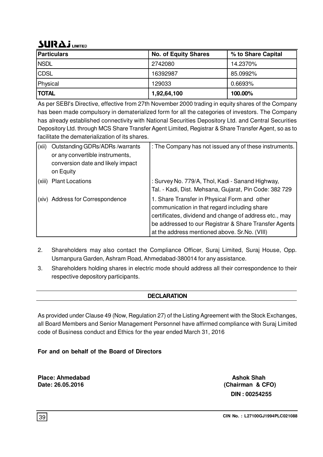| Particulars  | <b>No. of Equity Shares</b> | % to Share Capital |
|--------------|-----------------------------|--------------------|
| <b>NSDL</b>  | 2742080                     | 14.2370%           |
| <b>CDSL</b>  | 16392987                    | 85.0992%           |
| Physical     | 129033                      | 0.6693%            |
| <b>TOTAL</b> | 1,92,64,100                 | 100.00%            |

As per SEBI's Directive, effective from 27th November 2000 trading in equity shares of the Company has been made compulsory in dematerialized form for all the categories of investors. The Company has already established connectivity with National Securities Depository Ltd. and Central Securities Depository Ltd. through MCS Share Transfer Agent Limited, Registrar & Share Transfer Agent, so as to facilitate the dematerialization of its shares.

| (xii) | Outstanding GDRs/ADRs /warrants<br>or any convertible instruments,<br>conversion date and likely impact<br>on Equity | : The Company has not issued any of these instruments.                                                                                                                                                                                                           |
|-------|----------------------------------------------------------------------------------------------------------------------|------------------------------------------------------------------------------------------------------------------------------------------------------------------------------------------------------------------------------------------------------------------|
|       | (xiii) Plant Locations                                                                                               | : Survey No. 779/A, Thol, Kadi - Sanand Highway,<br>Tal. - Kadi, Dist. Mehsana, Gujarat, Pin Code: 382 729                                                                                                                                                       |
|       | (xiv) Address for Correspondence                                                                                     | 1. Share Transfer in Physical Form and other<br>communication in that regard including share<br>certificates, dividend and change of address etc., may<br>be addressed to our Registrar & Share Transfer Agents<br>at the address mentioned above. Sr.No. (VIII) |

- 2. Shareholders may also contact the Compliance Officer, Suraj Limited, Suraj House, Opp. Usmanpura Garden, Ashram Road, Ahmedabad-380014 for any assistance.
- 3. Shareholders holding shares in electric mode should address all their correspondence to their respective depository participants.

## **DECLARATION**

As provided under Clause 49 (Now, Regulation 27) of the Listing Agreement with the Stock Exchanges, all Board Members and Senior Management Personnel have affirmed compliance with Suraj Limited code of Business conduct and Ethics for the year ended March 31, 2016

**For and on behalf of the Board of Directors**

**Place: Ahmedabad Ashok Shah** Ashok Shah

**Date: 26.05.2016 (Chairman & CFO) DIN : 00254255**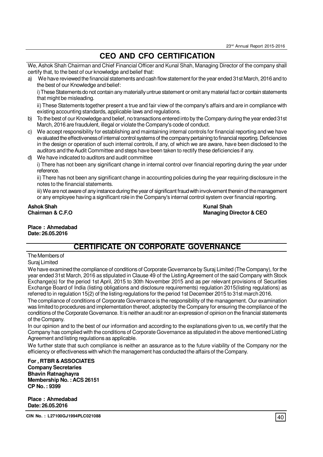## **CEO AND CFO CERTIFICATION**

We, Ashok Shah Chairman and Chief Financial Officer and Kunal Shah, Managing Director of the company shall certify that, to the best of our knowledge and belief that:

a) We have reviewed the financial statements and cash flow statement for the year ended 31st March, 2016 and to the best of our Knowledge and belief:

i) These Statements do not contain any materially untrue statement or omit any material fact or contain statements that might be misleading.

ii) These Statements together present a true and fair view of the company's affairs and are in compliance with existing accounting standards, applicable laws and regulations.

- b) To the best of our Knowledge and belief, no transactions entered into by the Company during the year ended 31st March, 2016 are fraudulent, illegal or violate the Company's code of conduct.
- c) We accept responsibility for establishing and maintaining internal controls for financial reporting and we have evaluated the effectiveness of internal control systems of the company pertaining to financial reporting. Deficiencies in the design or operation of such internal controls, if any, of which we are aware, have been disclosed to the auditors and the Audit Committee and steps have been taken to rectify these deficiencies if any.
- d) We have indicated to auditors and audit committee

i) There has not been any significant change in internal control over financial reporting during the year under reference.

ii) There has not been any significant change in accounting policies during the year requiring disclosure in the notes to the financial statements.

iii) We are not aware of any instance during the year of significant fraud with involvement therein of the management or any employee having a significant role in the Company's internal control system over financial reporting.

**Ashok Shah Kunal Shah**

**Managing Director & CEO** 

**Place : Ahmedabad Date: 26.05.2016**

## **CERTIFICATE ON CORPORATE GOVERNANCE**

## The Members of

Suraj Limited

We have examined the compliance of conditions of Corporate Governance by Suraj Limited (The Company), for the year ended 31st March, 2016 as stipulated in Clause 49 of the Listing Agreement of the said Company with Stock Exchange(s) for the period 1st April, 2015 to 30th November 2015 and as per relevant provisions of Securities Exchange Board of India (listing obligations and disclosure requirements) regulation 2015(listing regulations) as referred to in regulation 15(2) of the listing regulations for the period 1st December 2015 to 31st march 2016.

The compliance of conditions of Corporate Governance is the responsibility of the management. Our examination was limited to procedures and implementation thereof, adopted by the Company for ensuring the compliance of the conditions of the Corporate Governance. It is neither an audit nor an expression of opinion on the financial statements of the Company.

In our opinion and to the best of our information and according to the explanations given to us, we certify that the Company has complied with the conditions of Corporate Governance as stipulated in the above mentioned Listing Agreement and listing regulations as applicable.

We further state that such compliance is neither an assurance as to the future viability of the Company nor the efficiency or effectiveness with which the management has conducted the affairs of the Company.

**For , RTBR & ASSOCIATES Company Secretaries Bhavin Ratnaghayra Membership No. : ACS 26151 CP No. : 9399**

**Place : Ahmedabad Date: 26.05.2016**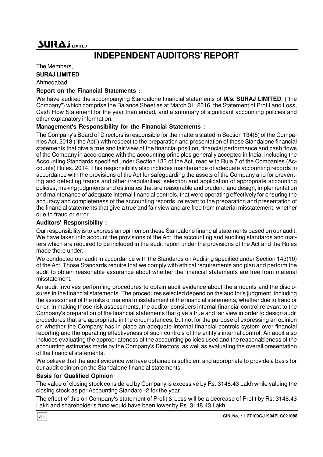## **INDEPENDENT AUDITORS' REPORT**

## The Members,

## **SURAJ LIMITED**

Ahmedabad.

## **Report on the Financial Statements :**

We have audited the accompanying Standalone financial statements of **M/s. SURAJ LIMITED**, ("the Company") which comprise the Balance Sheet as at March 31, 2016, the Statement of Profit and Loss, Cash Flow Statement for the year then ended, and a summary of significant accounting policies and other explanatory information.

## **Management's Responsibility for the Financial Statements :**

The Company's Board of Directors is responsible for the matters stated in Section 134(5) of the Companies Act, 2013 ("the Act") with respect to the preparation and presentation of these Standalone financial statements that give a true and fair view of the financial position, financial performance and cash flows of the Company in accordance with the accounting principles generally accepted in India, including the Accounting Standards specified under Section 133 of the Act, read with Rule 7 of the Companies (Accounts) Rules, 2014. This responsibility also includes maintenance of adequate accounting records in accordance with the provisions of the Act for safeguarding the assets of the Company and for preventing and detecting frauds and other irregularities; selection and application of appropriate accounting policies; making judgments and estimates that are reasonable and prudent; and design, implementation and maintenance of adequate internal financial controls, that were operating effectively for ensuring the accuracy and completeness of the accounting records, relevant to the preparation and presentation of the financial statements that give a true and fair view and are free from material misstatement, whether due to fraud or error.

## **Auditors' Responsibility :**

Our responsibility is to express an opinion on these Standalone financial statements based on our audit. We have taken into account the provisions of the Act, the accounting and auditing standards and matters which are required to be included in the audit report under the provisions of the Act and the Rules made there under.

We conducted our audit in accordance with the Standards on Auditing specified under Section 143(10) of the Act. Those Standards require that we comply with ethical requirements and plan and perform the audit to obtain reasonable assurance about whether the financial statements are free from material misstatement.

An audit involves performing procedures to obtain audit evidence about the amounts and the disclosures in the financial statements. The procedures selected depend on the auditor's judgment, including the assessment of the risks of material misstatement of the financial statements, whether due to fraud or error. In making those risk assessments, the auditor considers internal financial control relevant to the Company's preparation of the financial statements that give a true and fair view in order to design audit procedures that are appropriate in the circumstances, but not for the purpose of expressing an opinion on whether the Company has in place an adequate internal financial controls system over financial reporting and the operating effectiveness of such controls of the entity's internal control. An audit also includes evaluating the appropriateness of the accounting policies used and the reasonableness of the accounting estimates made by the Company's Directors, as well as evaluating the overall presentation of the financial statements.

We believe that the audit evidence we have obtained is sufficient and appropriate to provide a basis for our audit opinion on the Standalone financial statements.

## **Basis for Qualified Opinion**

The value of closing stock considered by Company is excessive by Rs. 3148.43 Lakh while valuing the closing stock as per Accounting Standard -2 for the year.

The effect of this on Company's statement of Profit & Loss will be a decrease of Profit by Rs. 3148.43 Lakh and shareholder's fund would have been lower by Rs. 3148.43 Lakh.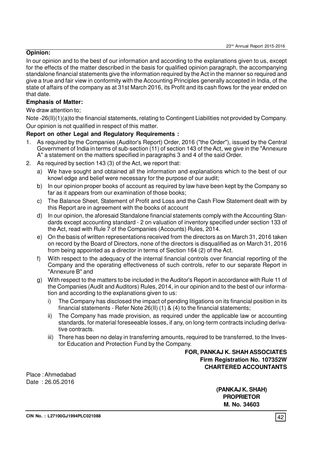## **Opinion:**

In our opinion and to the best of our information and according to the explanations given to us, except for the effects of the matter described in the basis for qualified opinion paragraph, the accompanying standalone financial statements give the information required by the Act in the manner so required and give a true and fair view in conformity with the Accounting Principles generally accepted in India, of the state of affairs of the company as at 31st March 2016, its Profit and its cash flows for the year ended on that date.

## **Emphasis of Matter:**

We draw attention to:

Note -26(II)(1)(a)to the financial statements, relating to Contingent Liabilities not provided by Company. Our opinion is not qualified in respect of this matter.

## **Report on other Legal and Regulatory Requirements :**

- 1. As required by the Companies (Auditor's Report) Order, 2016 ("the Order"), issued by the Central Government of India in terms of sub-section (11) of section 143 of the Act, we give in the "Annexure A" a statement on the matters specified in paragraphs 3 and 4 of the said Order.
- 2. As required by section 143 (3) of the Act, we report that:
	- a) We have sought and obtained all the information and explanations which to the best of our knowl edge and belief were necessary for the purpose of our audit;
	- b) In our opinion proper books of account as required by law have been kept by the Company so far as it appears from our examination of those books;
	- c) The Balance Sheet, Statement of Profit and Loss and the Cash Flow Statement dealt with by this Report are in agreement with the books of account
	- d) In our opinion, the aforesaid Standalone financial statements comply with the Accounting Standards except accounting standard - 2 on valuation of inventory specified under section 133 of the Act, read with Rule 7 of the Companies (Accounts) Rules, 2014.
	- e) On the basis of written representations received from the directors as on March 31, 2016 taken on record by the Board of Directors, none of the directors is disqualified as on March 31, 2016 from being appointed as a director in terms of Section 164 (2) of the Act.
	- f) With respect to the adequacy of the internal financial controls over financial reporting of the Company and the operating effectiveness of such controls, refer to our separate Report in "Annexure B" and
	- g) With respect to the matters to be included in the Auditor's Report in accordance with Rule 11 of the Companies (Audit and Auditors) Rules, 2014, in our opinion and to the best of our information and according to the explanations given to us:
		- i) The Company has disclosed the impact of pending litigations on its financial position in its financial statements - Refer Note 26(II) (1) & (4) to the financial statements;
		- ii) The Company has made provision, as required under the applicable law or accounting standards, for material foreseeable losses, if any, on long-term contracts including derivative contracts.
		- iii) There has been no delay in transferring amounts, required to be transferred, to the Investor Education and Protection Fund by the Company.

 **FOR, PANKAJ K. SHAH ASSOCIATES Firm Registration No. 107352W CHARTERED ACCOUNTANTS**

Place : Ahmedabad Date : 26.05.2016

**(PANKAJ K. SHAH) PROPRIETOR M. No. 34603**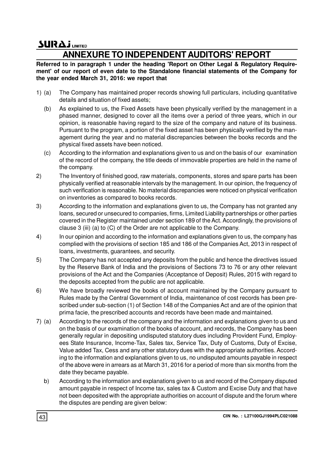## **SURAJ** IMITED **ANNEXURE TO INDEPENDENT AUDITORS' REPORT**

**Referred to in paragraph 1 under the heading 'Report on Other Legal & Regulatory Requirement' of our report of even date to the Standalone financial statements of the Company for the year ended March 31, 2016: we report that**

- 1) (a) The Company has maintained proper records showing full particulars, including quantitative details and situation of fixed assets;
	- (b) As explained to us, the Fixed Assets have been physically verified by the management in a phased manner, designed to cover all the items over a period of three years, which in our opinion, is reasonable having regard to the size of the company and nature of its business. Pursuant to the program, a portion of the fixed asset has been physically verified by the management during the year and no material discrepancies between the books records and the physical fixed assets have been noticed.
	- (c) According to the information and explanations given to us and on the basis of our examination of the record of the company, the title deeds of immovable properties are held in the name of the company.
- 2) The Inventory of finished good, raw materials, components, stores and spare parts has been physically verified at reasonable intervals by the management. In our opinion, the frequency of such verification is reasonable. No material discrepancies were noticed on physical verification on inventories as compared to books records.
- 3) According to the information and explanations given to us, the Company has not granted any loans, secured or unsecured to companies, firms, Limited Liability partnerships or other parties covered in the Register maintained under section 189 of the Act. Accordingly, the provisions of clause 3 (iii) (a) to (C) of the Order are not applicable to the Company.
- 4) In our opinion and according to the information and explanations given to us, the company has complied with the provisions of section 185 and 186 of the Companies Act, 2013 in respect of loans, investments, guarantees, and security.
- 5) The Company has not accepted any deposits from the public and hence the directives issued by the Reserve Bank of India and the provisions of Sections 73 to 76 or any other relevant provisions of the Act and the Companies (Acceptance of Deposit) Rules, 2015 with regard to the deposits accepted from the public are not applicable.
- 6) We have broadly reviewed the books of account maintained by the Company pursuant to Rules made by the Central Government of India, maintenance of cost records has been prescribed under sub-section (1) of Section 148 of the Companies Act and are of the opinion that prima facie, the prescribed accounts and records have been made and maintained.
- 7) (a) According to the records of the company and the information and explanations given to us and on the basis of our examination of the books of account, and records, the Company has been generally regular in depositing undisputed statutory dues including Provident Fund, Employees State Insurance, Income-Tax, Sales tax, Service Tax, Duty of Customs, Duty of Excise, Value added Tax, Cess and any other statutory dues with the appropriate authorities. According to the information and explanations given to us, no undisputed amounts payable in respect of the above were in arrears as at March 31, 2016 for a period of more than six months from the date they became payable.
	- b) According to the information and explanations given to us and record of the Company disputed amount payable in respect of Income tax, sales tax & Custom and Excise Duty and that have not been deposited with the appropriate authorities on account of dispute and the forum where the disputes are pending are given below: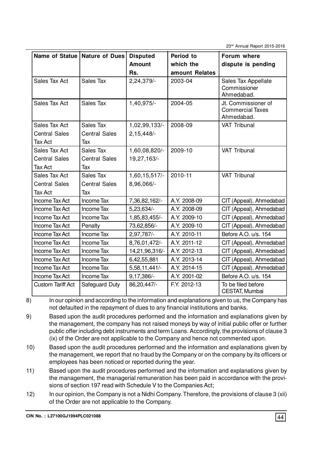23nd Annual Report 2015-2016

|                          | Name of Statue   Nature of Dues | <b>Disputed</b><br><b>Amount</b> | Period to<br>which the | Forum where<br>dispute is pending                            |
|--------------------------|---------------------------------|----------------------------------|------------------------|--------------------------------------------------------------|
|                          |                                 | Rs.                              | amount Relates         |                                                              |
| Sales Tax Act            | Sales Tax                       | 2,24,379/-                       | 2003-04                | Sales Tax Appellate<br>Commissioner<br>Ahmedabad.            |
| Sales Tax Act            | Sales Tax                       | 1,40,975/-                       | 2004-05                | Jt. Commissioner of<br><b>Commercial Taxes</b><br>Ahmedabad. |
| Sales Tax Act            | Sales Tax                       | 1,02,99,133/-                    | 2008-09                | <b>VAT Tribunal</b>                                          |
| <b>Central Sales</b>     | <b>Central Sales</b>            | 2,15,448/                        |                        |                                                              |
| Tax Act                  | Tax                             |                                  |                        |                                                              |
| Sales Tax Act            | Sales Tax                       | 1,60,08,820/-                    | 2009-10                | <b>VAT Tribunal</b>                                          |
| <b>Central Sales</b>     | <b>Central Sales</b>            | 19,27,163/-                      |                        |                                                              |
| Tax Act                  | Tax                             |                                  |                        |                                                              |
| Sales Tax Act            | Sales Tax                       | 1,60,15,517/-                    | 2010-11                | <b>VAT Tribunal</b>                                          |
| <b>Central Sales</b>     | <b>Central Sales</b>            | 8,96,066/-                       |                        |                                                              |
| Tax Act                  | Tax                             |                                  |                        |                                                              |
| Income Tax Act           | Income Tax                      | 7,36,82,162/-                    | A.Y. 2008-09           | CIT (Appeal), Ahmedabad                                      |
| Income Tax Act           | <b>Income Tax</b>               | 5,23,634/-                       | A.Y. 2008-09           | CIT (Appeal), Ahmedabad                                      |
| Income Tax Act           | <b>Income Tax</b>               | 1,85,83,455/-                    | A.Y. 2009-10           | CIT (Appeal), Ahmedabad                                      |
| Income Tax Act           | Penalty                         | 73,62,856/-                      | A.Y. 2009-10           | CIT (Appeal), Ahmedabad                                      |
| <b>Income Tax Act</b>    | <b>Income Tax</b>               | 2,97,787/-                       | A.Y. 2010-11           | Before A.O. u/s. 154                                         |
| Income Tax Act           | <b>Income Tax</b>               | 8,76,01,472/-                    | A.Y. 2011-12           | CIT (Appeal), Ahmedabad                                      |
| Income Tax Act           | <b>Income Tax</b>               | 14,21,96,316/-                   | A.Y. 2012-13           | CIT (Appeal), Ahmedabad                                      |
| Income Tax Act           | <b>Income Tax</b>               | 6,42,55,881                      | A.Y. 2013-14           | CIT (Appeal), Ahmedabad                                      |
| Income Tax Act           | <b>Income Tax</b>               | 5,58,11,441/-                    | A.Y. 2014-15           | CIT (Appeal), Ahmedabad                                      |
| Income Tax Act           | <b>Income Tax</b>               | 9,17,386/-                       | A.Y. 2001-02           | Before A.O. u/s. 154                                         |
| <b>Custom Tariff Act</b> | Safeguard Duty                  | 86,20,447/-                      | F.Y. 2012-13           | To be filed before<br>CESTAT, Mumbai                         |

8) In our opinion and according to the information and explanations given to us, the Company has not defaulted in the repayment of dues to any financial institutions and banks.

- 9) Based upon the audit procedures performed and the information and explanations given by the management, the company has not raised moneys by way of initial public offer or further public offer including debt instruments and term Loans. Accordingly, the provisions of clause 3 (ix) of the Order are not applicable to the Company and hence not commented upon.
- 10) Based upon the audit procedures performed and the information and explanations given by the management, we report that no fraud by the Company or on the company by its officers or employees has been noticed or reported during the year.
- 11) Based upon the audit procedures performed and the information and explanations given by the management, the managerial remuneration has been paid in accordance with the provisions of section 197 read with Schedule V to the Companies Act;
- 12) In our opinion, the Company is not a Nidhi Company. Therefore, the provisions of clause 3 (xii) of the Order are not applicable to the Company.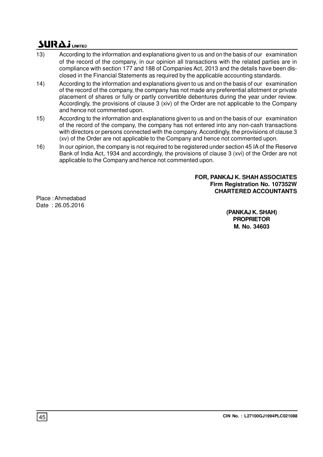# **SURAJUMITED**

- 13) According to the information and explanations given to us and on the basis of our examination of the record of the company, in our opinion all transactions with the related parties are in compliance with section 177 and 188 of Companies Act, 2013 and the details have been disclosed in the Financial Statements as required by the applicable accounting standards.
- 14) According to the information and explanations given to us and on the basis of our examination of the record of the company, the company has not made any preferential allotment or private placement of shares or fully or partly convertible debentures during the year under review. Accordingly, the provisions of clause 3 (xiv) of the Order are not applicable to the Company and hence not commented upon.
- 15) According to the information and explanations given to us and on the basis of our examination of the record of the company, the company has not entered into any non-cash transactions with directors or persons connected with the company. Accordingly, the provisions of clause 3 (xv) of the Order are not applicable to the Company and hence not commented upon.
- 16) In our opinion, the company is not required to be registered under section 45 IA of the Reserve Bank of India Act, 1934 and accordingly, the provisions of clause 3 (xvi) of the Order are not applicable to the Company and hence not commented upon.

 **FOR, PANKAJ K. SHAH ASSOCIATES Firm Registration No. 107352W CHARTERED ACCOUNTANTS**

Place : Ahmedabad Date : 26.05.2016

**(PANKAJ K. SHAH) PROPRIETOR M. No. 34603**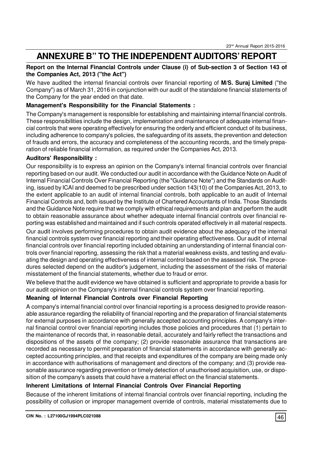## **ANNEXURE B" TO THE INDEPENDENT AUDITORS' REPORT**

## **Report on the Internal Financial Controls under Clause (i) of Sub-section 3 of Section 143 of the Companies Act, 2013 ("the Act")**

We have audited the internal financial controls over financial reporting of **M/S. Suraj Limited** ("the Company") as of March 31, 2016 in conjunction with our audit of the standalone financial statements of the Company for the year ended on that date.

## **Management's Responsibility for the Financial Statements :**

The Company's management is responsible for establishing and maintaining internal financial controls. These responsibilities include the design, implementation and maintenance of adequate internal financial controls that were operating effectively for ensuring the orderly and efficient conduct of its business, including adherence to company's policies, the safeguarding of its assets, the prevention and detection of frauds and errors, the accuracy and completeness of the accounting records, and the timely preparation of reliable financial information, as required under the Companies Act, 2013.

## **Auditors' Responsibility :**

Our responsibility is to express an opinion on the Company's internal financial controls over financial reporting based on our audit. We conducted our audit in accordance with the Guidance Note on Audit of Internal Financial Controls Over Financial Reporting (the "Guidance Note") and the Standards on Auditing, issued by ICAI and deemed to be prescribed under section 143(10) of the Companies Act, 2013, to the extent applicable to an audit of internal financial controls, both applicable to an audit of Internal Financial Controls and, both issued by the Institute of Chartered Accountants of India. Those Standards and the Guidance Note require that we comply with ethical requirements and plan and perform the audit to obtain reasonable assurance about whether adequate internal financial controls over financial reporting was established and maintained and if such controls operated effectively in all material respects.

Our audit involves performing procedures to obtain audit evidence about the adequacy of the internal financial controls system over financial reporting and their operating effectiveness. Our audit of internal financial controls over financial reporting included obtaining an understanding of internal financial controls over financial reporting, assessing the risk that a material weakness exists, and testing and evaluating the design and operating effectiveness of internal control based on the assessed risk. The procedures selected depend on the auditor's judgement, including the assessment of the risks of material misstatement of the financial statements, whether due to fraud or error.

We believe that the audit evidence we have obtained is sufficient and appropriate to provide a basis for our audit opinion on the Company's internal financial controls system over financial reporting.

## **Meaning of Internal Financial Controls over Financial Reporting**

A company's internal financial control over financial reporting is a process designed to provide reasonable assurance regarding the reliability of financial reporting and the preparation of financial statements for external purposes in accordance with generally accepted accounting principles. A company's internal financial control over financial reporting includes those policies and procedures that (1) pertain to the maintenance of records that, in reasonable detail, accurately and fairly reflect the transactions and dispositions of the assets of the company; (2) provide reasonable assurance that transactions are recorded as necessary to permit preparation of financial statements in accordance with generally accepted accounting principles, and that receipts and expenditures of the company are being made only in accordance with authorisations of management and directors of the company; and (3) provide reasonable assurance regarding prevention or timely detection of unauthorised acquisition, use, or disposition of the company's assets that could have a material effect on the financial statements.

## **Inherent Limitations of Internal Financial Controls Over Financial Reporting**

Because of the inherent limitations of internal financial controls over financial reporting, including the possibility of collusion or improper management override of controls, material misstatements due to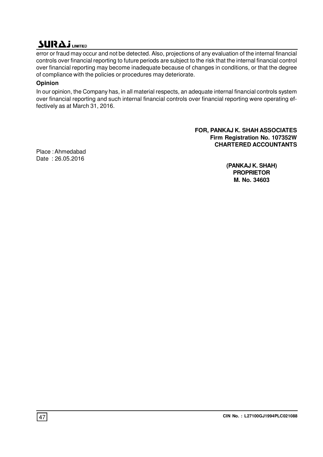error or fraud may occur and not be detected. Also, projections of any evaluation of the internal financial controls over financial reporting to future periods are subject to the risk that the internal financial control over financial reporting may become inadequate because of changes in conditions, or that the degree of compliance with the policies or procedures may deteriorate.

## **Opinion**

In our opinion, the Company has, in all material respects, an adequate internal financial controls system over financial reporting and such internal financial controls over financial reporting were operating effectively as at March 31, 2016.

### **FOR, PANKAJ K. SHAH ASSOCIATES Firm Registration No. 107352W CHARTERED ACCOUNTANTS**

Place : Ahmedabad Date : 26.05.2016

**(PANKAJ K. SHAH) PROPRIETOR M. No. 34603**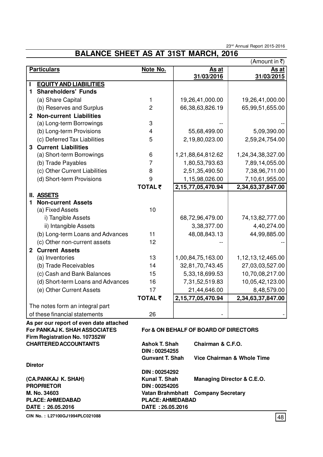23nd Annual Report 2015-2016

## **BALANCE SHEET AS AT 31ST MARCH, 2016**

|    |                                                                                                                  |                                                                         |                                       | (Amount in ₹)              |
|----|------------------------------------------------------------------------------------------------------------------|-------------------------------------------------------------------------|---------------------------------------|----------------------------|
|    | <b>Particulars</b>                                                                                               | Note No.                                                                | As at                                 | As at                      |
|    |                                                                                                                  |                                                                         | 31/03/2016                            | 31/03/2015                 |
|    | <b>EQUITY AND LIABILITIES</b>                                                                                    |                                                                         |                                       |                            |
| 1. | <b>Shareholders' Funds</b>                                                                                       |                                                                         |                                       |                            |
|    | (a) Share Capital<br>(b) Reserves and Surplus                                                                    | 1<br>$\overline{c}$                                                     | 19,26,41,000.00                       | 19,26,41,000.00            |
|    | 2 Non-current Liabilities                                                                                        |                                                                         | 66,38,63,826.19                       | 65,99,51,655.00            |
|    | (a) Long-term Borrowings                                                                                         | 3                                                                       |                                       |                            |
|    | (b) Long-term Provisions                                                                                         | 4                                                                       | 55,68,499.00                          | 5,09,390.00                |
|    | (c) Deferred Tax Liabilities                                                                                     | 5                                                                       | 2,19,80,023.00                        | 2,59,24,754.00             |
|    | <b>3 Current Liabilities</b>                                                                                     |                                                                         |                                       |                            |
|    | (a) Short-term Borrowings                                                                                        | 6                                                                       | 1,21,88,64,812.62                     | 1,24,34,38,327.00          |
|    | (b) Trade Payables                                                                                               | 7                                                                       | 1,80,53,793.63                        | 7,89,14,055.00             |
|    | (c) Other Current Liabilities                                                                                    | 8                                                                       | 2,51,35,490.50                        | 7,38,96,711.00             |
|    | (d) Short-term Provisions                                                                                        | 9                                                                       | 1,15,98,026.00                        | 7,10,61,955.00             |
|    |                                                                                                                  | <b>TOTAL ₹</b>                                                          | 2, 15, 77, 05, 470. 94                | 2,34,63,37,847.00          |
|    | II. ASSETS                                                                                                       |                                                                         |                                       |                            |
| 1  | <b>Non-current Assets</b>                                                                                        |                                                                         |                                       |                            |
|    | (a) Fixed Assets                                                                                                 | 10                                                                      |                                       |                            |
|    | i) Tangible Assets                                                                                               |                                                                         | 68,72,96,479.00                       | 74, 13, 82, 777.00         |
|    | ii) Intangible Assets                                                                                            |                                                                         | 3,38,377.00                           | 4,40,274.00                |
|    | (b) Long-term Loans and Advances                                                                                 | 11                                                                      | 48,08,843.13                          | 44,99,885.00               |
|    | (c) Other non-current assets                                                                                     | 12                                                                      |                                       |                            |
|    | 2 Current Assets                                                                                                 |                                                                         |                                       |                            |
|    | (a) Inventories                                                                                                  | 13                                                                      | 1,00,84,75,163.00                     | 1,12,13,12,465.00          |
|    | (b) Trade Receivables                                                                                            | 14                                                                      | 32,81,70,743.45                       | 27,03,03,527.00            |
|    | (c) Cash and Bank Balances                                                                                       | 15                                                                      | 5,33,18,699.53                        | 10,70,08,217.00            |
|    | (d) Short-term Loans and Advances                                                                                | 16                                                                      | 7,31,52,519.83                        | 10,05,42,123.00            |
|    | (e) Other Current Assets                                                                                         | 17                                                                      | 21,44,646.00                          | 8,48,579.00                |
|    |                                                                                                                  | TOTAL ₹                                                                 | 2, 15, 77, 05, 470. 94                | 2,34,63,37,847.00          |
|    | The notes form an integral part                                                                                  |                                                                         |                                       |                            |
|    | of these financial statements                                                                                    | 26                                                                      |                                       |                            |
|    | As per our report of even date attached<br><b>For PANKAJ K. SHAH ASSOCIATES</b><br>Firm Registration No. 107352W |                                                                         | For & ON BEHALF OF BOARD OF DIRECTORS |                            |
|    | <b>CHARTERED ACCOUNTANTS</b>                                                                                     | <b>Ashok T. Shah</b><br>DIN: 00254255                                   | Chairman & C.F.O.                     |                            |
|    |                                                                                                                  | <b>Gunvant T. Shah</b>                                                  |                                       | Vice Chairman & Whole Time |
|    | <b>Diretor</b>                                                                                                   |                                                                         |                                       |                            |
|    |                                                                                                                  | DIN: 00254292                                                           |                                       |                            |
|    | (CA.PANKAJ K. SHAH)                                                                                              | Kunal T. Shah<br><b>Managing Director &amp; C.E.O.</b>                  |                                       |                            |
|    | <b>PROPRIETOR</b><br>M. No. 34603                                                                                | DIN: 00254205                                                           |                                       |                            |
|    | <b>PLACE: AHMEDABAD</b>                                                                                          | Vatan Brahmbhatt<br><b>Company Secretary</b><br><b>PLACE: AHMEDABAD</b> |                                       |                            |
|    | DATE: 26.05.2016                                                                                                 | DATE: 26.05.2016                                                        |                                       |                            |

**CIN No. : L27100GJ1994PLC021088**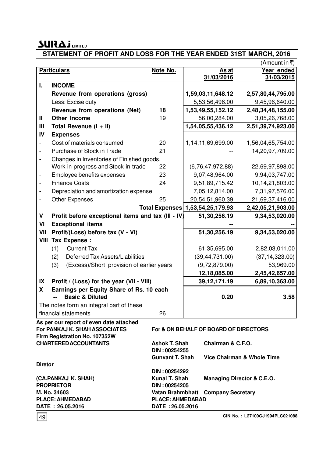## **STATEMENT OF PROFIT AND LOSS FOR THE YEAR ENDED 31ST MARCH, 2016**

|                                          | (Amount in ₹)                                                                                                    |                                       |                                       |                                       |
|------------------------------------------|------------------------------------------------------------------------------------------------------------------|---------------------------------------|---------------------------------------|---------------------------------------|
|                                          | <b>Particulars</b>                                                                                               | Note No.                              | <u>As at</u>                          | Year ended                            |
|                                          |                                                                                                                  |                                       | 31/03/2016                            | 31/03/2015                            |
| Ī.                                       | <b>INCOME</b>                                                                                                    |                                       |                                       |                                       |
|                                          | Revenue from operations (gross)                                                                                  |                                       | 1,59,03,11,648.12                     | 2,57,80,44,795.00                     |
|                                          | Less: Excise duty                                                                                                |                                       | 5,53,56,496.00                        | 9,45,96,640.00                        |
|                                          | Revenue from operations (Net)                                                                                    | 18                                    | 1,53,49,55,152.12                     | 2,48,34,48,155.00                     |
| Ш                                        | <b>Other Income</b>                                                                                              | 19                                    | 56,00,284.00                          | 3,05,26,768.00                        |
| Ш                                        | Total Revenue (I + II)                                                                                           |                                       | 1,54,05,55,436.12                     | 2,51,39,74,923.00                     |
| IV                                       | <b>Expenses</b>                                                                                                  |                                       |                                       |                                       |
| $\blacksquare$                           | Cost of materials consumed                                                                                       | 20                                    | 1,14,11,69,699.00                     | 1,56,04,65,754.00                     |
| $\blacksquare$                           | Purchase of Stock in Trade                                                                                       | 21                                    |                                       | 14,20,97,709.00                       |
| $\blacksquare$                           | Changes in Inventories of Finished goods,                                                                        |                                       |                                       |                                       |
|                                          | Work-in-progress and Stock-in-trade                                                                              | 22                                    | (6, 76, 47, 972.88)                   | 22,69,97,898.00                       |
| $\overline{\phantom{0}}$                 | Employee benefits expenses                                                                                       | 23                                    | 9,07,48,964.00                        | 9,94,03,747.00                        |
|                                          | <b>Finance Costs</b>                                                                                             | 24                                    | 9,51,89,715.42                        | 10,14,21,803.00                       |
| $\qquad \qquad \blacksquare$             | Depreciation and amortization expense                                                                            |                                       | 7,05,12,814.00                        | 7,31,97,576.00                        |
|                                          | <b>Other Expenses</b>                                                                                            | 25                                    | 20,54,51,960.39                       | 21,69,37,416.00                       |
|                                          |                                                                                                                  |                                       | Total Expenses 1,53,54,25,179.93      | 2,42,05,21,903.00                     |
| V                                        | Profit before exceptional items and tax (III - IV)                                                               |                                       | 51,30,256.19                          | 9,34,53,020.00                        |
| VI                                       | <b>Exceptional items</b>                                                                                         |                                       |                                       |                                       |
| VII                                      | Profit/(Loss) before tax (V - VI)                                                                                |                                       | 51,30,256.19                          | 9,34,53,020.00                        |
| VIII                                     | Tax Expense :                                                                                                    |                                       |                                       |                                       |
|                                          | (1)<br><b>Current Tax</b>                                                                                        |                                       | 61,35,695.00                          | 2,82,03,011.00                        |
|                                          | Deferred Tax Assets/Liabilities<br>(2)                                                                           |                                       | (39, 44, 731.00)                      | (37, 14, 323.00)                      |
|                                          | (3)<br>(Excess)/Short provision of earlier years                                                                 |                                       | (9, 72, 879.00)                       | 53,969.00                             |
|                                          |                                                                                                                  |                                       | 12,18,085.00                          | 2,45,42,657.00                        |
| IX                                       | Profit / (Loss) for the year (VII - VIII)                                                                        |                                       | 39, 12, 171. 19                       | 6,89,10,363.00                        |
| X                                        | Earnings per Equity Share of Rs. 10 each                                                                         |                                       |                                       |                                       |
|                                          | <b>Basic &amp; Diluted</b>                                                                                       |                                       | 0.20                                  | 3.58                                  |
|                                          | The notes form an integral part of these                                                                         |                                       |                                       |                                       |
|                                          | financial statements                                                                                             | 26                                    |                                       |                                       |
|                                          | As per our report of even date attached<br><b>For PANKAJ K. SHAH ASSOCIATES</b><br>Firm Registration No. 107352W |                                       | For & ON BEHALF OF BOARD OF DIRECTORS |                                       |
|                                          | <b>CHARTERED ACCOUNTANTS</b>                                                                                     | <b>Ashok T. Shah</b><br>DIN: 00254255 | Chairman & C.F.O.                     |                                       |
|                                          |                                                                                                                  | <b>Gunvant T. Shah</b>                |                                       | Vice Chairman & Whole Time            |
| <b>Diretor</b>                           |                                                                                                                  |                                       |                                       |                                       |
|                                          |                                                                                                                  | DIN: 00254292                         |                                       |                                       |
| (CA.PANKAJ K. SHAH)<br><b>PROPRIETOR</b> |                                                                                                                  | Kunal T. Shah<br>DIN: 00254205        |                                       | <b>Managing Director &amp; C.E.O.</b> |
|                                          | M. No. 34603                                                                                                     |                                       | Vatan Brahmbhatt Company Secretary    |                                       |
|                                          | <b>PLACE: AHMEDABAD</b>                                                                                          | <b>PLACE: AHMEDABAD</b>               |                                       |                                       |

**DATE : 26.05.2016 DATE : 26.05.2016**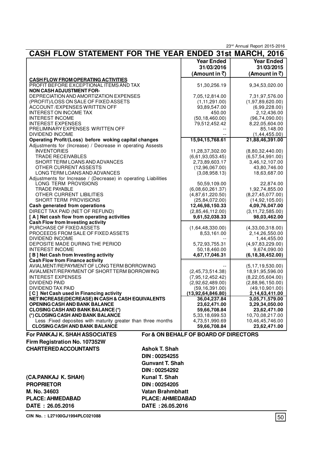23nd Annual Report 2015-2016

|                                                                |                        |                                       | $1 - 1$             |
|----------------------------------------------------------------|------------------------|---------------------------------------|---------------------|
|                                                                |                        | <b>Year Ended</b>                     | <b>Year Ended</b>   |
|                                                                |                        | 31/03/2016                            | 31/03/2015          |
|                                                                |                        | (Amount in ₹)                         | (Amount in ₹)       |
| <b>CASH FLOW FROM OPERATING ACTIVITIES</b>                     |                        |                                       |                     |
| PROFIT BEFORE EXCEPTIONAL ITEMS AND TAX                        |                        | 51,30,256.19                          | 9,34,53,020.00      |
| NON CASH ADJUSTMENT FOR-                                       |                        |                                       |                     |
| DEPRECIATION AND AMORTIZATION EXPENSES                         |                        | 7,05,12,814.00                        | 7,31,97,576.00      |
| (PROFIT)/LOSS ON SALE OF FIXED ASSETS                          |                        | (1, 11, 291.00)                       | (1,97,89,620.00)    |
| ACCOUNT / EXPENSES WRITTEN OFF                                 |                        | 93,89,547.00                          | (6,99,228.00)       |
| <b>INTEREST ON INCOME TAX</b>                                  |                        | 450.00                                | 2,12,436.00         |
| <b>INTEREST INCOME</b>                                         |                        | (50, 18, 460.00)                      | (96, 74, 090.00)    |
| <b>INTEREST EXPENSES</b>                                       |                        | 79,512,452.42                         | 8,22,05,604.00      |
| PRELIMINARY EXPENSES WRITTEN OFF                               |                        |                                       | 85,148.00           |
| <b>DIVIDEND INCOME</b>                                         |                        |                                       | (1,44,455.00)       |
| Operating Profit/(Loss) before woking capital changes          |                        | 15,94,15,768.61                       | 21,88,46,391.00     |
| Adjustments for (Increase) / Decrease in operating Assests     |                        |                                       |                     |
| <b>INVENTORIES</b>                                             |                        | 11,28,37,302.00                       | (8,80,32,440.00)    |
| <b>TRADE RECEIVABLES</b>                                       |                        | (6,61,93,053.45)                      | (6, 57, 54, 991.00) |
| SHORT TERM LOANS AND ADVANCES                                  |                        | 2,73,89,603.17                        | 3,46,12,107.00      |
| OTHER CURRENT ASSESTS                                          |                        | (12,96,067.00)                        | 43,80,746.00        |
| LONG TERM LOANS AND ADVANCES                                   |                        | (3,08,958.13)                         | 18,63,687.00        |
| Adjustments for Increase / (Decrease) in operating Liabilities |                        |                                       |                     |
| LONG TERM PROVISIONS                                           |                        | 50,59,109.00                          | 22.874.00           |
| <b>TRADE PAYABLE</b>                                           |                        | (6,08,60,261.37)                      | 1,92,74,855.00      |
| OTHER CURRENT LIBILITIES                                       |                        | (4,87,61,220.50)                      | (8, 27, 45, 077.00) |
| SHORT TERM PROVISIONS                                          |                        | (25, 84, 072.00)                      | (14,92,105.00)      |
| Cash generated from operations                                 |                        | 12,46,98,150.33                       | 4,09,76,047.00      |
| DIRECT TAX PAID (NET OF REFUND)                                |                        | (2,85,46,112.00)                      | (3, 11, 72, 585.00) |
| [A] Net cash flow from operating activities                    |                        | 9,61,52,038.33                        | 98,03,462.00        |
| Cash Flow from Investing activity                              |                        |                                       |                     |
| PURCHASE OF FIXED ASSETS                                       |                        | (1,64,48,330.00)                      | (4,33,00,318.00)    |
| PROCEEDS FROM SALE OF FIXED ASSETS                             |                        | 8,53,161.00                           | 2,14,26,550.00      |
| <b>DIVIDEND INCOME</b>                                         |                        |                                       | 1,44,455.00         |
| DEPOSITE MADE DURING THE PERIOD                                |                        | 5,72,93,755.31                        | (4,97,83,229.00)    |
| <b>INTEREST INCOME</b>                                         |                        | 50,18,460.00                          | 9,674,090.00        |
| [B] Net Cash from Investing activity                           |                        | 4,67,17,046.31                        | (6, 18, 38, 452.00) |
| <b>Cash Flow from Finance activity</b>                         |                        |                                       |                     |
| AVIALMENT/REPAYMENT OF LONG TERM BORROWING                     |                        |                                       | (5, 17, 19, 530.00) |
| AVIALMENT/REPAYMENT OF SHORT TERM BORROWING                    |                        | (2,45,73,514.38)                      | 18,91,95,596.00     |
| <b>INTEREST EXPENSES</b>                                       |                        | (7,95,12,452.42)                      | (8,22,05,604.00)    |
| <b>DIVIDEND PAID</b>                                           |                        | (2,92,62,489.00)                      | (2,88,96,150.00)    |
| DIVIDEND TAX PAID                                              |                        | (59, 16, 391.00)                      | (49, 10, 901.00)    |
| [C] Net Cash used in Financing activity                        |                        | (13,92,64,846.80)                     | 2,14,63,411.00      |
| NET INCREASE(DECREASE) IN CASH & CASH EQUIVALENTS              |                        | 36,04,237.84                          | 3,05,71,579.00      |
| <b>OPENING CASH AND BANK BALANCE</b>                           |                        | 23,62,471.00                          | 3,29,34,050.00      |
| <b>CLOSING CASH AND BANK BALANCE (*)</b>                       |                        | 59,66,708.84                          | 23,62,471.00        |
| (*) CLOSING CASH AND BANK BALANCE                              |                        | 5,33,18,699.53                        | 10,70,08,217.00     |
| Less: Fixed deposites with maturity greater than three months  |                        | 4,73,51,990.69                        | 10,46,45,746.00     |
| <b>CLOSING CASH AND BANK BALANCE</b>                           |                        | 59,66,708.84                          | 23,62,471.00        |
| For PANKAJ K. SHAH ASSOCIATES                                  |                        | For & ON BEHALF OF BOARD OF DIRECTORS |                     |
| Firm Registration No. 107352W                                  |                        |                                       |                     |
| <b>CHARTERED ACCOUNTANTS</b>                                   | <b>Ashok T. Shah</b>   |                                       |                     |
|                                                                |                        |                                       |                     |
|                                                                | DIN: 00254255          |                                       |                     |
|                                                                | <b>Gunvant T. Shah</b> |                                       |                     |
|                                                                | DIN: 00254292          |                                       |                     |
|                                                                |                        |                                       |                     |
| (CA.PANKAJ K. SHAH)                                            | Kunal T. Shah          |                                       |                     |
| <b>PROPRIETOR</b>                                              | DIN: 00254205          |                                       |                     |

**M. No. 34603 Vatan Brahmbhatt PLACE: AHMEDABAD PLACE: AHMEDABAD DATE : 26.05.2016 DATE : 26.05.2016**

**CIN No. : L27100GJ1994PLC021088**

 $\overline{\phantom{a}}$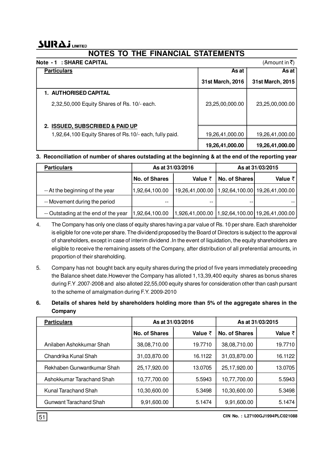# $SURAJ$

## **NOTES TO THE FINANCIAL STATEMENTS**

| Note - 1 : SHARE CAPITAL                               |                  | (Amount in ₹)    |
|--------------------------------------------------------|------------------|------------------|
| <b>Particulars</b>                                     | As at            | As at            |
|                                                        | 31st March, 2016 | 31st March, 2015 |
| <b>1. AUTHORISED CAPITAL</b>                           |                  |                  |
| 2,32,50,000 Equity Shares of Rs. 10/- each.            | 23,25,00,000.00  | 23,25,00,000.00  |
| 2. ISSUED, SUBSCRIBED & PAID UP                        |                  |                  |
| 1,92,64,100 Equity Shares of Rs.10/- each, fully paid. | 19,26,41,000.00  | 19,26,41,000.00  |
|                                                        | 19,26,41,000.00  | 19,26,41,000.00  |

## **3. Reconciliation of number of shares outstading at the beginning & at the end of the reporting year**

| <b>Particulars</b>                   | As at 31/03/2016     |                 | As at 31/03/2015 |                                  |
|--------------------------------------|----------------------|-----------------|------------------|----------------------------------|
|                                      | <b>No. of Shares</b> | Value ₹         | No. of Shares    | Value ₹                          |
| -- At the beginning of the year      | 1,92,64,100.00       | 19,26,41,000.00 |                  | $1,92,64,100.00$ 19,26,41,000.00 |
| -- Movement during the period        | $- -$                | --              |                  |                                  |
| -- Outstading at the end of the year | 1,92,64,100.00       | 1,926,41,000.00 |                  | 1,92,64,100.00 19,26,41,000.00   |

- 4. The Company has only one class of equity shares having a par value of Rs. 10 per share. Each shareholder is eligible for one vote per share. The dividend proposed by the Board of Directors is subject to the approval of shareholders, except in case of interim dividend .In the event of liquidation, the equity shareholders are eligible to receive the remaining assets of the Company, after distribution of all preferential amounts, in proportion of their shareholding.
- 5. Company has not bought back any equity shares during the priod of five years immediately preceeding the Balance sheet date.However the Company has alloted 1,13,39,400 equity shares as bonus shares during F.Y .2007-2008 and also alloted 22,55,000 equity shares for consideration other than cash pursant to the scheme of amalgmation during F.Y. 2009-2010
- **6. Details of shares held by shareholders holding more than 5% of the aggregate shares in the Company**

| <b>Particulars</b>         | As at 31/03/2016                        |         | As at 31/03/2015     |         |  |
|----------------------------|-----------------------------------------|---------|----------------------|---------|--|
|                            | <b>No. of Shares</b><br>Value $\bar{z}$ |         | <b>No. of Shares</b> | Value ₹ |  |
| Anilaben Ashokkumar Shah   | 38,08,710.00                            | 19.7710 | 38,08,710.00         | 19.7710 |  |
| Chandrika Kunal Shah       | 31,03,870.00                            | 16.1122 | 31,03,870.00         | 16.1122 |  |
| Rekhaben Gunwantkumar Shah | 25,17,920.00                            | 13.0705 | 25,17,920.00         | 13.0705 |  |
| Ashokkumar Tarachand Shah  | 10,77,700.00                            | 5.5943  | 10,77,700.00         | 5.5943  |  |
| Kunal Tarachand Shah       | 10,30,600.00                            | 5.3498  | 10,30,600.00         | 5.3498  |  |
| Gunwant Tarachand Shah     | 9,91,600.00                             | 5.1474  | 9,91,600.00          | 5.1474  |  |

51 **CIN No. : L27100GJ1994PLC021088**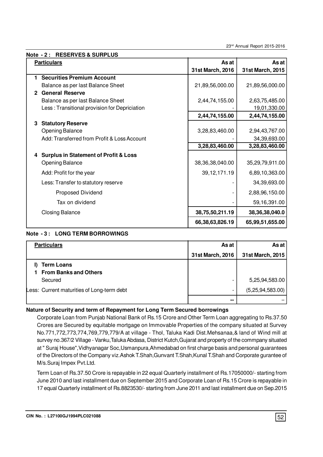| <b>Particulars</b>                                    | As at               | As at             |
|-------------------------------------------------------|---------------------|-------------------|
|                                                       | 31st March, 2016    | 31st March, 2015  |
| <b>Securities Premium Account</b><br>1                |                     |                   |
| Balance as per last Balance Sheet                     | 21,89,56,000.00     | 21,89,56,000.00   |
| <b>General Reserve</b><br>$\mathbf{2}^{\circ}$        |                     |                   |
| Balance as per last Balance Sheet                     | 2,44,74,155.00      | 2,63,75,485.00    |
| Less: Transitional provision for Depriciation         |                     | 19,01,330.00      |
|                                                       | 2,44,74,155.00      | 2,44,74,155.00    |
| <b>Statutory Reserve</b><br>3                         |                     |                   |
| <b>Opening Balance</b>                                | 3,28,83,460.00      | 2,94,43,767.00    |
| Add: Transferred from Profit & Loss Account           |                     | 34,39,693.00      |
|                                                       | 3,28,83,460.00      | 3,28,83,460.00    |
| <b>Surplus in Statement of Profit &amp; Loss</b><br>4 |                     |                   |
| <b>Opening Balance</b>                                | 38, 36, 38, 040. 00 | 35,29,79,911.00   |
| Add: Profit for the year                              | 39, 12, 171. 19     | 6,89,10,363.00    |
| Less: Transfer to statutory reserve                   |                     | 34,39,693.00      |
| Proposed Dividend                                     |                     | 2,88,96,150.00    |
| Tax on dividend                                       |                     | 59,16,391.00      |
| <b>Closing Balance</b>                                | 38,75,50,211.19     | 38, 36, 38, 040.0 |
|                                                       | 66, 38, 63, 826. 19 | 65,99,51,655.00   |

### **Note - 3 : LONG TERM BORROWINGS**

| <b>Particulars</b>                         | As at                    | As at $ $        |
|--------------------------------------------|--------------------------|------------------|
|                                            | 31st March, 2016         | 31st March, 2015 |
| <b>Term Loans</b>                          |                          |                  |
| <b>From Banks and Others</b>               |                          |                  |
| Secured                                    | $\overline{\phantom{0}}$ | 5,25,94,583.00   |
| Less: Current maturities of Long-term debt |                          | (5,25,94,583.00) |
|                                            | $\sim$                   |                  |

## **Nature of Security and term of Repayment for Long Term Secured borrowings**

Corporate Loan from Punjab National Bank of Rs.15 Crore and Other Term Loan aggregating to Rs.37.50 Crores are Secured by equitable mortgage on Immovable Properties of the company situated at Survey No.771,772,773,774,769,779,779/A at village - Thol, Taluka Kadi Dist.Mehsanaa,& land of Wind mill at survey no.367/2 Village - Vanku,Taluka Abdasa, District Kutch,Gujarat and property of the commpany situated at " Suraj House",Vidhyanagar Soc,Usmanpura,Ahmedabad on first charge basis and personal guarantees of the Directors of the Company viz.Ashok T.Shah,Gunvant T.Shah,Kunal T.Shah and Corporate gurantee of M/s.Suraj Impex Pvt.Ltd.

Term Loan of Rs.37.50 Crore is repayable in 22 equal Quarterly installment of Rs.17050000/- starting from June 2010 and last installment due on September 2015 and Corporate Loan of Rs.15 Crore is repayable in 17 equal Quarterly installment of Rs.8823530/- starting from June 2011 and last installment due on Sep.2015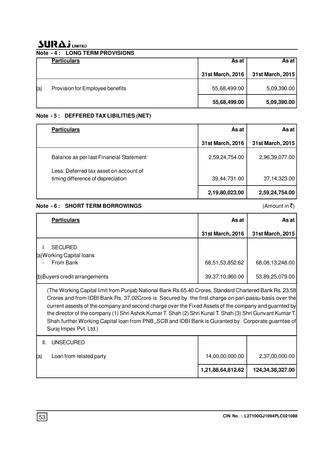|     | Note - 4 : LONG TERM PROVISIONS<br><b>Particulars</b> | As at            | As at            |
|-----|-------------------------------------------------------|------------------|------------------|
|     |                                                       | 31st March, 2016 | 31st March, 2015 |
| (a) | Provision for Employee benefits                       | 55,68,499.00     | 5,09,390.00      |
|     |                                                       | 55,68,499.00     | 5,09,390.00      |

## **Note - 5 : DEFFERED TAX LIBILITIES (NET)**

| <b>Particulars</b>                                                          | As at            | As at            |
|-----------------------------------------------------------------------------|------------------|------------------|
|                                                                             | 31st March, 2016 | 31st March, 2015 |
| Balance as per last Financial Statement                                     | 2,59,24,754.00   | 2,96,39,077.00   |
| Less: Deferred tax asset on account of<br>timing difference of depreciation | 39,44,731.00     | 37, 14, 323.00   |
|                                                                             | 2,19,80,023.00   | 2,59,24,754.00   |

## **Note - 6 : SHORT TERM BORROWINGS** (Amount in ₹)

| <b>Particulars</b>                         | As at            | As at            |
|--------------------------------------------|------------------|------------------|
|                                            | 31st March, 2016 | 31st March, 2015 |
| <b>SECURED</b><br>(a)Working Capital loans |                  |                  |
| From Bank                                  | 68,51,53,852.62  | 68,08,13,248.00  |
| (b) Buyers credit arrangements             | 39,37,10,960.00  | 53,89,25,079.00  |

(The Working Capital limit from Punjab National Bank Rs.65.40 Crores, Standard Chartered Bank Rs. 23.58 Crores and from IDBI Bank Rs. 37.02Crore is Secured by the first charge on pari passu basis over the current assests of the company and second charge over the Fixed Assets of the company and guarnted by the director of the company (1) Shri Ashok Kumar T. Shah (2) Shri Kunal T. Shah (3) Shri Gunvant Kumar T. Shah.further Working Capital loan from PNB,,SCB and IDBI Bank is Guranted by Corporate guarntee of Suraj Impex Pvt. Ltd.)

| II. | <b>UNSECURED</b>        |                   |                  |
|-----|-------------------------|-------------------|------------------|
| (a) | Loan from related party | 14,00,00,000.00   | 2,37,00,000.00   |
|     |                         | 1,21,88,64,812.62 | 124,34,38,327.00 |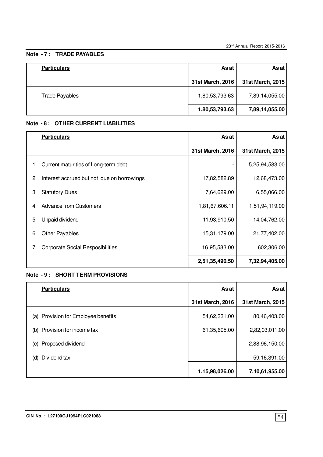### **Note - 7 : TRADE PAYABLES**

| <b>Particulars</b>    | As at            | As at $ $        |
|-----------------------|------------------|------------------|
|                       | 31st March, 2016 | 31st March, 2015 |
| <b>Trade Payables</b> | 1,80,53,793.63   | 7,89,14,055.00   |
|                       | 1,80,53,793.63   | 7,89,14,055.00   |

### **Note - 8 : OTHER CURRENT LIABILITIES**

|   | <b>Particulars</b>                         | As at            | As at            |
|---|--------------------------------------------|------------------|------------------|
|   |                                            | 31st March, 2016 | 31st March, 2015 |
|   | Current maturities of Long-term debt       |                  | 5,25,94,583.00   |
| 2 | Interest accrued but not due on borrowings | 17,82,582.89     | 12,68,473.00     |
| 3 | <b>Statutory Dues</b>                      | 7,64,629.00      | 6,55,066.00      |
| 4 | <b>Advance from Customers</b>              | 1,81,67,606.11   | 1,51,94,119.00   |
| 5 | Unpaid dividend                            | 11,93,910.50     | 14,04,762.00     |
| 6 | <b>Other Payables</b>                      | 15,31,179.00     | 21,77,402.00     |
|   | <b>Corporate Social Resposibilities</b>    | 16,95,583.00     | 602,306.00       |
|   |                                            | 2,51,35,490.50   | 7,32,94,405.00   |

### **Note - 9 : SHORT TERM PROVISIONS**

| <b>Particulars</b>                  | As at            | As at            |
|-------------------------------------|------------------|------------------|
|                                     | 31st March, 2016 | 31st March, 2015 |
| (a) Provision for Employee benefits | 54,62,331.00     | 80,46,403.00     |
| Provision for income tax<br>(b)     | 61,35,695.00     | 2,82,03,011.00   |
| Proposed dividend<br>(C)            |                  | 2,88,96,150.00   |
| Dividend tax<br>(d)                 |                  | 59,16,391.00     |
|                                     | 1,15,98,026.00   | 7,10,61,955.00   |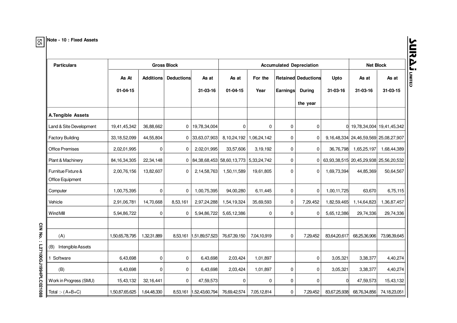|  |  |  |  | ပ္ပ္ဟာ Note - 10 : Fixed Assets |
|--|--|--|--|---------------------------------|
|--|--|--|--|---------------------------------|

| <u>ת</u>                               |                 |                  |                    |                |                                                  |                                 |             |                            |              |                  |                                                |
|----------------------------------------|-----------------|------------------|--------------------|----------------|--------------------------------------------------|---------------------------------|-------------|----------------------------|--------------|------------------|------------------------------------------------|
| <b>Particulars</b>                     |                 |                  | <b>Gross Block</b> |                |                                                  | <b>Accumulated Depreciation</b> |             |                            |              | <b>Net Block</b> |                                                |
|                                        | As At           | <b>Additions</b> | <b>Deductions</b>  | As at          | As at                                            | For the                         |             | <b>Retained Deductions</b> | Upto         | As at            | As at                                          |
|                                        | $01 - 04 - 15$  |                  |                    | $31 - 03 - 16$ | $01-04-15$                                       | Year                            | Earnings    | <b>During</b>              | 31-03-16     | 31-03-16         | 31-03-15                                       |
|                                        |                 |                  |                    |                |                                                  |                                 |             | the year                   |              |                  |                                                |
| <b>A.Tengible Assets</b>               |                 |                  |                    |                |                                                  |                                 |             |                            |              |                  |                                                |
| Land & Site Development                | 19,41,45,342    | 36,88,662        |                    | 0 19,78,34,004 | $\Omega$                                         | $\Omega$                        | $\mathbf 0$ | 0                          |              |                  | 0 19,78,34,004 19,41,45,342                    |
| <b>Factory Building</b>                | 33,18,52,099    | 44,55,804        | 0                  | 33,63,07,903   | 8, 10, 24, 192                                   | 1,06,24,142                     | 0           | $\mathbf 0$                |              |                  | 9, 16, 48, 334 24, 46, 59, 569 25, 08, 27, 907 |
| <b>Office Premises</b>                 | 2,02,01,995     | 0                | 0                  | 2,02,01,995    | 33,57,606                                        | 3,19,192                        | 0           | $\mathbf 0$                | 36,76,798    | 1,65,25,197      | 1,68,44,389                                    |
| Plant & Machinery                      | 84, 16, 34, 305 | 22,34,148        |                    |                | 0 84, 38, 68, 453 58, 60, 13, 773 5, 33, 24, 742 |                                 | 0           | 0                          |              |                  | 63,93,38,515 20,45,29,938 25,56,20,532         |
| Furnitue Fixture &<br>Office Equipment | 2,00,76,156     | 13,82,607        | 0                  | 2,14,58,763    | 1,50,11,589                                      | 19,61,805                       | $\mathbf 0$ | 0                          | 1,69,73,394  | 44,85,369        | 50,64,567                                      |
| Computer                               | 1,00,75,395     | $\pmb{0}$        | $\pmb{0}$          | 1,00,75,395    | 94,00,280                                        | 6,11,445                        | $\pmb{0}$   | $\mathbf 0$                | 1,00,11,725  | 63,670           | 6,75,115                                       |
| Vehicle                                | 2,91,06,781     | 14,70,668        | 8,53,161           | 2,97,24,288    | 1,54,19,324                                      | 35,69,593                       | $\mathbf 0$ | 7,29,452                   | 1,82,59,465  | 1,14,64,823      | 1,36,87,457                                    |
| <b>Wind Mill</b>                       | 5,94,86,722     | 0                | 0                  | 5,94,86,722    | 5,65,12,386                                      | $\mathbf 0$                     | $\mathbf 0$ | $\Omega$                   | 5,65,12,386  | 29,74,336        | 29,74,336                                      |
|                                        |                 |                  |                    |                |                                                  |                                 |             |                            |              |                  |                                                |
| (A)                                    | 1,50,65,78,795  | 1,32,31,889      | 8,53,161           | 1,51,89,57,523 | 76,67,39,150                                     | 7,04,10,919                     | $\mathbf 0$ | 7,29,452                   | 83,64,20,617 | 68,25,36,906     | 73,98,39,645                                   |
| (B)<br>Intengible Assets               |                 |                  |                    |                |                                                  |                                 |             |                            |              |                  |                                                |
| 1 Software                             | 6,43,698        | 0                | $\mathbf 0$        | 6,43,698       | 2,03,424                                         | 1,01,897                        |             | 0                          | 3,05,321     | 3,38,377         | 4,40,274                                       |
| (B)                                    | 6,43,698        | $\mathbf 0$      | $\mathbf 0$        | 6,43,698       | 2,03,424                                         | 1,01,897                        | $\mathbf 0$ | 0                          | 3,05,321     | 3,38,377         | 4,40,274                                       |
| Work in Progress (SMU)                 | 15,43,132       | 32, 16, 441      | $\pmb{0}$          | 47,59,573      | $\mathbf 0$                                      | $\mathbf 0$                     | 0           | 0                          | $\mathbf 0$  | 47,59,573        | 15,43,132                                      |
| Total :- $(A+B+C)$                     | 1,50,87,65,625  | 1,64,48,330      | 8,53,161           | 1,52,43,60,794 | 76,69,42,574                                     | 7,05,12,814                     | $\mathbf 0$ | 7,29,452                   | 83,67,25,938 | 68,76,34,856     | 74, 18, 23, 051                                |

<u>Suna LAS immed</u>

**CIN No. : L27100GJ1994PLC021088**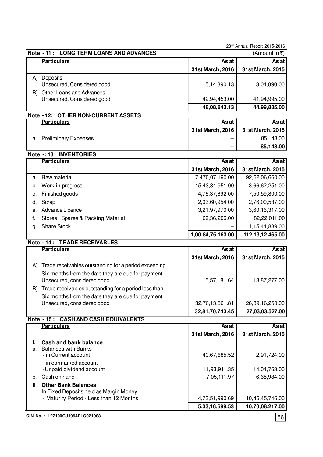23nd Annual Report 2015-2016

|    | Note - 11 : LONG TERM LOANS AND ADVANCES               |                  | (Amount in ₹)    |
|----|--------------------------------------------------------|------------------|------------------|
|    | <b>Particulars</b>                                     | As at            | As at            |
|    |                                                        | 31st March, 2016 | 31st March, 2015 |
| A) | <b>Deposits</b><br>Unsecured, Considered good          | 5, 14, 390. 13   | 3,04,890.00      |
| B) | Other Loans and Advances<br>Unsecured, Considered good | 42,94,453.00     | 41,94,995.00     |
|    |                                                        | 48,08,843.13     | 44,99,885.00     |

| Note - 12: OTHER NON-CURRENT ASSETS |                             |                  |                  |
|-------------------------------------|-----------------------------|------------------|------------------|
|                                     | <b>Particulars</b>          | As at            | As at            |
|                                     |                             | 31st March, 2016 | 31st March, 2015 |
| a.                                  | <b>Preliminary Expenses</b> | --               | 85.148.00        |
|                                     |                             | $\blacksquare$   | 85,148.00        |

### **Note -: 13 INVENTORIES**

|         | <b>Particulars</b>                | As at             | As at               |
|---------|-----------------------------------|-------------------|---------------------|
|         |                                   | 31st March, 2016  | 31st March, 2015    |
| a.      | Raw material                      | 7,470,07,190.00   | 92,62,06,660.00     |
| b.      | Work-in-progress                  | 15,43,34,951.00   | 3,66,62,251.00      |
| c.      | Finished goods                    | 4,76,37,892.00    | 7,50,59,800.00      |
| d.      | Scrap                             | 2,03,60,954.00    | 2,76,00,537.00      |
| $e_{i}$ | Advance Licence                   | 3,21,97,970.00    | 3,60,16,317.00      |
|         | Stores, Spares & Packing Material | 69,36,206.00      | 82,22,011.00        |
| a.      | <b>Share Stock</b>                |                   | 1,15,44,889.00      |
|         |                                   | 1,00,84,75,163.00 | 112, 13, 12, 465.00 |

# **Note - 14 : TRADE RECEIVABLES**

|        | <b>Particulars</b>                                                              | As at            | As at I          |
|--------|---------------------------------------------------------------------------------|------------------|------------------|
|        |                                                                                 | 31st March, 2016 | 31st March, 2015 |
|        | A) Trade receivables outstanding for a period exceeding                         |                  |                  |
|        | Six months from the date they are due for payment<br>Unsecured, considered good | 5,57,181.64      | 13,87,277.00     |
| B)     | Trade receivables outstanding for a period less than                            |                  |                  |
|        | Six months from the date they are due for payment                               |                  |                  |
|        | Unsecured, considered good                                                      | 32,76,13,561.81  | 26,89,16,250.00  |
|        |                                                                                 | 32,81,70,743.45  | 27,03,03,527.00  |
| Note - | CASH AND CASH FOI IIVAI.<br>15.                                                 |                  |                  |

|    | <b>Particulars</b>                                                   | As at            | As at I          |
|----|----------------------------------------------------------------------|------------------|------------------|
|    |                                                                      | 31st March, 2016 | 31st March, 2015 |
|    | Cash and bank balance                                                |                  |                  |
| a. | <b>Balances with Banks</b><br>- in Current account                   | 40,67,685.52     | 2,91,724.00      |
|    | - in earmarked account<br>-Unpaid dividend account                   | 11,93,911.35     | 14,04,763.00     |
| b. | Cash on hand                                                         | 7,05,111.97      | 6,65,984.00      |
|    | <b>Other Bank Balances</b><br>In Fixed Deposits held as Margin Money |                  |                  |
|    | - Maturity Period - Less than 12 Months                              | 4,73,51,990.69   | 10,46,45,746.00  |
|    |                                                                      | 5,33,18,699.53   | 10,70,08,217.00  |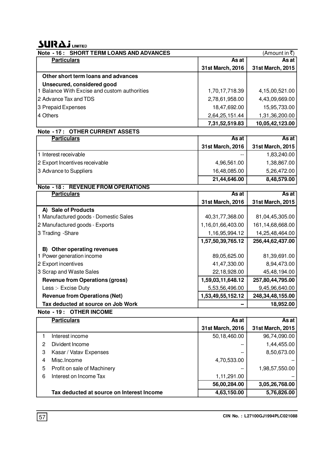| <b>SHORT TERM LOANS AND ADVANCES</b><br>Note - 16 : |                  | (Amount in ₹)    |
|-----------------------------------------------------|------------------|------------------|
| <b>Particulars</b>                                  | As at            | As at            |
|                                                     | 31st March, 2016 | 31st March, 2015 |
| Other short term loans and advances                 |                  |                  |
| Unsecured, considered good                          |                  |                  |
| Balance With Excise and custom authorities          | 1,70,17,718.39   | 4,15,00,521.00   |
| 2 Advance Tax and TDS                               | 2,78,61,958.00   | 4,43,09,669.00   |
| 3 Prepaid Expenses                                  | 18,47,692.00     | 15,95,733.00     |
| l4 Others                                           | 2,64,25,151.44   | 1,31,36,200.00   |
|                                                     | 7,31,52,519.83   | 10,05,42,123.00  |

| Note - 17: OTHER CURRENT ASSETS |                  |                  |
|---------------------------------|------------------|------------------|
| <b>Particulars</b>              | As at            | As at            |
|                                 | 31st March, 2016 | 31st March, 2015 |
| 1 Interest receivable           |                  | 1,83,240.00      |
| 2 Export Incentives receivable  | 4,96,561.00      | 1,38,867.00      |
| 3 Advance to Suppliers          | 16,48,085.00     | 5,26,472.00      |
|                                 | 21,44,646.00     | 8,48,579.00      |

| Note - 18 :<br><b>REVENUE FROM OPERATIONS</b> |                   |                     |  |
|-----------------------------------------------|-------------------|---------------------|--|
| <b>Particulars</b>                            | As at             | As at               |  |
|                                               | 31st March, 2016  | 31st March, 2015    |  |
| A) Sale of Products                           |                   |                     |  |
| 1 Manufactured goods - Domestic Sales         | 40,31,77,368.00   | 81,04,45,305.00     |  |
| 2 Manufactured goods - Exports                | 1,16,01,66,403.00 | 161,14,68,668.00    |  |
| 3 Trading - Share                             | 1,16,95,994.12    | 14,25,48,464.00     |  |
|                                               | 1,57,50,39,765.12 | 256,44,62,437.00    |  |
| B) Other operating revenues                   |                   |                     |  |
| 1 Power generation income                     | 89,05,625.00      | 81,39,691.00        |  |
| 2 Export incentives                           | 41,47,330.00      | 8,94,473.00         |  |
| 3 Scrap and Waste Sales                       | 22,18,928.00      | 45,48,194.00        |  |
| <b>Revenue from Operations (gross)</b>        | 1,59,03,11,648.12 | 257,80,44,795.00    |  |
| Less :- Excise Duty                           | 5,53,56,496.00    | 9,45,96,640.00      |  |
| <b>Revenue from Operations (Net)</b>          | 1,53,49,55,152.12 | 248, 34, 48, 155.00 |  |
| Tax deducted at source on Job Work            |                   | 18,952.00           |  |
|                                               |                   |                     |  |

## **Note - 19 : OTHER INCOME Particulars As at As at As at 31st March, 2016 31st March, 2015** 1 Interest income 50,18,460.00 96,74,090.00 2 Divident Income 1,44,455.00 3 Kasar / Vatav Expenses -- 8,50,673.00 4 Misc.Income 4,70,533.00 --

|    | 5 Profit on sale of Machinery             | $-$          | 1,98,57,550.00 |
|----|-------------------------------------------|--------------|----------------|
| 6. | Interest on Income Tax                    | 1,11,291.00  |                |
|    |                                           | 56,00,284.00 | 3,05,26,768.00 |
|    | Tax deducted at source on Interest Income | 4,63,150.00  | 5,76,826.00    |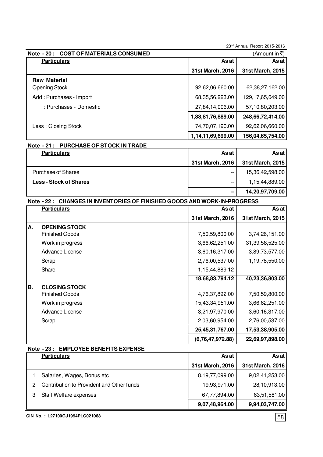23nd Annual Report 2015-2016

| <b>COST OF MATERIALS CONSUMED</b><br>Note - 20 : |                     | (Amount in ₹)    |
|--------------------------------------------------|---------------------|------------------|
| <b>Particulars</b>                               | As at               | As at            |
|                                                  | 31st March, 2016    | 31st March, 2015 |
| <b>Raw Material</b>                              |                     |                  |
| <b>Opening Stock</b>                             | 92,62,06,660.00     | 62,38,27,162.00  |
| Add: Purchases - Import                          | 68, 35, 56, 223. 00 | 129,17,65,049.00 |
| : Purchases - Domestic                           | 27,84,14,006.00     | 57,10,80,203.00  |
|                                                  | 1,88,81,76,889.00   | 248,66,72,414.00 |
| Less: Closing Stock                              | 74,70,07,190.00     | 92,62,06,660.00  |
|                                                  | 1,14,11,69,699.00   | 156,04,65,754.00 |

### **Note - 21 : PURCHASE OF STOCK IN TRADE**

| <b>Particulars</b>            | As at            | As at I          |
|-------------------------------|------------------|------------------|
|                               | 31st March, 2016 | 31st March, 2015 |
| <b>Purchase of Shares</b>     |                  | 15,36,42,598.00  |
| <b>Less - Stock of Shares</b> |                  | 1,15,44,889.00   |
|                               | --               | 14,20,97,709.00  |

## **Note - 22 : CHANGES IN INVENTORIES OF FINISHED GOODS AND WORK-IN-PROGRESS**

|    | <b>Particulars</b>                            | As at            | <b>As at</b>     |
|----|-----------------------------------------------|------------------|------------------|
|    |                                               | 31st March, 2016 | 31st March, 2015 |
| А. | <b>OPENING STOCK</b><br><b>Finished Goods</b> | 7,50,59,800.00   | 3,74,26,151.00   |
|    | Work in progress                              | 3,66,62,251.00   | 31,39,58,525.00  |
|    | Advance License                               | 3,60,16,317.00   | 3,89,73,577.00   |
|    | Scrap                                         | 2,76,00,537.00   | 1,19,78,550.00   |
|    | Share                                         | 1,15,44,889.12   |                  |
|    |                                               | 18,68,83,794.12  | 40,23,36,803.00  |
| В. | <b>CLOSING STOCK</b><br><b>Finished Goods</b> | 4,76,37,892.00   | 7,50,59,800.00   |
|    | Work in progress                              | 15,43,34,951.00  | 3,66,62,251.00   |
|    | Advance License                               | 3,21,97,970.00   | 3,60,16,317.00   |
|    | Scrap                                         | 2,03,60,954.00   | 2,76,00,537.00   |
|    |                                               | 25,45,31,767.00  | 17,53,38,905.00  |
|    |                                               | (6,76,47,972.88) | 22,69,97,898.00  |

### **Note - 23 : EMPLOYEE BENEFITS EXPENSE**

|   | <b>Particulars</b>                        | As at            | As at            |
|---|-------------------------------------------|------------------|------------------|
|   |                                           | 31st March, 2016 | 31st March, 2016 |
|   | Salaries, Wages, Bonus etc                | 8,19,77,099.00   | 9,02,41,253.00   |
| 2 | Contribution to Provident and Other funds | 19,93,971.00     | 28,10,913.00     |
|   | Staff Welfare expenses                    | 67,77,894.00     | 63,51,581.00     |
|   |                                           | 9,07,48,964.00   | 9,94,03,747.00   |

### **CIN No. : L27100GJ1994PLC021088**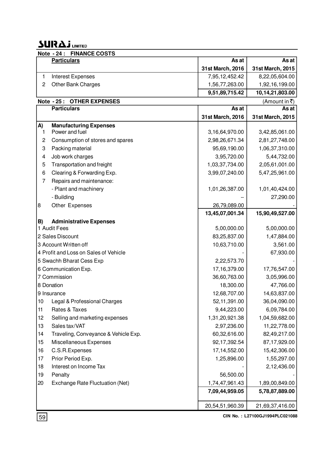|                  | Note - 24 : FINANCE COSTS<br><b>Particulars</b> | As at            | As at            |
|------------------|-------------------------------------------------|------------------|------------------|
|                  |                                                 | 31st March, 2016 | 31st March, 2015 |
| 1                | <b>Interest Expenses</b>                        | 7,95,12,452.42   | 8,22,05,604.00   |
| $\overline{c}$   | Other Bank Charges                              | 1,56,77,263.00   | 1,92,16,199.00   |
|                  |                                                 | 9,51,89,715.42   | 10,14,21,803.00  |
|                  | Note - 25 :<br><b>OTHER EXPENSES</b>            |                  | (Amount in ₹)    |
|                  | <b>Particulars</b>                              | As at            | As at            |
|                  |                                                 | 31st March, 2016 | 31st March, 2015 |
| A)               | <b>Manufacturing Expenses</b>                   |                  |                  |
| 1                | Power and fuel                                  | 3,16,64,970.00   | 3,42,85,061.00   |
| $\boldsymbol{2}$ | Consumption of stores and spares                | 2,98,26,671.34   | 2,81,27,748.00   |
| 3                | Packing material                                | 95,69,190.00     | 1,06,37,310.00   |
| 4                | Job work charges                                | 3,95,720.00      | 5,44,732.00      |
| 5                | Transportation and freight                      | 1,03,37,734.00   | 2,05,61,001.00   |
| 6                | Clearing & Forwarding Exp.                      | 3,99,07,240.00   | 5,47,25,961.00   |
| 7                | Repairs and maintenance:                        |                  |                  |
|                  | - Plant and machinery                           | 1,01,26,387.00   | 1,01,40,424.00   |
|                  | - Building                                      |                  | 27,290.00        |
| 8                | Other Expenses                                  | 26,79,089.00     |                  |
|                  |                                                 | 13,45,07,001.34  | 15,90,49,527.00  |
| B)               | <b>Administrative Expenses</b>                  |                  |                  |
|                  | 1 Audit Fees                                    | 5,00,000.00      | 5,00,000.00      |
|                  | 2 Sales Discount                                | 83,25,837.00     | 1,47,884.00      |
|                  | 3 Account Written off                           | 10,63,710.00     | 3,561.00         |
|                  | 4 Profit and Loss on Sales of Vehicle           |                  | 67,930.00        |
|                  | 5 Swachh Bharat Cess Exp                        | 2,22,573.70      |                  |
|                  | 6 Communication Exp.                            | 17,16,379.00     | 17,76,547.00     |
|                  | 7 Commission                                    | 36,60,763.00     | 3,05,996.00      |
|                  | 8 Donation                                      | 18,300.00        | 47,766.00        |
|                  | 9 Insurance                                     | 12,68,707.00     | 14,63,837.00     |
| 10               | Legal & Professional Charges                    | 52,11,391.00     | 36,04,090.00     |
| 11               | Rates & Taxes                                   | 9,44,223.00      | 6,09,784.00      |
| 12               | Selling and marketing expenses                  | 1,31,20,921.38   | 1,04,59,682.00   |
| 13               | Sales tax/VAT                                   | 2,97,236.00      | 11,22,778.00     |
| 14               | Traveling, Conveyance & Vehicle Exp.            | 60,32,616.00     | 82,49,217.00     |
| 15               | Miscellaneous Expenses                          | 92, 17, 392.54   | 87,17,929.00     |
| 16               | C.S.R. Expenses                                 | 17,14,552.00     | 15,42,306.00     |
| 17               | Prior Period Exp.                               | 1,25,896.00      | 1,55,297.00      |
| 18               | Interest on Income Tax                          |                  | 2,12,436.00      |
| 19               | Penalty                                         | 56,500.00        |                  |
| 20               | Exchange Rate Fluctuation (Net)                 | 1,74,47,961.43   | 1,89,00,849.00   |
|                  |                                                 | 7,09,44,959.05   | 5,78,87,889.00   |
|                  |                                                 | 20,54,51,960.39  | 21,69,37,416.00  |

59 **CIN No. : L27100GJ1994PLC021088**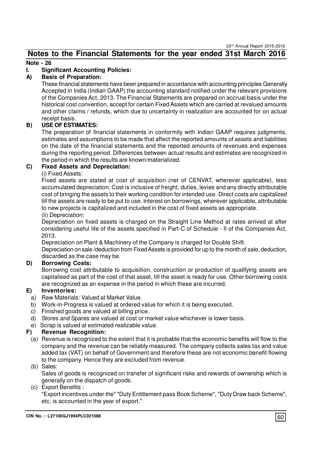## **Notes to the Financial Statements for the year ended 31st March 2016**

## **Note - 26**

## **I. Significant Accounting Policies:**

## **A) Basis of Preparation:**

These financial statements have been prepared in accordance with accounting principles Generally Accepted in India (Indian GAAP) the accounting standard notified under the relevant provisions of the Companies Act, 2013. The Financial Statements are prepared on accrual basis under the historical cost convention, accept for certain Fixed Assets which are carried at revalued amounts and other claims / refunds, which due to uncertainty in realization are accounted for on actual receipt basis.

## **B) USE OF ESTIMATES:**

The preparation of financial statements in conformity with Indian GAAP requires judgments, estimates and assumptions to be made that affect the reported amounts of assets and liabilities on the date of the financial statements and the reported amounts of revenues and expenses during the reporting period. Differences between actual results and estimates are recognized in the period in which the results are known/materialized.

## **C) Fixed Assets and Depreciation:**

## (i) Fixed Assets:

Fixed assets are stated at cost of acquisition (net of CENVAT, wherever applicable), less accumulated depreciation. Cost is inclusive of freight, duties, levies and any directly attributable cost of bringing the assets to their working condition for intended use. Direct costs are capitalized till the assets are ready to be put to use. Interest on borrowings, wherever applicable, attributable to new projects is capitalized and included in the cost of fixed assets as appropriate.

(ii) Depreciation:

Depreciation on fixed assets is charged on the Straight Line Method at rates arrived at after considering useful life of the assets specified in Part-C of Schedule - II of the Companies Act, 2013.

Depreciation on Plant & Machinery of the Company is charged for Double Shift.

Depreciation on sale /deduction from Fixed Assets is provided for up to the month of sale, deduction, discarded as the case may be.

## **D) Borrowing Costs:**

Borrowing cost attributable to acquisition, construction or production of qualifying assets are capitalised as part of the cost of that asset, till the asset is ready for use. Other borrowing costs are recognized as an expense in the period in which these are incurred.

## **E) Inventories:**

- a) Raw Materials: Valued at Market Value.
- b) Work-in-Progress is valued at ordered value for which it is being executed.
- c) Finished goods are valued at billing price.
- d) Stores and Spares are valued at cost or market value whichever is lower basis.
- e) Scrap is valued at estimated realizable value.

## **F) Revenue Recognition:**

- (a) Revenue is recognized to the extent that it is probable that the economic benefits will flow to the company and the revenue can be reliably measured. The company collects sales tax and value added tax (VAT) on behalf of Government and therefore these are not economic benefit flowing to the company. Hence they are excluded from revenue.
- (b) Sales:

Sales of goods is recognized on transfer of significant risks and rewards of ownership which is generally on the dispatch of goods.

(c) Export Benefits :

"Export incentives under the" "Duty Entitlement pass Book Scheme", "Duty Draw back Scheme", etc, is accounted in the year of export."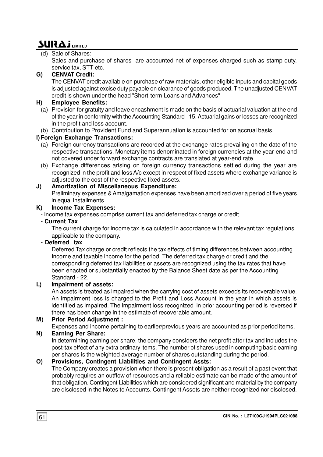# $SURAJ$

## (d) Sale of Shares:

Sales and purchase of shares are accounted net of expenses charged such as stamp duty, service tax, STT etc.

## **G) CENVAT Credit:**

The CENVAT credit available on purchase of raw materials, other eligible inputs and capital goods is adjusted against excise duty payable on clearance of goods produced. The unadjusted CENVAT credit is shown under the head "Short-term Loans and Advances"

## **H) Employee Benefits:**

- (a) Provision for gratuity and leave encashment is made on the basis of actuarial valuation at the end of the year in conformity with the Accounting Standard - 15. Actuarial gains or losses are recognized in the profit and loss account.
- (b) Contribution to Provident Fund and Superannuation is accounted for on accrual basis.

## **I) Foreign Exchange Transactions:**

- (a) Foreign currency transactions are recorded at the exchange rates prevailing on the date of the respective transactions. Monetary items denominated in foreign currencies at the year-end and not covered under forward exchange contracts are translated at year-end rate.
- (b) Exchange differences arising on foreign currency transactions settled during the year are recognized in the profit and loss A/c except in respect of fixed assets where exchange variance is adjusted to the cost of the respective fixed assets.

## **J) Amortization of Miscellaneous Expenditure:**

Preliminary expenses & Amalgamation expenses have been amortized over a period of five years in equal installments.

## **K) Income Tax Expenses:**

- Income tax expenses comprise current tax and deferred tax charge or credit.

## **- Current Tax**

The current charge for income tax is calculated in accordance with the relevant tax regulations applicable to the company.

## **- Deferred tax**

Deferred Tax charge or credit reflects the tax effects of timing differences between accounting Income and taxable income for the period. The deferred tax charge or credit and the corresponding deferred tax liabilities or assets are recognized using the tax rates that have been enacted or substantially enacted by the Balance Sheet date as per the Accounting Standard - 22.

## **L) Impairment of assets:**

An assets is treated as impaired when the carrying cost of assets exceeds its recoverable value. An impairment loss is charged to the Profit and Loss Account in the year in which assets is identified as impaired. The impairment loss recognized in prior accounting period is reversed if there has been change in the estimate of recoverable amount.

## **M) Prior Period Adjustment :**

Expenses and income pertaining to earlier/previous years are accounted as prior period items.

## **N) Earning Per Share:**

In determining earning per share, the company considers the net profit after tax and includes the post-tax effect of any extra ordinary items. The number of shares used in computing basic earning per shares is the weighted average number of shares outstanding during the period.

## **O) Provisions, Contingent Liabilities and Contingent Assts:**

The Company creates a provision when there is present obligation as a result of a past event that probably requires an outflow of resources and a reliable estimate can be made of the amount of that obligation. Contingent Liabilities which are considered significant and material by the company are disclosed in the Notes to Accounts. Contingent Assets are neither recognized nor disclosed.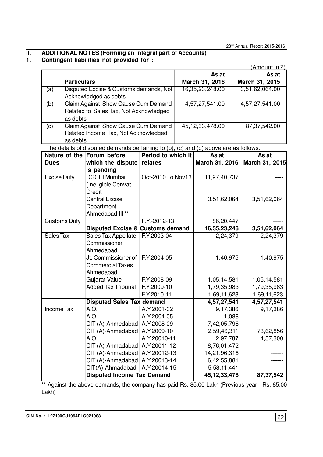## **II. ADDITIONAL NOTES (Forming an integral part of Accounts)**

**1. Contingent liabilities not provided for :**

|                                        |                                                                                      |                    |  |                                |           | (Amount in ₹)  |
|----------------------------------------|--------------------------------------------------------------------------------------|--------------------|--|--------------------------------|-----------|----------------|
|                                        |                                                                                      |                    |  | As at                          |           | As at          |
| <b>Particulars</b>                     |                                                                                      |                    |  | March 31, 2016                 |           | March 31, 2015 |
| (a)                                    | Disputed Excise & Customs demands, Not                                               |                    |  | 16, 35, 23, 248.00             |           | 3,51,62,064.00 |
|                                        | Acknowledged as debts                                                                |                    |  |                                |           |                |
| (b)                                    | <b>Claim Against Show Cause Cum Demand</b>                                           |                    |  | 4,57,27,541.00                 |           | 4,57,27,541.00 |
| Related to Sales Tax, Not Acknowledged |                                                                                      |                    |  |                                |           |                |
| as debts                               |                                                                                      |                    |  |                                |           |                |
| (c)                                    | Claim Against Show Cause Cum Demand                                                  |                    |  | 45, 12, 33, 478.00             |           | 87,37,542.00   |
|                                        | Related Income Tax, Not Acknowledged                                                 |                    |  |                                |           |                |
| as debts                               | The details of disputed demands pertaining to (b), (c) and (d) above are as follows: |                    |  |                                |           |                |
|                                        | Nature of the Forum before                                                           | Period to which it |  | As at                          |           | As at          |
| <b>Dues</b>                            | which the dispute                                                                    | relates            |  | March 31, 2016                 |           | March 31, 2015 |
|                                        | is pending                                                                           |                    |  |                                |           |                |
| <b>Excise Duty</b>                     | DGCEI, Mumbai                                                                        | Oct-2010 To Nov13  |  | 11,97,40,737                   |           |                |
|                                        | (Ineligible Cenvat                                                                   |                    |  |                                |           |                |
|                                        | Credit                                                                               |                    |  |                                |           |                |
|                                        | <b>Central Excise</b>                                                                |                    |  | 3,51,62,064                    |           | 3,51,62,064    |
|                                        | Department-                                                                          |                    |  |                                |           |                |
|                                        | Ahmedabad-III**                                                                      |                    |  |                                |           |                |
| <b>Customs Duty</b>                    |                                                                                      | F.Y.-2012-13       |  |                                | 86,20,447 |                |
|                                        | <b>Disputed Excise &amp; Customs demand</b>                                          |                    |  | 16, 35, 23, 248                |           | 3,51,62,064    |
| Sales Tax                              | Sales Tax Appellate                                                                  | F.Y.2003-04        |  | 2,24,379                       |           | 2,24,379       |
|                                        | Commissioner                                                                         |                    |  |                                |           |                |
|                                        | Ahmedabad                                                                            |                    |  |                                |           |                |
|                                        | Jt. Commissioner of<br><b>Commercial Taxes</b>                                       | F.Y.2004-05        |  | 1,40,975                       |           | 1,40,975       |
|                                        | Ahmedabad                                                                            |                    |  |                                |           |                |
|                                        | Gujarat Value                                                                        | F.Y.2008-09        |  | 1,05,14,581                    |           | 1,05,14,581    |
|                                        | <b>Added Tax Tribunal</b>                                                            | F.Y.2009-10        |  | 1,79,35,983                    |           | 1,79,35,983    |
|                                        |                                                                                      | F.Y.2010-11        |  | 1,69,11,623                    |           | 1,69,11,623    |
|                                        | <b>Disputed Sales Tax demand</b>                                                     |                    |  | 4,57,27,541                    |           | 4,57,27,541    |
| <b>Income Tax</b>                      | A.O.                                                                                 | A.Y.2001-02        |  | 9,17,386                       |           | 9,17,386       |
|                                        | A.O.                                                                                 | A.Y.2004-05        |  | 1,088                          |           |                |
|                                        | CIT (A)-Ahmedabad                                                                    | A.Y.2008-09        |  | 7,42,05,796                    |           |                |
|                                        | CIT (A)-Ahmedabad                                                                    | A.Y.2009-10        |  | 2,59,46,311                    |           | 73,62,856      |
|                                        | A.O.                                                                                 | A.Y.20010-11       |  | 2,97,787                       |           | 4,57,300       |
|                                        | CIT (A)-Ahmadabad   A.Y.20011-12                                                     |                    |  | 8,76,01,472                    |           |                |
|                                        | CIT (A)-Ahmadabad                                                                    | A.Y.20012-13       |  | 14,21,96,316                   |           |                |
|                                        | CIT (A)-Ahmadabad                                                                    | A.Y.20013-14       |  | 6,42,55,881                    |           |                |
|                                        | CIT(A)-Ahmadabad<br><b>Disputed Income Tax Demand</b>                                | A.Y.20014-15       |  | 5,58,11,441<br>45, 12, 33, 478 |           | 87, 37, 542    |
|                                        |                                                                                      |                    |  |                                |           |                |

\*\* Against the above demands, the company has paid Rs. 85.00 Lakh (Previous year - Rs. 85.00 Lakh)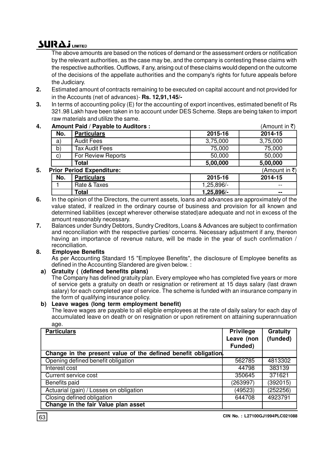The above amounts are based on the notices of demand or the assessment orders or notification by the relevant authorities, as the case may be, and the company is contesting these claims with the respective authorities. Outflows, if any, arising out of these claims would depend on the outcome of the decisions of the appellate authorities and the company's rights for future appeals before the Judiciary.

- **2.** Estimated amount of contracts remaining to be executed on capital account and not provided for in the Accounts (net of advances)- **Rs. 12,91,145/-**
- **3.** In terms of accounting policy (E) for the accounting of export incentives, estimated benefit of Rs 321.98 Lakh have been taken in to account under DES Scheme. Steps are being taken to import raw materials and utilize the same.

## **4. Amount Paid / Payable to Auditors :**  $($ **Amount in**  $\bar{z}$ **)**

|                      | Allivality and Tayable to Additions. |          | $\sqrt{ }$    |
|----------------------|--------------------------------------|----------|---------------|
| No.                  | <b>Particulars</b>                   | 2015-16  | 2014-15       |
| a)                   | <b>Audit Fees</b>                    | 3,75,000 | 3,75,000      |
| b)                   | <b>Tax Audit Fees</b>                | 75,000   | 75,000        |
| C)                   | For Review Reports                   | 50,000   | 50,000        |
|                      | Total                                | 5,00,000 | 5,00,000      |
|                      | <b>Prior Period Expenditure:</b>     |          | (Amount in ₹) |
| <b>N<sub>L</sub></b> | <b>Doutionloup</b>                   | 004E, 4C | 00111E        |

| $\blacksquare$ | 17111001111 111 N                                                                                |            |         |
|----------------|--------------------------------------------------------------------------------------------------|------------|---------|
| No.            | <b>Particulars</b>                                                                               | 2015-16    | 2014-15 |
|                | Rate & Taxes                                                                                     | 1,25,896/- | $- -$   |
|                | Total                                                                                            | 1,25,896/- | --      |
|                | In the enjoing of the Directors, the current essets, leans and educates are enprevimately of the |            |         |

- **6.** In the opinion of the Directors, the current assets, loans and advances are approximately of the value stated, if realized in the ordinary course of business and provision for all known and determined liabilities (except wherever otherwise stated)are adequate and not in excess of the amount reasonably necessary.
- **7.** Balances under Sundry Debtors, Sundry Creditors, Loans & Advances are subject to confirmation and reconciliation with the respective parties/ concerns. Necessary adjustment if any, thereon having an importance of revenue nature, will be made in the year of such confirmation / reconciliation.

## **8. Employee Benefits**

As per Accounting Standard 15 "Employee Benefits", the disclosure of Employee benefits as defined in the Accounting Slandered are given below. :

## **a) Gratuity ( (defined benefits plans)**

The Company has defined gratuity plan. Every employee who has completed five years or more of service gets a gratuity on death or resignation or retirement at 15 days salary (last drawn salary) for each completed year of service. The scheme is funded with an insurance company in the form of qualifying insurance policy.

## **b) Leave wages (long term employment benefit)**

The leave wages are payable to all eligible employees at the rate of daily salary for each day of accumulated leave on death or on resignation or upon retirement on attaining superannuation age.

| <b>Particulars</b>                                            | <b>Privilege</b><br>Leave (non<br>Funded) | Gratuity<br>(funded) |
|---------------------------------------------------------------|-------------------------------------------|----------------------|
| Change in the present value of the defined benefit obligation |                                           |                      |
| Opening defined benefit obligation                            | 562785                                    | 4813302              |
| Interest cost                                                 | 44798                                     | 383139               |
| Current service cost                                          | 350645                                    | 371621               |
| Benefits paid                                                 | (263997)                                  | (392015)             |
| Actuarial (gain) / Losses on obligation                       | (49523)                                   | (252256)             |
| Closing defined obligation                                    | 644708                                    | 4923791              |
| Change in the fair Value plan asset                           |                                           |                      |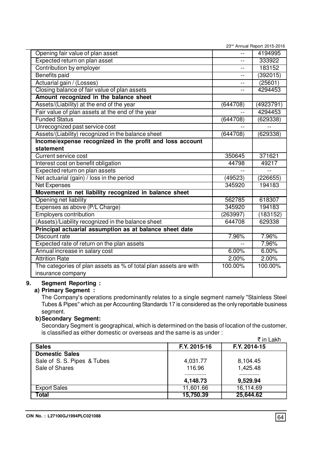|                                                                  |          | 23 <sup>nd</sup> Annual Report 2015-2016 |
|------------------------------------------------------------------|----------|------------------------------------------|
| Opening fair value of plan asset                                 |          | 4194995                                  |
| Expected return on plan asset                                    | --       | 333922                                   |
| Contribution by employer                                         |          | 183152                                   |
| <b>Benefits paid</b>                                             | $- -$    | (392015)                                 |
| Actuarial gain / (Losses)                                        | $-1$     | (25601)                                  |
| Closing balance of fair value of plan assets                     |          | 4294453                                  |
| Amount recognized in the balance sheet                           |          |                                          |
| Assets/(Liability) at the end of the year                        | (644708) | (4923791)                                |
| Fair value of plan assets at the end of the year                 |          | 4294453                                  |
| <b>Funded Status</b>                                             | (644708) | (629338)                                 |
| Unrecognized past service cost                                   |          |                                          |
| Assets/(Liability) recognized in the balance sheet               | (644708) | (629338)                                 |
| Income/expense recognized in the profit and loss account         |          |                                          |
| statement                                                        |          |                                          |
| Current service cost                                             | 350645   | 371621                                   |
| Interest cost on benefit obligation                              | 44798    | 49217                                    |
| Expected return on plan assets                                   | $\sim$   | $\frac{1}{2}$                            |
| Net actuarial (gain) / loss in the period                        | (49523)  | (226655)                                 |
| <b>Net Expenses</b>                                              | 345920   | 194183                                   |
| Movement in net liability recognized in balance sheet            |          |                                          |
| Opening net liability                                            | 562785   | 618307                                   |
| Expenses as above (P/L Charge)                                   | 345920   | 194183                                   |
| <b>Employers contribution</b>                                    | (263997) | (183152)                                 |
| (Assets)/Liability recognized in the balance sheet               | 644708   | 629338                                   |
| Principal actuarial assumption as at balance sheet date          |          |                                          |
| Discount rate                                                    | 7.96%    | 7.96%                                    |
| Expected rate of return on the plan assets                       |          | 7.96%                                    |
| Annual increase in salary cost                                   | 6.00%    | 6.00%                                    |
| <b>Attrition Rate</b>                                            | 2.00%    | 2.00%                                    |
| The categories of plan assets as % of total plan assets are with | 100.00%  | 100.00%                                  |
| insurance company                                                |          |                                          |

## **9. Segment Reporting :**

## **a) Primary Segment :**

The Company's operations predominantly relates to a single segment namely "Stainless Steel Tubes & Pipes" which as per Accounting Standards 17 is considered as the only reportable business segment.

## **b)Secondary Segment:**

Secondary Segment is geographical, which is determined on the basis of location of the customer, is classified as either domestic or overseas and the same is as under :

|                             |              | ₹ in Lakh    |
|-----------------------------|--------------|--------------|
| <b>Sales</b>                | F.Y. 2015-16 | F.Y. 2014-15 |
| <b>Domestic Sales</b>       |              |              |
| Sale of S. S. Pipes & Tubes | 4,031.77     | 8,104.45     |
| Sale of Shares              | 116.96       | 1,425.48     |
|                             | 4,148.73     | 9,529.94     |
| <b>Export Sales</b>         | 11,601.66    | 16,114.69    |
| Total                       | 15,750.39    | 25,644.62    |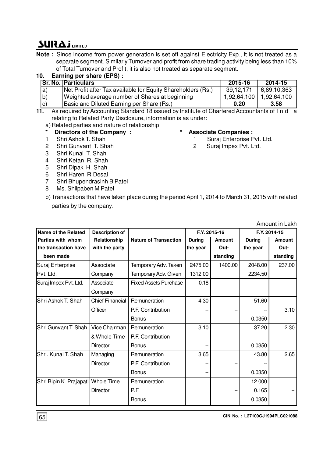# $SURAJ$

**Note :** Since income from power generation is set off against Electricity Exp., it is not treated as a separate segment. Similarly Turnover and profit from share trading activity being less than 10% of Total Turnover and Profit, it is also not treated as separate segment.

## **10. Earning per share (EPS) :**

|                | <b>Sr. No. Particulars</b>                                   | 2015-16   | 2014-15                   |
|----------------|--------------------------------------------------------------|-----------|---------------------------|
| la)            | Net Profit after Tax available for Equity Shareholders (Rs.) | 39.12.171 | 6,89,10,363               |
| $\overline{b}$ | Weighted average number of Shares at beginning               |           | 1,92,64,100   1,92,64,100 |
| $ c\rangle$    | Basic and Diluted Earning per Share (Rs.)                    | 0.20      | 3.58                      |

**11.** As required by Accounting Standard 18 issued by Institute of Chartered Accountants of I n d i a relating to Related Party Disclosure, information is as under:

a) Related parties and nature of relationship

- **\* Directors of the Company : \* Associate Companies :**
- 1 Shri Ashok T. Shah 1 Suraj Enterprise Pvt. Ltd.<br>2 Shri Gunyant T. Shah 1 2 Suraj Impex Pvt. Ltd.
- 2 Shri Gunvant T. Shah 2 Suraj Impex Pvt. Ltd.
- 3 Shri Kunal T. Shah
- 4 Shri Ketan R. Shah
- 5 Shri Dipak H. Shah
- 6 Shri Haren R.Desai
- 7 Shri Bhupendrasinh B Patel
- 8 Ms. Shilpaben M Patel
- b)Transactions that have taken place during the period April 1, 2014 to March 31, 2015 with related parties by the company.

| Name of the Related                | Description of         |                              | F.Y. 2015-16  |               |               | F.Y. 2014-15  |
|------------------------------------|------------------------|------------------------------|---------------|---------------|---------------|---------------|
| Parties with whom                  | Relationship           | <b>Nature of Transaction</b> | <b>During</b> | <b>Amount</b> | <b>During</b> | <b>Amount</b> |
| the transaction have               | with the party         |                              | the year      | Out-          | the year      | Out-          |
| been made                          |                        |                              |               | standing      |               | standing      |
| Suraj Enterprise                   | Associate              | Temporary Adv. Taken         | 2475.00       | 1400.00       | 2048.00       | 237.00        |
| Pvt. Ltd.                          | Company                | Temporary Adv. Given         | 1312.00       |               | 2234.50       |               |
| Suraj Impex Pvt. Ltd.              | Associate              | <b>Fixed Assets Purchase</b> | 0.18          |               |               |               |
|                                    | Company                |                              |               |               |               |               |
| Shri Ashok T. Shah                 | <b>Chief Financial</b> | Remuneration                 | 4.30          |               | 51.60         |               |
|                                    | Officer                | P.F. Contribution            |               |               |               | 3.10          |
|                                    |                        | <b>Bonus</b>                 |               |               | 0.0350        |               |
| Shri Gunvant T. Shah               | Vice Chairman          | Remuneration                 | 3.10          |               | 37.20         | 2.30          |
|                                    | & Whole Time           | P.F. Contribution            |               |               |               |               |
|                                    | Director               | <b>Bonus</b>                 |               |               | 0.0350        |               |
| Shri. Kunal T. Shah                | Managing               | Remuneration                 | 3.65          |               | 43.80         | 2.65          |
|                                    | Director               | P.F. Contribution            |               |               |               |               |
|                                    |                        | <b>Bonus</b>                 |               |               | 0.0350        |               |
| Shri Bipin K. Prajapati Whole Time |                        | Remuneration                 |               |               | 12.000        |               |
|                                    | Director               | P.F.                         |               |               | 0.165         |               |
|                                    |                        | <b>Bonus</b>                 |               |               | 0.0350        |               |

Amount in Lakh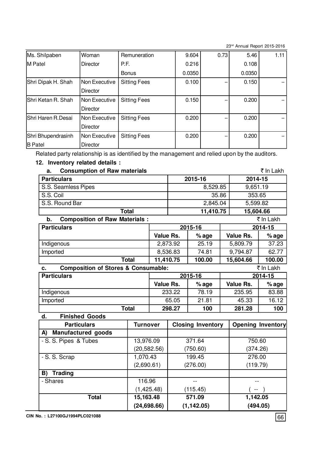23nd Annual Report 2015-2016

| Ms. Shilpaben      | Woman           | Remuneration        | 9.604  | 0.73 | 5.46   | 1.11 |
|--------------------|-----------------|---------------------|--------|------|--------|------|
| M Patel            | <b>Director</b> | P.F.                | 0.216  |      | 0.108  |      |
|                    |                 | <b>Bonus</b>        | 0.0350 |      | 0.0350 |      |
| Shri Dipak H. Shah | Non Executive   | <b>Sitting Fees</b> | 0.100  |      | 0.150  |      |
|                    | <b>Director</b> |                     |        |      |        |      |
| Shri Ketan R. Shah | Non Executive   | <b>Sitting Fees</b> | 0.150  |      | 0.200  |      |
|                    | <b>Director</b> |                     |        |      |        |      |
| Shri Haren R.Desai | Non Executive   | <b>Sitting Fees</b> | 0.200  |      | 0.200  |      |
|                    | <b>Director</b> |                     |        |      |        |      |
| Shri Bhupendrasinh | Non Executive   | <b>Sitting Fees</b> | 0.200  |      | 0.200  |      |
| <b>B</b> Patel     | <b>Director</b> |                     |        |      |        |      |

Related party relationship is as identified by the management and relied upon by the auditors.

## **12. Inventory related details :**

| <b>Consumption of Raw materials</b><br>a.            |           |          |           |  |                  | ₹ In Lakh |  |  |
|------------------------------------------------------|-----------|----------|-----------|--|------------------|-----------|--|--|
| <b>Particulars</b>                                   |           |          | 2015-16   |  |                  | 2014-15   |  |  |
| S.S. Seamless Pipes                                  |           |          | 8,529.85  |  | 9,651.19         |           |  |  |
| S.S. Coil                                            |           |          | 35.86     |  | 353.65           |           |  |  |
| S.S. Round Bar                                       |           |          | 2,845.04  |  | 5,599.82         |           |  |  |
| Total                                                |           |          | 11,410.75 |  | 15,604.66        |           |  |  |
| b.<br><b>Composition of Raw Materials:</b>           |           |          |           |  |                  | ₹ In Lakh |  |  |
| <b>Particulars</b>                                   |           |          | 2015-16   |  | 2014-15          |           |  |  |
|                                                      | Value Rs. |          | $%$ age   |  | <b>Value Rs.</b> | $%$ age   |  |  |
| Indigenous                                           |           | 2,873.92 | 25.19     |  | 5,809.79         | 37.23     |  |  |
| Imported                                             |           | 8,536.83 | 74.81     |  | 9,794.87         | 62.77     |  |  |
| <b>Total</b>                                         | 11,410.75 |          | 100.00    |  | 15,604.66        | 100.00    |  |  |
| <b>Composition of Stores &amp; Consumable:</b><br>c. |           |          |           |  |                  | ₹ In Lakh |  |  |
| <b>Particulars</b>                                   |           | 2015-16  |           |  | 2014-15          |           |  |  |
|                                                      | Value Rs. |          | $%$ age   |  | <b>Value Rs.</b> | $%$ age   |  |  |
| Indigenous                                           |           | 233.22   | 78.19     |  | 235.95           | 83.88     |  |  |
| Imported                                             |           | 65.05    | 21.81     |  | 45.33            | 16.12     |  |  |
| Total                                                |           | 298.27   | 100       |  | 281.28           | 100       |  |  |

### **d. Finished Goods**

| <b>Particulars</b>              | <b>Turnover</b> | <b>Closing Inventory</b> | <b>Opening Inventory</b> |
|---------------------------------|-----------------|--------------------------|--------------------------|
| <b>Manufactured goods</b><br>A) |                 |                          |                          |
| - S. S. Pipes & Tubes           | 13,976.09       | 371.64                   | 750.60                   |
|                                 | (20, 582.56)    | (750.60)                 | (374.26)                 |
| - S. S. Scrap                   | 1,070.43        | 199.45                   | 276.00                   |
|                                 | (2,690.61)      | (276.00)                 | (119.79)                 |
| B)<br>Trading                   |                 |                          |                          |
| - Shares                        | 116.96          |                          |                          |
|                                 | (1,425.48)      | (115.45)                 | $\sim$ $-$               |
| <b>Total</b>                    | 15,163.48       | 571.09                   | 1,142.05                 |
|                                 | (24, 698.66)    | (1, 142.05)              | (494.05)                 |

**CIN No. : L27100GJ1994PLC021088**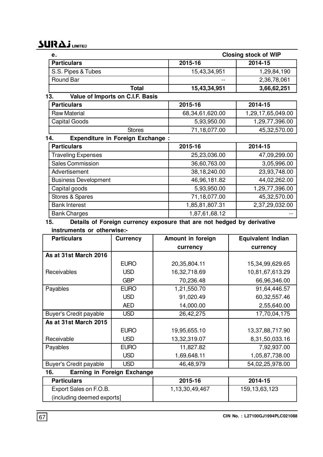| e.                                             | <b>Closing stock of WIP</b> |                   |  |  |
|------------------------------------------------|-----------------------------|-------------------|--|--|
| <b>Particulars</b>                             | 2015-16                     | 2014-15           |  |  |
| S.S. Pipes & Tubes                             | 15,43,34,951                | 1,29,84,190       |  |  |
| Round Bar                                      |                             | 2,36,78,061       |  |  |
| Total                                          | 15,43,34,951                | 3,66,62,251       |  |  |
| Value of Imports on C.I.F. Basis<br>13.        |                             |                   |  |  |
| <b>Particulars</b>                             | 2015-16                     | 2014-15           |  |  |
| <b>Raw Material</b>                            | 68,34,61,620.00             | 1,29,17,65,049.00 |  |  |
| <b>Capital Goods</b>                           | 5,93,950.00                 | 1,29,77,396.00    |  |  |
| <b>Stores</b>                                  | 71,18,077.00                | 45,32,570.00      |  |  |
| <b>Expenditure in Foreign Exchange:</b><br>14. |                             |                   |  |  |
| <b>Particulars</b>                             | 2015-16                     | 2014-15           |  |  |
| <b>Traveling Expenses</b>                      | 25,23,036.00                | 47,09,299.00      |  |  |
| <b>Sales Commission</b>                        | 36,60,763.00                | 3,05,996.00       |  |  |
| Advertisement                                  | 38,18,240.00                | 23,93,748.00      |  |  |
| <b>Business Development</b>                    | 46,96,181.82                | 44,02,262.00      |  |  |
| Capital goods                                  | 5,93,950.00                 | 1,29,77,396.00    |  |  |
| Stores & Spares                                | 71,18,077.00                | 45,32,570.00      |  |  |
| <b>Bank Interest</b>                           | 1,85,81,807.31              | 2,37,29,032.00    |  |  |
| <b>Bank Charges</b>                            | 1,87,61,68.12               |                   |  |  |

**15. Details of Foreign currency exposure that are not hedged by derivative instruments or otherwise:-**

| <b>Particulars</b>            | <b>Currency</b> | Amount in foreign | <b>Equivalent Indian</b> |
|-------------------------------|-----------------|-------------------|--------------------------|
|                               |                 | currency          | currency                 |
| As at 31st March 2016         |                 |                   |                          |
|                               | <b>EURO</b>     | 20,35,804.11      | 15,34,99,629.65          |
| Receivables                   | <b>USD</b>      | 16,32,718.69      | 10,81,67,613.29          |
|                               | <b>GBP</b>      | 70,236.48         | 66,96,346.00             |
| Payables                      | <b>EURO</b>     | 1,21,550.70       | 91,64,446.57             |
|                               | <b>USD</b>      | 91,020.49         | 60,32,557.46             |
|                               | <b>AED</b>      | 14,000.00         | 2,55,640.00              |
| <b>Buyer's Credit payable</b> | <b>USD</b>      | 26,42,275         | 17,70,04,175             |
| As at 31st March 2015         |                 |                   |                          |
|                               | <b>EURO</b>     | 19,95,655.10      | 13,37,88,717.90          |
| Receivable                    | <b>USD</b>      | 13,32,319.07      | 8,31,50,033.16           |
| Payables                      | <b>EURO</b>     | 11,827.82         | 7,92,937.00              |
|                               | <b>USD</b>      | 1,69,648.11       | 1,05,87,738.00           |
| Buyer's Credit payable        | <b>USD</b>      | 46,48,979         | 54,02,25,978.00          |
| --                            |                 |                   |                          |

## **16. Earning in Foreign Exchange**

| <b>Particulars</b>         | 2015-16        | 2014-15          |
|----------------------------|----------------|------------------|
| Export Sales on F.O.B.     | 1,13,30,49,467 | 159, 13, 63, 123 |
| (including deemed exports) |                |                  |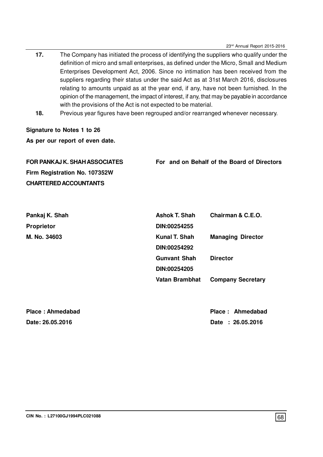- **17.** The Company has initiated the process of identifying the suppliers who qualify under the definition of micro and small enterprises, as defined under the Micro, Small and Medium Enterprises Development Act, 2006. Since no intimation has been received from the suppliers regarding their status under the said Act as at 31st March 2016, disclosures relating to amounts unpaid as at the year end, if any, have not been furnished. In the opinion of the management, the impact of interest, if any, that may be payable in accordance with the provisions of the Act is not expected to be material.
- **18.** Previous year figures have been regrouped and/or rearranged whenever necessary.

**Signature to Notes 1 to 26**

**As per our report of even date.**

**FOR PANKAJ K. SHAH ASSOCIATES For and on Behalf of the Board of Directors Firm Registration No. 107352W CHARTERED ACCOUNTANTS**

| Ashok T. Shah       | Chairman & C.E.O.        |
|---------------------|--------------------------|
| DIN:00254255        |                          |
| Kunal T. Shah       | <b>Managing Director</b> |
| DIN:00254292        |                          |
| <b>Gunvant Shah</b> | <b>Director</b>          |
| DIN:00254205        |                          |
| Vatan Brambhat      | <b>Company Secretary</b> |
|                     |                          |

**Date: 26.05.2016 Date : 26.05.2016**

**Pankaj K. Shah** 

**Proprietor M. No. 34603** 

**Place : Ahmedabad Place : Ahmedabad**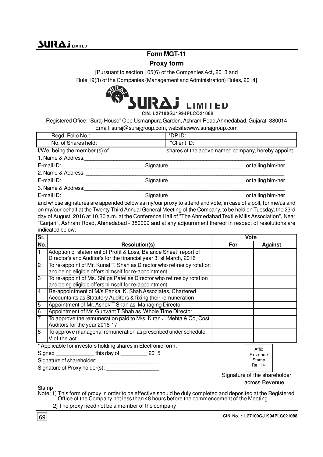## **SURAJ** LIMITED

### **Form MGT-11**

### **Proxy form**

[Pursuant to section 105(6) of the Companies Act, 2013 and

Rule 19(3) of the Companies (Management and Administration) Rules, 2014]



CIN: L27100GJ1994PLCO21088

Registered Ofice: "Suraj House" Opp.Usmanpura Garden, Ashram Road,Ahmedabad, Gujarat -380014 Email: suraj@surajgroup.com, website:www.surajgroup.com

| Regd. Folio No.:                                                                                                                                                                                                               | $*$ DP ID:  |                                       |
|--------------------------------------------------------------------------------------------------------------------------------------------------------------------------------------------------------------------------------|-------------|---------------------------------------|
| No. of Shares held:                                                                                                                                                                                                            | *Client ID: |                                       |
|                                                                                                                                                                                                                                |             |                                       |
| 1. Name & Address:                                                                                                                                                                                                             |             |                                       |
| E-mail ID: $\qquad \qquad$                                                                                                                                                                                                     | Signature   | or failing him/her                    |
| 2. Name & Address:                                                                                                                                                                                                             |             |                                       |
| E-mail ID: ___________________                                                                                                                                                                                                 |             | Signature contract or failing him/her |
| 3. Name & Address:                                                                                                                                                                                                             |             |                                       |
| E-mail ID: Contract of Contract Contract Contract Contract Contract Contract Contract Contract Contract Contract Contract Contract Contract Contract Contract Contract Contract Contract Contract Contract Contract Contract C |             |                                       |
| and whose signatures are appended below as my/our proxy to attend and vote, in case of a poll, for me/us and                                                                                                                   |             |                                       |

on my/our behalf at the Twenty Third Annual General Meeting of the Company, to be held on Tuesday, the 23rd day of August, 2016 at 10.30 a.m. at the Conference Hall of "The Ahmedabad Textile Mills Association", Near "Gurjari", Ashram Road, Ahmedabad - 380009 and at any adjournment thereof in respect of resolutions are indicated below:

| Sr.            |                                                                                                                                      | <b>Vote</b>                  |                |  |
|----------------|--------------------------------------------------------------------------------------------------------------------------------------|------------------------------|----------------|--|
| No.            | <b>Resolution(s)</b>                                                                                                                 | For                          | <b>Against</b> |  |
| $\mathbf{1}$   | Adoption of statement of Profit & Loss, Balance Sheet, report of<br>Director's and Auditor's for the financial year 31st March, 2016 |                              |                |  |
| $\overline{2}$ | To re-appoint of Mr. Kunal T. Shah as Director who retires by rotation<br>and being eligible offers himself for re-appointment.      |                              |                |  |
| l3             | To re-appoint of Ms. Shilpa Patel as Director who retires by rotation<br>and being eligible offers himself for re-appointment.       |                              |                |  |
| $\overline{4}$ | Re-appointment of M/s. Pankaj K. Shah Associates, Chartered<br>Accountants as Statutory Auditors & fixing their remuneration         |                              |                |  |
| $\frac{5}{6}$  | Appointment of Mr. Ashok T Shah as Managing Director                                                                                 |                              |                |  |
|                | Appointment of Mr. Gunvant T Shah as Whole Time Director                                                                             |                              |                |  |
| 7              | To approve the remuneration paid to M/s. Kiran J. Mehta & Co, Cost<br>Auditors for the year 2016-17                                  |                              |                |  |
| 8              | To approve managerial remuneration as prescribed under schedule<br>V of the act.                                                     |                              |                |  |
|                | * Applicable for investors holding shares in Electronic form.                                                                        |                              | Affix          |  |
|                |                                                                                                                                      |                              | Revenue        |  |
|                |                                                                                                                                      |                              | Stamp          |  |
|                | Signature of Proxy holder(s):                                                                                                        |                              | Re. 1/-        |  |
|                |                                                                                                                                      | Signature of the shareholder |                |  |

across Revenue

Stamp

Note: 1) This form of proxy in order to be effective should be duly completed and deposited at the Registered Office of the Company not less than 48 hours before the commencement of the Meeting.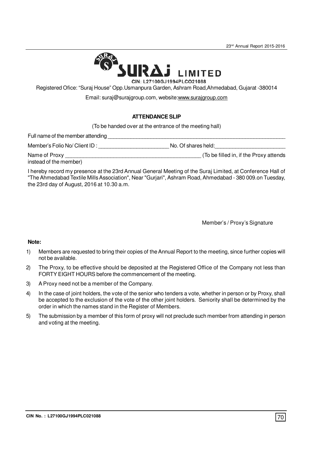

CIN: L27100GJ1994PLCO21088

Registered Ofice: "Suraj House" Opp.Usmanpura Garden, Ashram Road,Ahmedabad, Gujarat -380014

Email: suraj@surajgroup.com, website:www.surajgroup.com

#### **ATTENDANCE SLIP**

(To be handed over at the entrance of the meeting hall)

Full name of the member attending

| Member's Folio No/ Client ID: | No. Of shares held:                    |  |
|-------------------------------|----------------------------------------|--|
| Name of Proxy                 | (To be filled in, if the Proxy attends |  |
| instead of the member)        |                                        |  |

I hereby record my presence at the 23rd Annual General Meeting of the Suraj Limited, at Conference Hall of "The Ahmedabad Textile Mills Association", Near "Gurjari", Ashram Road, Ahmedabad - 380 009.on Tuesday, the 23rd day of August, 2016 at 10.30 a.m.

Member's / Proxy's Signature

#### **Note:**

- 1) Members are requested to bring their copies of the Annual Report to the meeting, since further copies will not be available.
- 2) The Proxy, to be effective should be deposited at the Registered Office of the Company not less than FORTY EIGHT HOURS before the commencement of the meeting.
- 3) A Proxy need not be a member of the Company.
- 4) In the case of joint holders, the vote of the senior who tenders a vote, whether in person or by Proxy, shall be accepted to the exclusion of the vote of the other joint holders. Seniority shall be determined by the order in which the names stand in the Register of Members.
- 5) The submission by a member of this form of proxy will not preclude such member from attending in person and voting at the meeting.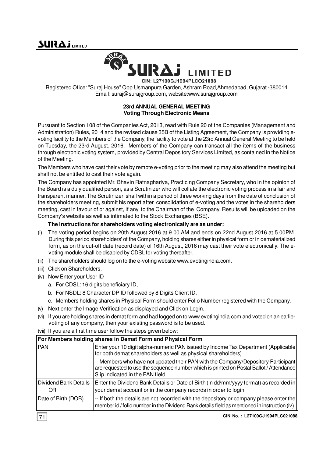## **SURAJ** LIMITED

## NRA **SURAJ I IMITED**

CIN: L27100GJ1994PLCO21088

Registered Ofice: "Suraj House" Opp.Usmanpura Garden, Ashram Road,Ahmedabad, Gujarat -380014 Email: suraj@surajgroup.com, website:www.surajgroup.com

#### **23rd ANNUAL GENERAL MEETING Voting Through Electronic Means**

Pursuant to Section 108 of the Companies Act, 2013, read with Rule 20 of the Companies (Management and Administration) Rules, 2014 and the revised clause 35B of the Listing Agreement, the Company is providing evoting facility to the Members of the Company, the facility to vote at the 23rd Annual General Meeting to be held on Tuesday, the 23rd August, 2016. Members of the Company can transact all the items of the business through electronic voting system, provided by Central Depository Services Limited, as contained in the Notice of the Meeting.

The Members who have cast their vote by remote e-voting prior to the meeting may also attend the meeting but shall not be entitled to cast their vote again.

The Company has appointed Mr. Bhavin Ratnaghariya, Practicing Company Secretary, who in the opinion of the Board is a duly qualified person, as a Scrutinizer who will collate the electronic voting process in a fair and transparent manner. The Scrutinizer shall within a period of three working days from the date of conclusion of the shareholders meeting, submit his report after consolidation of e-voting and the votes in the shareholders meeting, cast in favour of or against, if any, to the Chairman of the Company. Results will be uploaded on the Company's website as well as intimated to the Stock Exchanges (BSE).

### **The instructions for shareholders voting electronically are as under:**

- (i) The voting period begins on 20th August 2016 at 9.00 AM and ends on 22nd August 2016 at 5.00PM. During this period shareholders' of the Company, holding shares either in physical form or in dematerialized form, as on the cut-off date (record date) of 16th August, 2016 may cast their vote electronically. The evoting module shall be disabled by CDSL for voting thereafter.
- (ii) The shareholders should log on to the e-voting website www.evotingindia.com.
- (iii) Click on Shareholders.
- (iv) Now Enter your User ID
	- a. For CDSL: 16 digits beneficiary ID,
	- b. For NSDL: 8 Character DP ID followed by 8 Digits Client ID,
	- c. Members holding shares in Physical Form should enter Folio Number registered with the Company.
- (v) Next enter the Image Verification as displayed and Click on Login.
- (vi) If you are holding shares in demat form and had logged on to www.evotingindia.com and voted on an earlier voting of any company, then your existing password is to be used.
- (vii) If you are a first time user follow the steps given below:

| For Members holding shares in Demat Form and Physical Form |                                                                                                                                                                                                                  |  |
|------------------------------------------------------------|------------------------------------------------------------------------------------------------------------------------------------------------------------------------------------------------------------------|--|
| <b>PAN</b>                                                 | Enter your 10 digit alpha-numeric PAN issued by Income Tax Department (Applicable)<br>for both demat shareholders as well as physical shareholders)                                                              |  |
|                                                            | -- Members who have not updated their PAN with the Company/Depository Participant<br>are requested to use the sequence number which is printed on Postal Ballot / Attendance<br>Slip indicated in the PAN field. |  |
| Dividend Bank Details<br>OR                                | Enter the Dividend Bank Details or Date of Birth (in dd/mm/yyyy format) as recorded in<br>your demat account or in the company records in order to login.                                                        |  |
| Date of Birth (DOB)                                        | -- If both the details are not recorded with the depository or company please enter the<br>member id / folio number in the Dividend Bank details field as mentioned in instruction (iv).                         |  |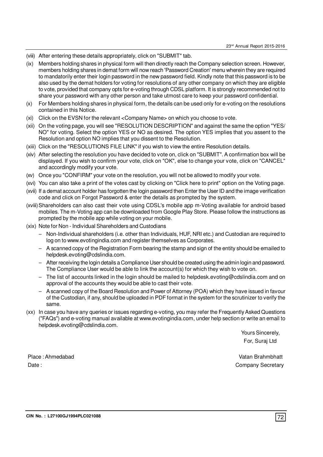- (viii) After entering these details appropriately, click on "SUBMIT" tab.
- (ix) Members holding shares in physical form will then directly reach the Company selection screen. However, members holding shares in demat form will now reach 'Password Creation' menu wherein they are required to mandatorily enter their login password in the new password field. Kindly note that this password is to be also used by the demat holders for voting for resolutions of any other company on which they are eligible to vote, provided that company opts for e-voting through CDSL platform. It is strongly recommended not to share your password with any other person and take utmost care to keep your password confidential.
- (x) For Members holding shares in physical form, the details can be used only for e-voting on the resolutions contained in this Notice.
- (xi) Click on the EVSN for the relevant <Company Name> on which you choose to vote.
- (xii) On the voting page, you will see "RESOLUTION DESCRIPTION" and against the same the option "YES/ NO" for voting. Select the option YES or NO as desired. The option YES implies that you assent to the Resolution and option NO implies that you dissent to the Resolution.
- (xiii) Click on the "RESOLUTIONS FILE LINK" if you wish to view the entire Resolution details.
- (xiv) After selecting the resolution you have decided to vote on, click on "SUBMIT". A confirmation box will be displayed. If you wish to confirm your vote, click on "OK", else to change your vote, click on "CANCEL" and accordingly modify your vote.
- (xv) Once you "CONFIRM" your vote on the resolution, you will not be allowed to modify your vote.
- (xvi) You can also take a print of the votes cast by clicking on "Click here to print" option on the Voting page.
- (xvii) If a demat account holder has forgotten the login password then Enter the User ID and the image verification code and click on Forgot Password & enter the details as prompted by the system.
- (xviii)Shareholders can also cast their vote using CDSL's mobile app m-Voting available for android based mobiles. The m-Voting app can be downloaded from Google Play Store. Please follow the instructions as prompted by the mobile app while voting on your mobile.
- (xix) Note for Non Individual Shareholders and Custodians
	- -- Non-Individual shareholders (i.e. other than Individuals, HUF, NRI etc.) and Custodian are required to log on to www.evotingindia.com and register themselves as Corporates.
	- -- A scanned copy of the Registration Form bearing the stamp and sign of the entity should be emailed to helpdesk.evoting@cdslindia.com.
	- -- After receiving the login details a Compliance User should be created using the admin login and password. The Compliance User would be able to link the account(s) for which they wish to vote on.
	- -- The list of accounts linked in the login should be mailed to helpdesk.evoting@cdslindia.com and on approval of the accounts they would be able to cast their vote.
	- A scanned copy of the Board Resolution and Power of Attorney (POA) which they have issued in favour of the Custodian, if any, should be uploaded in PDF format in the system for the scrutinizer to verify the same.
- (xx) In case you have any queries or issues regarding e-voting, you may refer the Frequently Asked Questions ("FAQs") and e-voting manual available at www.evotingindia.com, under help section or write an email to helpdesk.evoting@cdslindia.com.

Yours Sincerely, For, Suraj Ltd

Place : Ahmedabad Vatan Brahmbhatt

Date : Company Secretary Company Secretary Company Secretary Company Secretary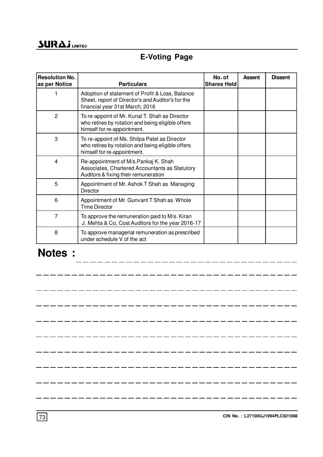# **SURAJ LIMITED**

# **E-Voting Page**

| <b>Resolution No.</b><br>as per Notice | <b>Particulars</b>                                                                                                                      | No. of<br><b>Shares Held</b> | <b>Assent</b> | <b>Dissent</b> |
|----------------------------------------|-----------------------------------------------------------------------------------------------------------------------------------------|------------------------------|---------------|----------------|
|                                        | Adoption of statement of Profit & Loss, Balance<br>Sheet, report of Director's and Auditor's for the<br>financial year 31st March, 2016 |                              |               |                |
| $\overline{c}$                         | To re-appoint of Mr. Kunal T. Shah as Director<br>who retires by rotation and being eligible offers<br>himself for re-appointment.      |                              |               |                |
| 3                                      | To re-appoint of Ms. Shilpa Patel as Director<br>who retires by rotation and being eligible offers<br>himself for re-appointment.       |                              |               |                |
| 4                                      | Re-appointment of M/s.Pankaj K. Shah<br>Associates, Chartered Accountants as Statutory<br>Auditors & fixing their remuneration          |                              |               |                |
| 5                                      | Appointment of Mr. Ashok T Shah as Managing<br>Director                                                                                 |                              |               |                |
| 6                                      | Appointment of Mr. Gunvant T Shah as Whole<br>Time Director                                                                             |                              |               |                |
| 7                                      | To approve the remuneration paid to M/s. Kiran<br>J. Mehta & Co, Cost Auditors for the year 2016-17                                     |                              |               |                |
| 8                                      | To approve managerial remuneration as prescribed<br>under schedule V of the act                                                         |                              |               |                |

# **Notes :**

\_\_\_\_ \_\_\_\_ ш. \_\_\_ ц. \_\_\_ ---ш.  $\overline{a}$  $\overline{\phantom{a}}$  $\overline{\phantom{a}}$  $\overline{\phantom{a}}$  $\overline{\phantom{a}}$  $\overline{\phantom{a}}$  $\mathbb{R}^2$  $\overline{\phantom{a}}$  $\overline{a}$  $\overline{\phantom{a}}$ — — —  $\overline{\phantom{a}}$  $\overline{\phantom{a}}$ <u>. .</u>  $\overline{\phantom{a}}$  $\overline{\phantom{a}}$ L,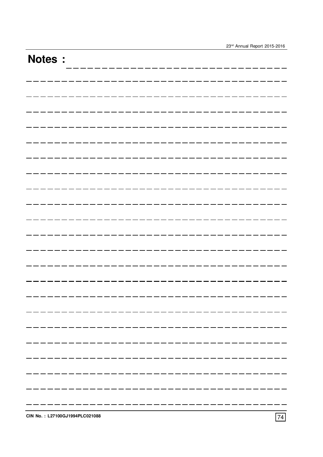| <b>Notes:</b>                     |
|-----------------------------------|
| ----------------                  |
|                                   |
|                                   |
|                                   |
|                                   |
|                                   |
|                                   |
| ________________________________  |
|                                   |
|                                   |
|                                   |
|                                   |
|                                   |
|                                   |
|                                   |
| _________________________________ |
|                                   |
|                                   |
|                                   |
|                                   |
|                                   |
|                                   |
|                                   |
|                                   |
|                                   |
|                                   |
|                                   |
|                                   |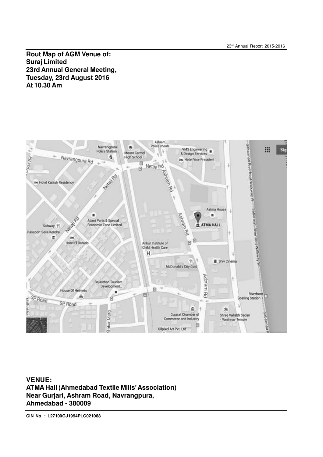### **Rout Map of AGM Venue of: Suraj Limited 23rd Annual General Meeting, Tuesday, 23rd August 2016 At 10.30 Am**



**VENUE: ATMA Hall (Ahmedabad Textile Mills' Association) Near Gurjari, Ashram Road, Navrangpura, Ahmedabad - 380009**

**CIN No. : L27100GJ1994PLC021088**